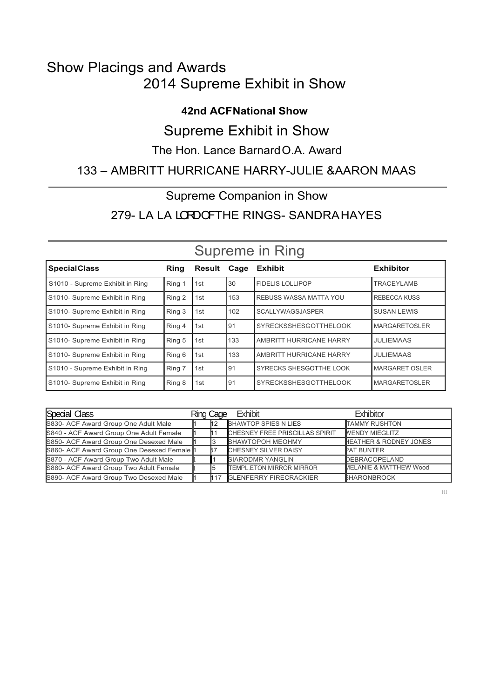## Show Placings and Awards 2014 Supreme Exhibit in Show

### **42nd ACF National Show**

## Supreme Exhibit in Show

### The Hon. Lance Barnard O.A. Award

## 133 – AMBRITT HURRICANE HARRY-JULIE &AARON MAAS

### Supreme Companion in Show

## 279- LA LA LORDOFTHE RINGS- SANDRAHAYES

| <b>SpecialClass</b>             | Ring   | Result | Cage | <b>Exhibit</b>                | <b>Exhibitor</b>       |
|---------------------------------|--------|--------|------|-------------------------------|------------------------|
| S1010 - Supreme Exhibit in Ring | Ring 1 | 1st    | 30   | <b>FIDELIS LOLLIPOP</b>       | <b>TRACEYLAMB</b>      |
| S1010- Supreme Exhibit in Ring  | Ring 2 | 1st    | 153  | <b>REBUSS WASSA MATTA YOU</b> | <b>REBECCA KUSS</b>    |
| S1010- Supreme Exhibit in Ring  | Ring 3 | 1st    | 102  | <b>SCALLYWAGSJASPER</b>       | <b>SUSAN LEWIS</b>     |
| S1010- Supreme Exhibit in Ring  | Ring 4 | 1st    | 91   | <b>SYRECKSSHESGOTTHELOOK</b>  | <b>MARGARETOSLER</b>   |
| S1010- Supreme Exhibit in Ring  | Ring 5 | 1st    | 133  | AMBRITT HURRICANE HARRY       | <b>JULIEMAAS</b>       |
| S1010- Supreme Exhibit in Ring  | Ring 6 | 1st    | 133  | AMBRITT HURRICANE HARRY       | <b>JULIEMAAS</b>       |
| S1010 - Supreme Exhibit in Ring | Ring 7 | 1st    | 91   | SYRECKS SHESGOTTHE LOOK       | <b>IMARGARET OSLER</b> |
| S1010- Supreme Exhibit in Ring  | Ring 8 | 1st    | 91   | <b>SYRECKSSHESGOTTHELOOK</b>  | <b>MARGARETOSLER</b>   |

## Supreme in Ring

| Special Class                              | Ring Cage | Exhibit                         | <b>Fxhibitor</b>                  |
|--------------------------------------------|-----------|---------------------------------|-----------------------------------|
| S830- ACF Award Group One Adult Male       |           | <b>SHAWTOP SPIES N LIES</b>     | <b>TAMMY RUSHTON</b>              |
| S840 - ACF Award Group One Adult Female    |           | CHESNEY FREE PRISCILLAS SPIRIT  | <b>IVENDY MIEGLITZ</b>            |
| S850- ACF Award Group One Desexed Male     |           | <b>SHAWTOPOH MEOHMY</b>         | <b>HEATHER &amp; RODNEY JONES</b> |
| S860- ACF Award Group One Desexed Female 1 |           | <b>CHESNEY SILVER DAISY</b>     | <b>PAT BUNTER</b>                 |
| S870 - ACF Award Group Two Adult Male      |           | <b>SIARODMR YANGLIN</b>         | DEBRACOPELAND                     |
| S880- ACF Award Group Two Adult Female     |           | <b>TEMPL ETON MIRROR MIRROR</b> | <b>MELANIE &amp; MATTHEW Wood</b> |
| S890- ACF Award Group Two Desexed Male     |           | 117 GLENFERRY FIRECRACKIER      | <b>SHARONBROCK</b>                |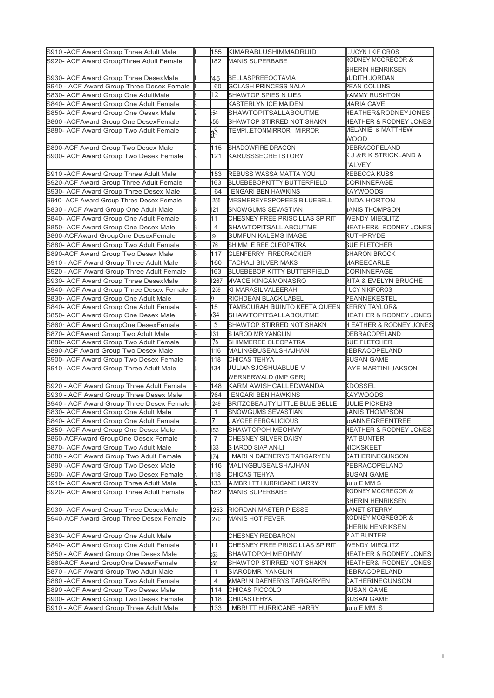| S910 - ACF Award Group Three Adult Male   |                | 155            | KIMARABLUSHIMMADRUID                  | UCYN I KIF OROS                    |
|-------------------------------------------|----------------|----------------|---------------------------------------|------------------------------------|
| S920- ACF Award GroupThree Adult Female   |                | 182            | <b>MANIS SUPERBABE</b>                | RODNEY MCGREGOR &                  |
|                                           |                |                |                                       | <b>SHERIN HENRIKSEN</b>            |
| S930- ACF Award Group Three DesexMale     |                | 45             | <b>BELLASPREEOCTAVIA</b>              | <b>IUDITH JORDAN</b>               |
| S940 - ACF Award Group Three Desex Female |                | 60             | GOLASH PRINCESS NALA                  | PEAN COLLINS                       |
| S830- ACF Award Group One AdultMale       |                | 12             | SHAWTOP SPIES N LIES                  | <b>rAMMY RUSHTON</b>               |
| S840- ACF Award Group One Adult Female    |                |                | <b>KASTERLYN ICE MAIDEN</b>           | <b>JARIA CAVE</b>                  |
| S850- ACF Award Group One Oesex Male      |                | (54)           | SHAWTOPITSALLABOUTME                  | HEATHER&RODNEYJONES                |
| S860 - ACFAward Group One DesexFemale     |                | 55             | SHAWTOP STIRRED NOT SHAKN             | <b>HEATHER &amp; RODNEY JONES</b>  |
| S880- ACF Award Group Two Adult Female    | Þ.             | a <sup>S</sup> | TEMPIETONMIRROR MIRROR                | <b>JELANIE &amp; MATTHEW</b>       |
|                                           |                |                |                                       | <b>WOOD</b>                        |
| S890-ACF Award Group Two Desex Male       |                | 115            | SHADOWFIRE DRAGON                     | <b>DEBRACOPELAND</b>               |
| S900- ACF Award Group Two Desex Female    |                | 121            | KARUSSSECRETSTORY                     | (J & R K STRICKLAND &              |
|                                           |                |                |                                       | 'ALVEY                             |
| S910 - ACF Award Group Three Adult Male   |                | 153            | REBUSS WASSA MATTA YOU                | REBECCA KUSS                       |
| S920-ACF Award Group Three Adult Female   |                | 163            | <b>BLUEBEBOPKITTY BUTTERFIELD</b>     | CORINNEPAGE                        |
| S930- ACF Award Group Three Desex Male    |                | 64             | <b>ENGARI BEN HAWKINS</b>             | KAYWOODS                           |
| S940- ACF Award Group Three Desex Female  |                | 255            | MESMEREYESPOPEES B LUEBELL            | <b>INDA HORTON</b>                 |
| S830 - ACF Award Group One Adult Male     | 3              | 121            | <b>SNOWGUMS SEVASTIAN</b>             | <b>JANIS THOMPSON</b>              |
| S840- ACF Award Group One Adult Female    | B.             | l 1            | CHESNEY FREE PRISCILLAS SPIRIT        | <b><i>NENDY MIEGLITZ</i></b>       |
| S850- ACF Award Group One Desex Male      |                | $\overline{4}$ | SHAWTOPITSALL ABOUTME                 | <b>HEATHER&amp; RODNEY JONES</b>   |
| S860-ACFAward GroupOne DesexFemale        | 3              | 9              | SUMFUN KALEMS IMAGE                   | RUTHPRYDE                          |
| S880- ACF Award Group Two Adult Female    |                | 76             | SHIMM E REE CLEOPATRA                 | <b>BUE FLETCHER</b>                |
| S890-ACF Award Group Two Desex Male       |                | 117            | <b>GLENFERRY FIRECRACKIER</b>         | <b>SHARON BROCK</b>                |
| S910 - ACF Award Group Three Adult Male   | З              | 160            | <b>TACHALI SILVER MAKS</b>            | <b>JAREECARLE</b>                  |
| S920 - ACF Award Group Three Adult Female |                | 163            | BLUEBEBOP KITTY BUTTERFIELD           | CORINNEPAGE                        |
| S930- ACF Award Group Three DesexMale     | 3              | 267            | <b>MVACE KINGAMONASRO</b>             | <b>RITA &amp; EVELYN BRUCHE</b>    |
| S940- ACF Award Group Three Desex Female  | b.             | 259            | KI MARASIL VALEERAH                   | <b>UCY NIKIFOROS</b>               |
| S830 ACF Award Group One Adult Male       |                | 9              | RICHDEAN BLACK LABEL                  | PEANNEKESTEL                       |
| S840- ACF Award Group One Adult Female    | 4              | 15             | TAMBOURAH AUINTO KEETA QUEEN          | <b>KERRY TAYLOR&amp;</b>           |
| S850- ACF Award Group One Desex Male      |                | (34)           | SHAWTOPITSALLABOUTME                  | <b>HEATHER &amp; RODNEY JONES</b>  |
| S860 ACF Award GroupOne DesexFemale       | 4              | $\overline{5}$ | SHAWTOP STIRRED NOT SHAKN             | <b>I EATHER &amp; RODNEY JONES</b> |
| S870- ACFAward Group Two Adult Male       | $\overline{4}$ | 31             | S IAROD MR YANGLIN                    | DEBRACOPELAND                      |
| S880- ACF Award Group Two Adult Female    |                | 76             | SHIMMEREE CLEOPATRA                   | <b>SUE FLETCHER</b>                |
| S890-ACF Award Group Two Desex Male       |                | 116            | MALINGBUSEALSHAJHAN                   | EBRACOPELAND                       |
| S900- ACF Award Group Two Desex Female    | 4              | 118            | CHICAS TEHYA                          | <b>SUSAN GAME</b>                  |
| S910 - ACF Award Group Three Adult Male   | L.             | 134            | JULIANSJOSHUABLUE V                   | <b>AYE MARTINI-JAKSON</b>          |
|                                           |                |                | <b>NERNERWALD (IMP GER)</b>           |                                    |
| S920 - ACF Award Group Three Adult Female | k.             | 148            | KARM AWISHCALLEDWANDA                 | KDOSSEL                            |
| S930 - ACF Award Group Three Desex Male   |                | ?64            | ENGARI BEN HAWKINS                    | KAYWOODS                           |
| S940 - ACF Award Group Three Desex Female |                | 249            | <b>BRITZOBEAUTY LITTLE BLUE BELLE</b> | <b>JULIE PICKENS</b>               |
| S830- ACF Award Group One Adult Male      |                | $\mathbf{1}$   | SNOWGUMS SEVASTIAN                    | <b>ANIS THOMPSON</b>               |
| S840- ACF Award Group One Adult Female    |                |                | J AYGEE FERGALICIOUS                  | <b>µoANNEGREENTREE</b>             |
| S850- ACF Award Group One Desex Male      |                | 53             | SHAWTOPOH MEOHMY                      | HEATHER & RODNEY JONES             |
| S860-ACFAward GroupOne Oesex Female       |                | $\overline{7}$ | CHESNEY SILVER DAISY                  | PAT BUNTER                         |
| S870- ACF Award Group Two Adult Male      |                | 33             | S IAROD SIAP AN-LI                    | <b>NICKSKEET</b>                   |
| S880 - ACF Award Group Two Adult Female   |                | 74             | MARI N DAENERYS TARGARYEN             | CATHERINEGUNSON                    |
| S890 - ACF Award Group Two Desex Male     |                | 116            | MALINGBUSEALSHAJHAN                   | PEBRACOPELAND                      |
| S900- ACF Award Group Two Desex Female    |                | 118            | CHICAS TEHYA                          | SUSAN GAME                         |
| S910- ACF Award Group Three Adult Male    |                | 133            | A.MBR I TT HURRICANE HARRY            | luuEMMS                            |
| S920- ACF Award Group Three Adult Female  | Б.             | 182            | <b>MANIS SUPERBABE</b>                | RODNEY MCGREGOR &                  |
|                                           |                |                |                                       | <b>SHERIN HENRIKSEN</b>            |
| S930- ACF Award Group Three DesexMale     |                | 253            | RIORDAN MASTER PIESSE                 | <b>JANET STERRY</b>                |
| S940-ACF Award Group Three Desex Female   |                | 270            | <b>MANIS HOT FEVER</b>                | RODNEY MCGREGOR &                  |
|                                           |                |                |                                       | HERIN HENRIKSEN                    |
| S830- ACF Award Group One Adult Male      |                |                | CHESNEY REDBARON                      | AT BUNTER                          |
| S840- ACF Award Group One Adult Female    |                | 11             | CHESNEY FREE PRISCILLAS SPIRIT        | <b>WENDY MIEGLITZ</b>              |
| S850 - ACF Award Group One Desex Male     |                | 53             | SHAWTOPOH MEOHMY                      | HEATHER & RODNEY JONES             |
| S860-ACF Award GroupOne DesexFemale       |                | 55             | SHAWTOP STIRRED NOT SHAKN             | <b>HEATHER&amp; RODNEY JONES</b>   |
| S870 - ACF Award Group Two Adult Male     |                | $\mathbf{1}$   | SIARODMR YANGLIN                      | EBRACOPELAND                       |
| S880 - ACF Award Group Two Adult Female   |                | $\overline{4}$ | I\MAR! N DAENERYS TARGARYEN           | CATHERINEGUNSON                    |
| S890 - ACF Award Group Two Desex Male     |                | 114            | CHICAS PICCOLO                        | }USAN GAME                         |
| S900- ACF Award Group Two Desex Female    |                | 118            | CHICASTEHYA                           | <b>SUSAN GAME</b>                  |
| S910 - ACF Award Group Three Adult Male   |                | 133            | <b>MBR! TT HURRICANE HARRY</b>        | uu u E MM S                        |

ii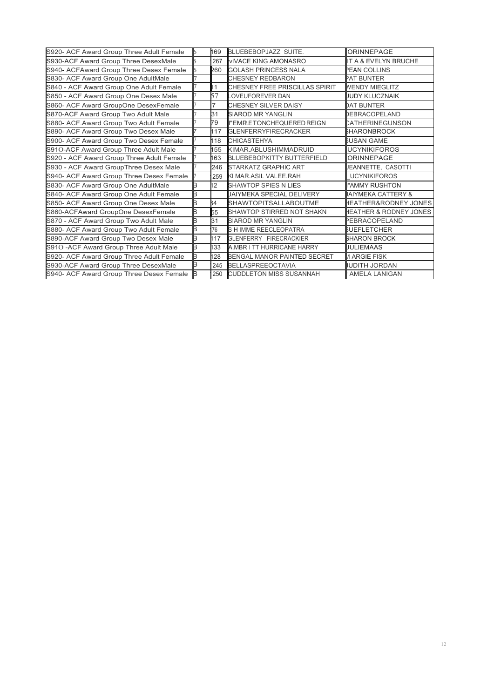| S920- ACF Award Group Three Adult Female  |    | 169            | <b>BLUEBEBOPJAZZ SUITE.</b>        | ORINNEPAGE                        |
|-------------------------------------------|----|----------------|------------------------------------|-----------------------------------|
| S930-ACF Award Group Three DesexMale      |    | 267            | <b>VIVACE KING AMONASRO</b>        | IT A & EVELYN BRUCHE              |
| S940- ACFAward Group Three Desex Female   |    | 260            | <b>GOLASH PRINCESS NALA</b>        | <b>PEAN COLLINS</b>               |
| S830- ACF Award Group One AdultMale       |    |                | <b>CHESNEY REDBARON</b>            | PAT BUNTER                        |
| S840 - ACF Award Group One Adult Female   |    | $\mathbf{1}$   | CHESNEY FREE PRISCILLAS SPIRIT     | <b>WENDY MIEGLITZ</b>             |
| S850 - ACF Award Group One Desex Male     |    | 57             | OVEUFOREVER DAN                    | UUDY KLUCZNAIK                    |
| S860- ACF Award GroupOne DesexFemale      |    | 7              | CHESNEY SILVER DAISY               | <b>DAT BUNTER</b>                 |
| S870-ACF Award Group Two Adult Male       |    | 31             | <b>SIAROD MR YANGLIN</b>           | DEBRACOPELAND                     |
| S880- ACF. Award Group Two Adult Female   |    | 79             | <b>I"EMPLETONCHEQUERED REIGN</b>   | CATHERINEGUNSON                   |
| S890- ACF Award Group Two Desex Male      |    | 17             | <b>GLENFERRYFIRECRACKER</b>        | <b>SHARONBROCK</b>                |
| S900- ACF Award Group Two Desex Female    |    | 18             | <b>CHICASTEHYA</b>                 | <b>SUSAN GAME</b>                 |
| S91O-ACF Award Group Three Adult Male     |    | 55             | KIMAR.ABLUSHIMMADRUID              | <b>UCYNIKIFOROS</b>               |
| S920 - ACF Award Group Three Adult Female |    | 63             | <b>BLUEBEBOPKITTY BUTTERFIELD</b>  | ORINNEPAGE                        |
| S930 - ACF Award GroupThree Desex Male    |    | 246            | <b>STARKATZ GRAPHIC ART</b>        | JEANNETTE, CASOTTI                |
| S940- ACF Award Group Three Desex Female  |    | 259            | KI MAR.ASIL VALEE.RAH              | <b>UCYNIKIFOROS</b>               |
| S830- ACF Award Group One AdultMale       |    | $\overline{2}$ | <b>SHAWTOP SPIES N LIES</b>        | "AMMY RUSHTON                     |
| S840- ACF Award Group One Adult Female    | B. |                | <b>JAIYMEKA SPECIAL DELIVERY</b>   | IAIYMEKA CATTERY &                |
| S850- ACF Award Group One Desex Male      | в  | 64             | SHAWTOPITSALLABOUTME               | HEATHER&RODNEY JONES              |
| S860-ACFAward GroupOne DesexFemale        |    | 55             | SHAWTOP STIRRED NOT SHAKN          | <b>HEATHER &amp; RODNEY JONES</b> |
| S870 - ACF Award Group Two Adult Male     | B  | 31             | <b>SIAROD MR YANGLIN</b>           | PEBRACOPELAND                     |
| S880- ACF Award Group Two Adult Female    | B  | 76             | S H IMME REECLEOPATRA              | <b>SUEFLETCHER</b>                |
| S890-ACF Award Group Two Desex Male       | B  | 17             | <b>GLENFERRY FIRECRACKIER</b>      | <b>SHARON BROCK</b>               |
| S91O-ACF Award Group Three Adult Male     | B  | 33             | A.MBR I TT HURRICANE HARRY         | <b>JULIEMAAS</b>                  |
| S920- ACF Award Group Three Adult Female  | в  | 28             | <b>BENGAL MANOR PAINTED SECRET</b> | <b>MARGIE FISK</b>                |
| S930-ACF Award Group Three DesexMale      |    | 245            | <b>BELLASPREEOCTAVIA</b>           | JUDITH JORDAN                     |
| S940- ACF Award Group Three Desex Female  |    | 250            | <b>CUDDLETON MISS SUSANNAH</b>     | <b>AMELA LANIGAN</b>              |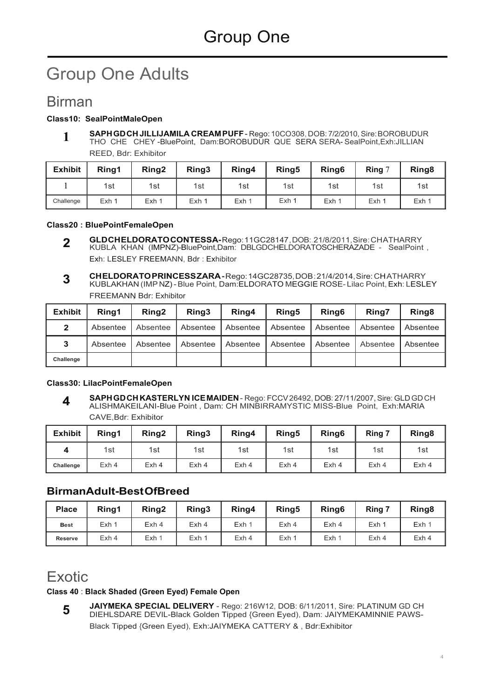# Group One Adults

## Birman

#### **Class10: SealPointMaleOpen**

**SAPH GD CH JILLIJAMILA CREAM PUFF** - Rego: 10CO308, DOB: 7/2/2010, Sire: BOROBUDUR THO CHE CHEY -BluePoint, Dam:BOROBUDUR QUE SERA SERA- SealPoint,Exh:JILLIAN REED, Bdr: Exhibitor **1**

| <b>Exhibit</b> | Ring1 | Ring <sub>2</sub> | Ring3 | Ring4 | Ring <sub>5</sub> | Ring <sub>6</sub> | Ring $7$ | Ring <sub>8</sub> |
|----------------|-------|-------------------|-------|-------|-------------------|-------------------|----------|-------------------|
|                | 1st   | 1st               | 1st   | 1st   | 1st               | 1st               | 1st      | 1st               |
| Challenge      | Exh 1 | Exh 1             | Exh 1 | Exh 1 | Exh 1             | Exh 1             | Exh 1    | Exh 1             |

#### **Class20 : BluePointFemaleOpen**

- **GLD CH ELDORATO CONTESSA-** Rego: 11GC28147 , DOB:. 21/8/2011, Sire: CH ATHARRY KUBLA KHAN (IMPNZ)-BluePoint,Dam: DBLGDCHELDORATOSCHERAZADE - SealPoint , Exh: LESLEY FREEMANN, Bdr : Exhibitor **2**
- **CH ELDORATO PRINCESS ZARA** Rego: 14GC28735, DOB : 21/4/2014, Sire: CH ATHARRY KUBLAKHAN (IMP NZ) - Blue Point, Dam:ELDORATO MEGGIE ROSE- Lilac Point, Exh: LESLEY FREEMANN Bdr: Exhibitor **3**

| <b>Exhibit</b> | Rina1    | Rina <sub>2</sub> | Ring3    | Ring4    | Ring <sub>5</sub> | Ring <sub>6</sub> | Ring7    | Ring <sub>8</sub> |
|----------------|----------|-------------------|----------|----------|-------------------|-------------------|----------|-------------------|
| $\mathbf{2}$   | Absentee | Absentee          | Absentee | Absentee | Absentee          | Absentee          | Absentee | Absentee          |
| 3              | Absentee | Absentee          | Absentee | Absentee | Absentee          | Absentee          | Absentee | Absentee          |
| Challenge      |          |                   |          |          |                   |                   |          |                   |

#### **Class30: LilacPointFemaleOpen**

**SAPH GD CH KASTERLYN ICE MAIDEN** - Rego: FCCV 26492, DOB: 27/11/2007, Sire: GLD GD CH ALISHMAKEILANI-Blue Point , Dam: CH MINBIRRAMYSTIC MISS-Blue Point, Exh:MARIA CAVE,Bdr: Exhibitor **4**

| <b>Exhibit</b> | Ring1 | Ring <sub>2</sub> | Ring3 | Ring4 | Ring5 | Ring <sub>6</sub> | Ring 7 | Ring <sub>8</sub> |
|----------------|-------|-------------------|-------|-------|-------|-------------------|--------|-------------------|
| Δ              | 1st   | 1st               | 1st   | 1st   | 1st   | 1st               | 1st    | 1st               |
| Challenge      | Exh 4 | Exh 4             | Exh 4 | Exh 4 | Exh 4 | Exh <sub>4</sub>  | Exh 4  | Exh <sub>4</sub>  |

### **BirmanAdult-Best OfBreed**

| <b>Place</b>   | Ring1 | Ring <sub>2</sub> | Ring3 | Ring4 | Ring <sub>5</sub> | Ring <sub>6</sub> | Ring 7 | Ring <sub>8</sub> |
|----------------|-------|-------------------|-------|-------|-------------------|-------------------|--------|-------------------|
| <b>Best</b>    | Exh 1 | Exh <sub>4</sub>  | Exh 4 | Exh 1 | Exh 4             | Exh 4             | Exh 1  | Exh               |
| <b>Reserve</b> | Exh 4 | Exh 1             | Exh 1 | Exh 4 | Exh 1             | Exh 1             | Exh 4  | Exh 4             |

## Exotic

#### **Class 40** : **Black Shaded (Green Eyed) Female Open**

**JAIYMEKA SPECIAL DELIVERY** - Rego: 216W12, DOB: 6/11/2011, Sire: PLATINUM GD CH DIEHLSDARE DEVIL-Black Golden Tipped {Green Eyed), Dam: JAIYMEKAMINNIE PAWS-Black Tipped {Green Eyed), Exh:JAIYMEKA CATTERY & , Bdr:Exhibitor **5**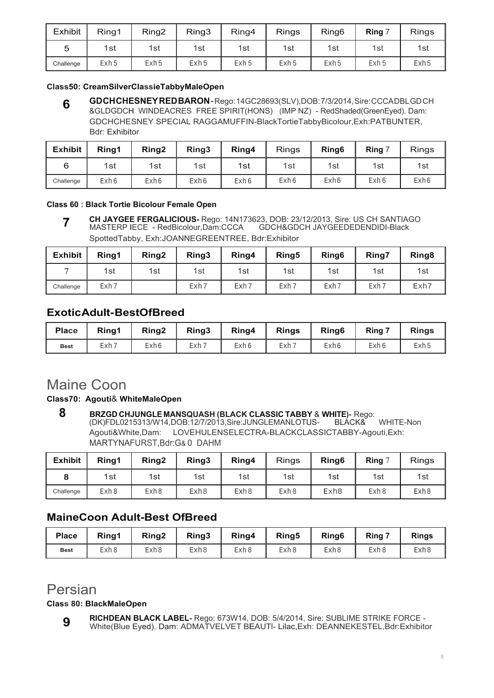| <b>Exhibit</b> | Ring1 | Ring <sub>2</sub> | Ring3 | Ring4 | <b>Rings</b> | Ring <sub>6</sub> | Ring  | <b>Rings</b> |
|----------------|-------|-------------------|-------|-------|--------------|-------------------|-------|--------------|
| 5              | 1st   | 1st               | 1st   | 1st   | 1st          | 1st               | 1st   | 1st          |
| Challenge      | Exh 5 | Exh 5             | Exh 5 | Exh 5 | Exh 5        | Exh 5             | Exh 5 | Exh 5        |

#### **Class50: CreamSilverClassieTabbyMaleOpen**

**GD CH CHESNEY RED BARON** - Rego: 14GC28693(SLV),DOB: 7/3/2014, Sire: CCCA DBL GD CH &GLDGDCH WINDEACRES FREE SPIRIT(HONS) (IMP NZ) - RedShaded(GreenEyed), Dam: GDCHCHESNEY SPECIAL RAGGAMUFFIN-BlackTortieTabbyBicolour,Exh:PATBUNTER, Bdr: Exhibitor **6**

| <b>Exhibit</b> | Ring1 | Ring <sub>2</sub> | Ring <sub>3</sub> | Ring4 | <b>Rings</b> | Ring <sub>6</sub> | Ring 7 | <b>Rings</b> |
|----------------|-------|-------------------|-------------------|-------|--------------|-------------------|--------|--------------|
| 6              | 1st   | 1st               | 1st               | 1st   | 1st          | 1st               | 1st    | 1st          |
| Challenge      | Exh 6 | Exh 6             | Exh 6             | Exh 6 | Exh 6        | Exh 6             | Exh 6  | Exh 6        |

#### **Class 60 : Black Tortie Bicolour Female Open**

**CH JAYGEE FERGALICIOUS-** Rego: 14N173623, DOB: 23/12/2013, Sire: US CH SANTIAGO MASTERP IECE - RedBicolour,Dam:CCCA GDCH&GDCH JAYGEEDEDENDIDI-Black SpottedTabby, Exh:JOANNEGREENTREE, Bdr:Exhibitor **7**

| <b>Exhibit</b> | Ring1 | Ring <sub>2</sub> | Ring3 | Ring4 | Ring <sub>5</sub> | Ring <sub>6</sub> | <b>Ring7</b> | Ring <sub>8</sub> |
|----------------|-------|-------------------|-------|-------|-------------------|-------------------|--------------|-------------------|
|                | 1st   | 1st               | 1st   | 1st   | 1st               | 1st               | 1st          | 1st               |
| Challenge      | Exh 7 |                   | Exh 7 | Exh 7 | Exh 7             | Exh 7             | Exh 7        | Exh7              |

### **Exotic AduIt- BestOfBreed**

| <b>Place</b> | Ring1 | Ring <sub>2</sub> | Ring3 | Ring4 | <b>Rings</b> | Ring <sub>6</sub> | Ring 7 | <b>Rings</b> |
|--------------|-------|-------------------|-------|-------|--------------|-------------------|--------|--------------|
| <b>Best</b>  | Exh 7 | Exh6              | Exh 7 | Exh 6 | Exh 7        | Exh 6             | Exh 6  | Exh 5        |

## Maine Coon

#### **Class70: Agouti**& **WhiteMaleOpen**

**8** BRZGD CHJUNGLE MANSQUASH (BLACK CLASSIC TABBY & WHITE)- Rego:<br>(DK)FDL0215313/W14,DOB:12/7/2013,Sire:JUNGLEMANLOTUS- BLACK& (DK)FDL0215313/W14,DOB:12/7/2013,Sire:JUNGLEMANLOTUS- BLACK& WHITE-Non Agouti&White,Dam: LOVEHULENSELECTRA-BLACKCLASSICTABBY-Agouti,Exh: MARTYNAFURST,Bdr:G& 0 DAHM

| <b>Exhibit</b> | Ring1 | Ring <sub>2</sub> | Ring3 | Ring4 | Rings | Ring <sub>6</sub> | Ring $\degree$ | <b>Rings</b> |
|----------------|-------|-------------------|-------|-------|-------|-------------------|----------------|--------------|
|                | 1st   | 1st               | 1st   | 1st   | 1st   | 1st               | 1st            | 1st          |
| Challenge      | Exh 8 | Exh 8             | Exh 8 | Exh 8 | Exh 8 | Exh8              | Exh 8          | Exh 8        |

### **MaineCoon Adult-Best OfBreed**

| <b>Place</b> | Ring1 | Ring <sub>2</sub> | Ring3 | Ring4 | Ring <sub>5</sub> | Ring <sub>6</sub> | Ring 7 | <b>Rings</b> |
|--------------|-------|-------------------|-------|-------|-------------------|-------------------|--------|--------------|
| <b>Best</b>  | Exh 8 | Exh 8             | Exh 8 | Exh 8 | Exh 8             | Exh 8             | Exh ε  | Exh 8        |

## Persian

#### **Class 80: BlackMaleOpen**

**RICHDEAN BLACK LABEL-** Rego: 673W14, DOB: 5/4/2014, Sire: SUBLIME STRIKE FORCE - White(Blue Eyed), Dam: ADMATVELVET BEAUTl- Lilac,Exh: DEANNEKESTEL,Bdr:Exhibitor **9**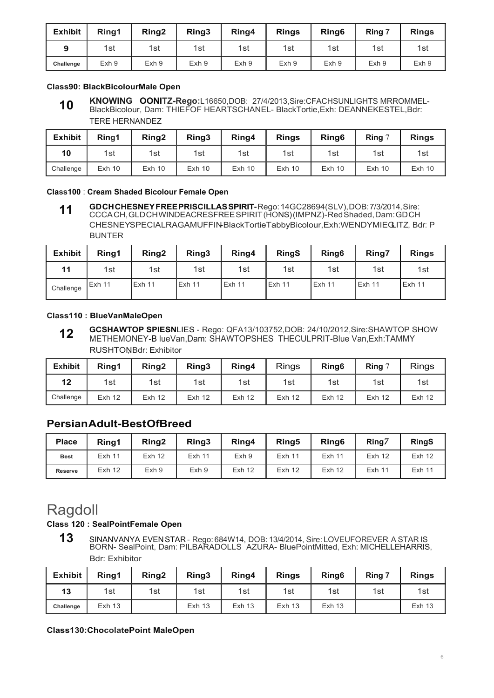| <b>Exhibit</b> | Rina1 | Ring <sub>2</sub> | Ring3 | Ring4            | <b>Rings</b> | Ring <sub>6</sub> | Ring 7 | <b>Rings</b> |
|----------------|-------|-------------------|-------|------------------|--------------|-------------------|--------|--------------|
|                | 1st   | 1st               | 1st   | 1st              | 1st          | 1st               | 1st    | 1st          |
| Challenge      | Exh 9 | Exh 9             | Exh 9 | Exh <sub>9</sub> | Exh 9        | Exh 9             | Exh 9  | Exh 9        |

#### **Class90: BlackBicolourMale Open**

**KNOWING OONITZ-Rego:**L16650,DOB: 27/4/2013,Sire:CFACHSUNLIGHTS MRROMMEL-BlackBicolour, Dam: THIEFOF HEARTSCHANEL- BlackTortie,Exh: DEANNEKESTEL,Bdr: TERE HERNANDEZ **10**

| <b>Exhibit</b> | Rina1    | Ring <sub>2</sub> | Ring3    | Ring4    | <b>Rings</b> | Ring <sub>6</sub> | Ring $7$ | <b>Rings</b> |
|----------------|----------|-------------------|----------|----------|--------------|-------------------|----------|--------------|
| 10             | 1st      | 1st               | 1st      | 1st      | 1st          | 1st               | 1st      | 1st          |
| Challenge      | $Exh$ 10 | $Exh$ 10          | $Exh$ 10 | $Exh$ 10 | $Exh$ 10     | $Exh$ 10          | $Exh$ 10 | $Exh$ 10     |

#### **Class100** : **Cream Shaded Bicolour Female Open**

**GD CH CHESNEY FREE PRISCILLAS SPIRIT-** Rego: 14GC28694(SLV), DOB: 7/3/2014, Sire: CCCA CH, GLD CH WINDEACRESFREE SPIRIT (HONS) (IMP NZ)- Red Shaded, Dam: GD CH CHESNEYSPECIALRAGAMUFFIN-BlackTortieTabbyBicolour,Exh:WENDYMIEGLITZ, Bdr: P BUNTER **11**

| <b>Exhibit</b> | Ring1  | Ring <sub>2</sub> | Ring3  | Ring4  | <b>RingS</b> | Ring <sub>6</sub> | Ring7    | <b>Rings</b>  |
|----------------|--------|-------------------|--------|--------|--------------|-------------------|----------|---------------|
| 11             | 1st    | 1st               | 1st    | 1st    | 1st          | 1st               | 1st      | 1st           |
| Challenge      | Exh 11 | Exh 11            | Exh 11 | Exh 11 | $I$ Exh 11   | <b>Exh 11</b>     | l Exh 11 | <b>Exh 11</b> |

#### **Class110 : BlueVanMaleOpen**

**GCSHAWTOP SPIESN**LIES - Rego: QFA13/103752,DOB: 24/10/2012,Sire:SHAWTOP SHOW METHEMONEY-B lueVan,Dam: SHAWTOPSHES THECULPRIT-Blue Van,Exh:TAMMY RUSHTONBdr: Exhibitor **12**

| <b>Exhibit</b> | Rina1         | Ring <sub>2</sub> | Ring3             | Ring4             | <b>Rings</b>      | Ring <sub>6</sub> | Ring 7            | <b>Rings</b>      |
|----------------|---------------|-------------------|-------------------|-------------------|-------------------|-------------------|-------------------|-------------------|
| 12             | 1st           | 1st               | 1st               | 1st               | 1st               | 1st               | 1st               | 1st               |
| Challenge      | <b>Exh 12</b> | Exh <sub>12</sub> | Exh <sub>12</sub> | Exh <sub>12</sub> | Exh <sub>12</sub> | Exh <sub>12</sub> | Exh <sub>12</sub> | Exh <sub>12</sub> |

### **Persian Adult-Best OfBreed**

| <b>Place</b>   | Ring1             | Ring <sub>2</sub> | Ring3             | Ring4             | Ring <sub>5</sub> | Ring <sub>6</sub> | Ring7             | <b>RingS</b>      |
|----------------|-------------------|-------------------|-------------------|-------------------|-------------------|-------------------|-------------------|-------------------|
| <b>Best</b>    | <b>Exh 11</b>     | Exh <sub>12</sub> | Exh <sub>11</sub> | Exh <sub>9</sub>  | <b>Exh 11</b>     | <b>Exh 11</b>     | Exh <sub>12</sub> | Exh <sub>12</sub> |
| <b>Reserve</b> | Exh <sub>12</sub> | Exh 9             | Exh 9             | Exh <sub>12</sub> | Exh <sub>12</sub> | Exh <sub>12</sub> | Exh 11            | Exh <sub>11</sub> |

## Ragdoll

#### **Class 120 : SealPointFemale Open**

**13** SINANVANYA EVEN STAR - Rego: 684W14, DOB: 13/4/2014, Sire: LOVEUFOREVER A STAR IS BORN- SealPoint, Dam: PILBARADOLLS AZURA- BluePointMitted, Exh: MICHELLEHARRIS, Bdr: Exhibitor

| <b>Exhibit</b> | Ring1             | Ring <sub>2</sub> | Ring3         | Ring4         | <b>Rings</b>      | Ring <sub>6</sub> | Ring 7 | <b>Rings</b>  |
|----------------|-------------------|-------------------|---------------|---------------|-------------------|-------------------|--------|---------------|
| 13             | 1st               | 1st               | 1st           | 1st           | 1st               | 1st               | 1st    | 1st           |
| Challenge      | Exh <sub>13</sub> |                   | <b>Exh 13</b> | <b>Exh 13</b> | Exh <sub>13</sub> | <b>Exh 13</b>     |        | <b>Exh 13</b> |

#### **Class130:ChocolatePoint MaleOpen**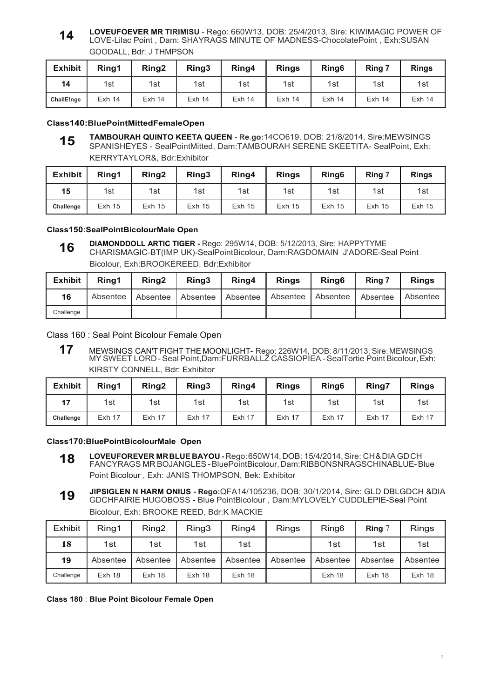#### **LOVEUFOEVER MR TIRIMISU** - Rego: 660W13, DOB: 25/4/2013, Sire: KIWIMAGIC POWER OF LOVE-Lilac Point , Dam: SHAYRAGS MINUTE OF MADNESS-ChocolatePoint , Exh:SUSAN GOODALL, Bdr: J THMPSON **14**

| <b>Exhibit</b> | Ring1             | Ring <sub>2</sub> | Ring3             | Ring4    | <b>Rings</b>      | Ring <sub>6</sub> | Ring 7   | <b>Rings</b>  |
|----------------|-------------------|-------------------|-------------------|----------|-------------------|-------------------|----------|---------------|
| 14             | 1st               | 1st               | 1st               | 1st      | 1st               | 1st               | 1st      | 1st           |
| ChallE!nge     | Exh <sub>14</sub> | $Exh$ 14          | Exh <sub>14</sub> | $Exh$ 14 | Exh <sub>14</sub> | $Exh$ 14          | $Exh$ 14 | <b>Exh 14</b> |

#### **Class140:BluePointMittedFemaleOpen**

**TAMBOURAH QUINTO KEETA QUEEN - Re,go:**14CO619, DOB: 21/8/2014, Sire:MEWSINGS SPANISHEYES - SealPointMitted, Dam:TAMBOURAH SERENE SKEETITA- SealPoint, Exh: KERRYTAYLOR&, Bdr:Exhibitor **15**

| <b>Exhibit</b> | Ring1         | Ring <sub>2</sub> | Ring3         | Ring4         | <b>Rings</b>  | Ring <sub>6</sub> | Ring 7   | <b>Rings</b>  |
|----------------|---------------|-------------------|---------------|---------------|---------------|-------------------|----------|---------------|
| 15             | 1st           | 1st               | 1st           | 1st           | 1st           | 1st               | 1st      | 1st           |
| Challenge      | <b>Exh 15</b> | Exh <sub>15</sub> | <b>Exh 15</b> | <b>Exh 15</b> | <b>Exh 15</b> | <b>Exh 15</b>     | $Exh$ 15 | <b>Exh 15</b> |

#### **Class150:SealPointBicolourMale Open**

**DIAMONDDOLL ARTIC TIGER -** Rego: 295W14, DOB: 5/12/2013, Sire: HAPPYTYME CHARISMAGIC-BT(IMP UK)-SealPointBicolour, Dam:RAGDOMAIN J'ADORE-Seal Point Bicolour, Exh:BROOKEREED, Bdr:Exhibitor **16**

| Exhibit   | Rina1 | Ring <sub>2</sub> | Ring <sub>3</sub> | Ring4                                                                      | <b>Rings</b> | Ring <sub>6</sub> | Ring 7 | <b>Rings</b> |
|-----------|-------|-------------------|-------------------|----------------------------------------------------------------------------|--------------|-------------------|--------|--------------|
| 16        |       |                   |                   | Absentee   Absentee   Absentee   Absentee   Absentee   Absentee   Absentee |              |                   |        | Absentee     |
| Challenge |       |                   |                   |                                                                            |              |                   |        |              |

Class 160 : Seal Point Bicolour Female Open

**17** MEWSINGS CAN'T FIGHT THE MOONLIGHT- Rego: 226W14, DOB: 8/11/2013, Sire: MEWSINGS MY SWEET LORD - Seal Point,Dam:FURRBALLZ CASSIOPIEA - SealTortie Point Bicolour, Exh: KIRSTY CONNELL, Bdr: Exhibitor

| <b>Exhibit</b> | Ring1  | Ring <sub>2</sub> | Ring3         | Ring4         | <b>Rings</b> | Ring <sub>6</sub> | Ring7         | <b>Rings</b>  |
|----------------|--------|-------------------|---------------|---------------|--------------|-------------------|---------------|---------------|
| 17             | 1st    | 1st               | 1st           | 1st           | 1st          | 1st               | 1st           | 1st           |
| Challenge      | Exh 17 | Exh 17            | <b>Exh 17</b> | <b>Exh 17</b> | Exh 17       | <b>Exh 17</b>     | <b>Exh 17</b> | <b>Exh 17</b> |

**Class170:BluePointBicolourMale Open**

**LOVEUFOREVER MR BLUE BAYOU -** Rego: 650W14, DOB: 15/4/2014, Sire: CH & DIA GD CH FANCYRAGS MR BOJANGLES - BluePointBicolour, Dam:RIBBONSNRAGSCHINABLUE- Blue Point Bicolour , Exh: JANIS THOMPSON, Bek: Exhibitor **18**

**JIPSIGLEN N HARM ONIUS - Rego:**QFA14/105236, DOB: 30/1/2014, Sire: GLD DBLGDCH &DIA GDCHFAIRIE HUGOBOSS - Blue PointBicolour , Dam:MYLOVELY CUDDLEPIE-Seal Point Bicolour, Exh: BROOKE REED, Bdr:K MACKIE **19**

| Exhibit   | Ring1    | Ring <sub>2</sub> | Ring3    | Ring4             | <b>Rings</b> | Ring <sub>6</sub> | Ring $7$ | <b>Rings</b> |
|-----------|----------|-------------------|----------|-------------------|--------------|-------------------|----------|--------------|
| 18        | 1st      | 1st               | 1st      | 1st               |              | 1st               | 1st      | 1st          |
| 19        | Absentee | Absentee          | Absentee | Absentee          | Absentee     | Absentee          | Absentee | Absentee     |
| Challenge | Exh 18   | $Exh$ 18          | $Exh$ 18 | Exh <sub>18</sub> |              | $Exh$ 18          | $Exh$ 18 | Exh 18       |

**Class 180** : **Blue Point Bicolour Female Open**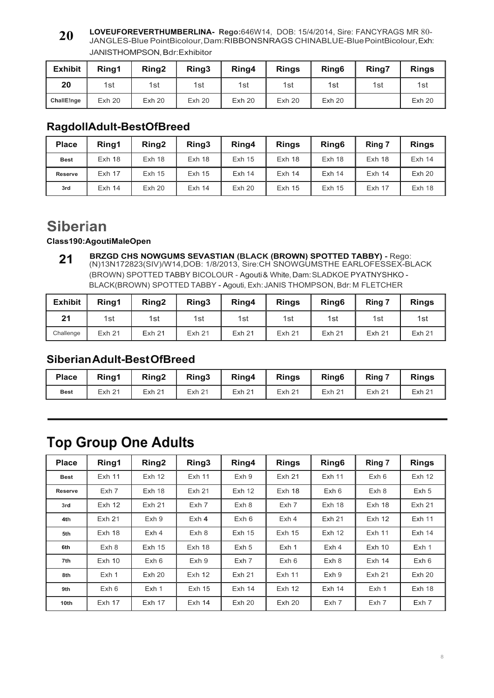#### **LOVEUFOREVERTHUMBERLINA- Rego:**646W14, DOB: 15/4/2014, Sire: FANCYRAGS MR 80- JANGLES-Blue PointBicolour, Dam:RIBBONSNRAGS CHINABLUE-Blue PointBicolour, Exh: JANISTHOMPSON, Bdr:Exhibitor **20**

| <b>Exhibit</b> | Ring1 | Ring <sub>2</sub> | Ring3 | Ring4 | <b>Rings</b> | Ring <sub>6</sub> | Ring7 | <b>Rings</b> |
|----------------|-------|-------------------|-------|-------|--------------|-------------------|-------|--------------|
| 20             | 1st   | 1st               | 1st   | 1st   | 1st          | 1st               | 1st   | 1st          |
| ChallE!nge     | Exh20 | Exh20             | Exh20 | Exh20 | Exh20        | <b>Exh 20</b>     |       | Exh20        |

### **RagdollAdult-BestOfBreed**

| <b>Place</b>   | Rina1         | Ring <sub>2</sub> | Ring3             | Ring4             | <b>Rings</b>  | Ring <sub>6</sub> | Ring 7   | <b>Rings</b> |
|----------------|---------------|-------------------|-------------------|-------------------|---------------|-------------------|----------|--------------|
| <b>Best</b>    | $Exh$ 18      | Exh 18            | $Exh$ 18          | <b>Exh 15</b>     | $Exh$ 18      | $Exh$ 18          | $Exh$ 18 | $Exh$ 14     |
| <b>Reserve</b> | <b>Exh 17</b> | Exh 15            | Exh <sub>15</sub> | $Exh$ 14          | $Exh$ 14      | $Exh$ 14          | $Exh$ 14 | Exh20        |
| 3rd            | $Exh$ 14      | <b>Exh 20</b>     | $Exh$ 14          | Exh <sub>20</sub> | <b>Exh 15</b> | <b>Exh 15</b>     | $Exh$ 17 | $Exh$ 18     |

## **Siberian**

### **Class190:AgoutiMaleOpen**

**BRZGD CHS NOWGUMS SEVASTIAN (BLACK (BROWN) SPOTTED TABBY) -** Rego: (N)13N172823(SIV)/W14,DOB: 1/8/2013, Sire:CH SNOWGUMSTHE EARLOFESSEX-BLACK (BROWN) SPOTTED TABBY BICOLOUR - Agouti & White, Dam: SLADKOE PYATNYSHKO - BLACK(BROWN) SPOTTED TABBY - Agouti, Exh: JANIS THOMPSON, Bdr: M FLETCHER **21**

| <b>Exhibit</b> | Ring1             | Ring <sub>2</sub> | Ring3             | Ring4             | <b>Rings</b>      | Ring <sub>6</sub> | Ring 7        | <b>Rings</b>      |
|----------------|-------------------|-------------------|-------------------|-------------------|-------------------|-------------------|---------------|-------------------|
| 21             | 1st               | 1st               | 1st               | 1st               | 1st               | 1st               | 1st           | 1st               |
| Challenge      | Exh <sub>21</sub> | Exh <sub>21</sub> | Exh <sub>21</sub> | Exh <sub>21</sub> | Exh <sub>21</sub> | Exh <sub>21</sub> | <b>Exh 21</b> | Exh <sub>21</sub> |

### **Siberian Adult-Best OfBreed**

| <b>Place</b> | Rina1             | Ring <sub>2</sub> | Ring3         | Ring4         | <b>Rings</b>      | Ring <sub>6</sub>  | Ring 7            | <b>Rings</b>      |
|--------------|-------------------|-------------------|---------------|---------------|-------------------|--------------------|-------------------|-------------------|
| <b>Best</b>  | Exh <sub>21</sub> | Exh <sub>21</sub> | <b>Exh 21</b> | <b>Exh 21</b> | Exh <sub>21</sub> | Exh 2 <sup>4</sup> | Exh <sub>21</sub> | Exh <sub>21</sub> |

## **Top Group One Adults**

| <b>Place</b>   | Ring1             | Ring <sub>2</sub> | Ring3             | Ring4             | <b>Rings</b>      | Ring <sub>6</sub> | Ring 7            | <b>Rings</b>      |
|----------------|-------------------|-------------------|-------------------|-------------------|-------------------|-------------------|-------------------|-------------------|
| <b>Best</b>    | Exh <sub>11</sub> | Exh <sub>12</sub> | Exh <sub>11</sub> | Exh 9             | Exh <sub>21</sub> | <b>Exh 11</b>     | Exh <sub>6</sub>  | Exh <sub>12</sub> |
| <b>Reserve</b> | Exh 7             | Exh <sub>18</sub> | <b>Exh 21</b>     | <b>Exh 12</b>     | Exh 18            | Exh <sub>6</sub>  | Exh 8             | Exh 5             |
| 3rd            | Exh <sub>12</sub> | Exh <sub>21</sub> | Exh 7             | Exh 8             | Exh 7             | Exh <sub>18</sub> | Exh <sub>18</sub> | <b>Exh 21</b>     |
| 4th            | Exh <sub>21</sub> | Exh 9             | $Exh$ 4           | Exh <sub>6</sub>  | Exh <sub>4</sub>  | <b>Exh 21</b>     | Exh <sub>12</sub> | <b>Exh 11</b>     |
| 5th            | $Exh$ 18          | Exh <sub>4</sub>  | Exh 8             | Exh <sub>15</sub> | Exh <sub>15</sub> | Exh <sub>12</sub> | Exh <sub>11</sub> | <b>Exh 14</b>     |
| 6th            | Exh 8             | <b>Exh 15</b>     | Exh <sub>18</sub> | Exh <sub>5</sub>  | Exh 1             | Exh 4             | $Exh$ 10          | Exh <sub>1</sub>  |
| 7th            | $Exh$ 10          | Exh <sub>6</sub>  | Exh 9             | Exh 7             | Exh <sub>6</sub>  | Exh 8             | $Exh$ 14          | Exh 6             |
| 8th            | Exh 1             | Exh20             | Exh <sub>12</sub> | <b>Exh 21</b>     | Exh <sub>11</sub> | Exh 9             | Exh <sub>21</sub> | Exh20             |
| 9th            | Exh <sub>6</sub>  | Exh 1             | Exh <sub>15</sub> | Exh <sub>14</sub> | Exh <sub>12</sub> | Exh <sub>14</sub> | Exh 1             | <b>Exh 18</b>     |
| 10th           | Exh <sub>17</sub> | <b>Exh 17</b>     | Exh <sub>14</sub> | Exh20             | <b>Exh 20</b>     | Exh 7             | Exh 7             | Exh 7             |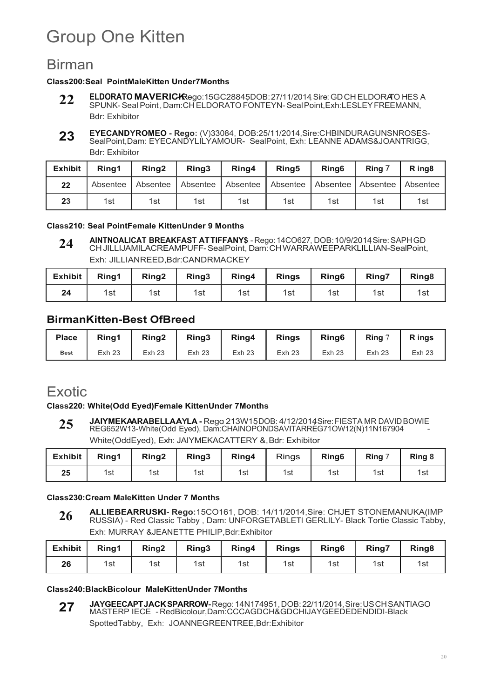# Group One Kitten

## Birman

#### **Class200:Seal PointMaleKitten Under7Months**

- **ELDORATO MAVERIC-KRego:15GC28845DOB:27/11/2014, Sire: GD CH ELDORATO HES A** SPUNK- Seal Point , Dam:CH ELDORATO FONTEYN- Seal Point,Exh:LESLEY FREEMANN, Bdr: Exhibitor **22**
- **EYECANDYROMEO Rego:** (V)33084, DOB:25/11/2014,Sire:CHBINDURAGUNSNROSES-SealPoint,Dam: EYECANDYLILYAMOUR- SealPoint, Exh: LEANNE ADAMS&JOANTRIGG, Bdr: Exhibitor **23**

| <b>Exhibit</b> | Ring1    | Rina <sub>2</sub> | Rina <sub>3</sub> | Ring4    | Ring <sub>5</sub>            | Ring <sub>6</sub> | Ring 7 | R ing <sub>8</sub> |
|----------------|----------|-------------------|-------------------|----------|------------------------------|-------------------|--------|--------------------|
| 22             | Absentee | Absentee          | Absentee          | Absentee | Absentee Absentee Absentee I |                   |        | Absentee           |
| 23             | 1st      | 1st               | 1st               | 1st      | 1st                          | 1st               | 1st    | 1st                |

#### **Class210: Seal PointFemale KittenUnder 9 Months**

**AINTNOALICAT BREAKFAST ATTIFFANY\$** - Rego:14CO627, DOB:10/9/2014,Sire:SAPHGD CH JILLIJAMILACREAMPUFF- SealPoint, Dam: CH WARRAWEEPARKLILLIAN-SealPoint, Exh: JILLIANREED,Bdr:CANDRMACKEY **24**

| Exhibit | Ring1 | Ring <sub>2</sub> | Ring <sub>3</sub> | Ring4 | <b>Rings</b> | Ring <sub>6</sub> | Ring7 | Ring <sub>8</sub> |
|---------|-------|-------------------|-------------------|-------|--------------|-------------------|-------|-------------------|
| 24      | 1st   | 1st               | 1st               | 1st   | 1st          | 1st               | 1st   | 1st               |

### **BirmanKitten-Best OfBreed**

| <b>Place</b> | Rina1             | Ring <sub>2</sub> | Ring3             | Ring4             | <b>Rings</b>  | Ring <sub>6</sub> | Ring 7        | R ings            |
|--------------|-------------------|-------------------|-------------------|-------------------|---------------|-------------------|---------------|-------------------|
| <b>Best</b>  | Exh <sub>23</sub> | Exh <sub>23</sub> | Exh <sub>23</sub> | Exh <sub>23</sub> | <b>Exh 23</b> | Exh <sub>23</sub> | <b>Exh 23</b> | Exh <sub>23</sub> |

## **Exotic**

#### **Class220: White(Odd Eyed)Female KittenUnder 7Months**

**JAIYMEKAARABELLAAYLA -** Rego 213W15DOB: 4/12/2014Sire: FIESTA MR DAVID BOWIE REG652W13-White(Odd Eyed), Dam:CHAINOPONDSAVITARREG71OW12(N)11N167904 - White(OddEyed), Exh: JAIYMEKACATTERY &, Bdr: Exhibitor **25**

| <b>Exhibit</b> | Ring1 | Ring <sub>2</sub> | Ring3 | Ring4 | <b>Rings</b> | Ring <sub>6</sub> | Ring 7 | Ring 8 |
|----------------|-------|-------------------|-------|-------|--------------|-------------------|--------|--------|
| 25             | 1st   | 1st               | 1st   | 1st   | 1st          | 1st               | 1st    | 1st    |

#### **Class230:Cream MaleKitten Under 7 Months**

**ALLIEBEARRUSKI- Rego:**15CO161, DOB: 14/11/2014,Sire: CHJET STONEMANUKA(IMP RUSSIA) - Red Classic Tabby , Dam: UNFORGETABLETl GERLILY- Black Tortie Classic Tabby, Exh: MURRAY &JEANETTE PHILIP,Bdr:Exhibitor **26**

| Exhibit | Ring1 | Ring <sub>2</sub> | Ring3 | Ring4 | <b>Rings</b> | Ring <sub>6</sub> | Ring7 | Ring <sub>8</sub> |
|---------|-------|-------------------|-------|-------|--------------|-------------------|-------|-------------------|
| 26      | 1st   | 1st               | 1st   | 1st   | 1st          | 1st               | 1st   | 1st               |

#### **Class240:BlackBicolour MaleKittenUnder 7Months**

**JAYGEECAPT JACK SPARROW-** Rego: 14N174951, DOB: 22/11/2014, Sire: US CH SANTIAGO MASTERP IECE - RedBicolour,Dam:CCCAGDCH&GDCHIJAYGEEDEDENDIDI-Black SpottedTabby, Exh: JOANNEGREENTREE,Bdr:Exhibitor **27**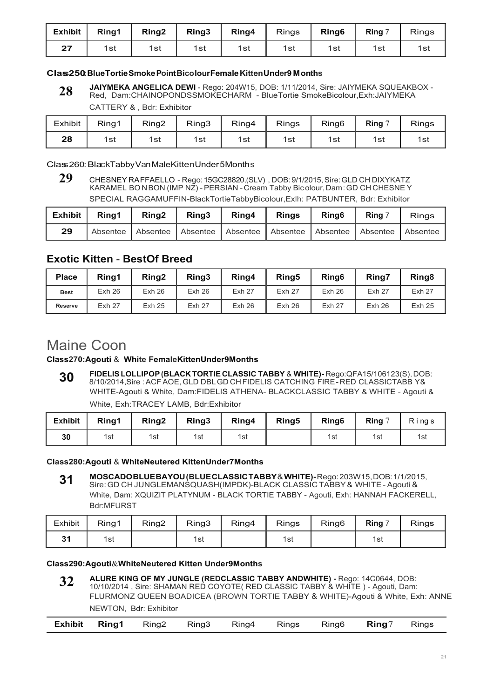| <b>Exhibit</b> | Ring1 | Ring <sub>2</sub> | Ring3 | Ring4 | <b>Rings</b> | Ring <sub>6</sub> | Ring 7 | <b>Rings</b> |
|----------------|-------|-------------------|-------|-------|--------------|-------------------|--------|--------------|
| クフ             | 1st   | 1st               | 1st   | 1st   | 1st          | 1st               | 1st    | 1st          |

#### **Class250:BlueTortieSmokePointBicolourFemaleKittenUnder9 Months**

**JAIYMEKA ANGELICA DEWI** - Rego: 204W15, DOB: 1/11/2014, Sire: JAIYMEKA SQUEAKBOX - Red, Dam:CHAINOPONDSSMOKECHARM - BlueTortie SmokeBicolour,Exh:JAIYMEKA **28**

CATTERY & , Bdr: Exhibitor

| Exhibit | Ring1 | Ring <sub>2</sub> | Ring3 | Ring4 | Rings | Ring <sub>6</sub> | $\mathsf{Ring} \subset \mathsf{R}$ | Rings |
|---------|-------|-------------------|-------|-------|-------|-------------------|------------------------------------|-------|
| 28      | 1st   | 1st               | 1st   | 1st   | 1st   | 1st               | 1st                                | 1st   |

Class260:BlackTabbyVanMaleKittenUnder5Months

**<sup>29</sup>** CHESNEY RA FFAELLO - Rego: 15GC28820,(SLV) , DOB: 9/1/2015, Sire: GLD CH DIXYKATZ KARAMEL BO N BON (IMP NZ) - PERSIAN - Cream Tabby Bic olour, Dam : GD CH CHESNE Y SPECIAL RAGGAMUFFIN-BlackTortieTabbyBicolour,Exlh: PATBUNTER, Bdr: Exhibitor

| <b>Exhibit</b> | Rina1      | Ring <sub>2</sub> | Ring3 | Ring4                                                         | <b>Rings</b> | Ring <sub>6</sub> | Ring 7 | <b>Rings</b> |
|----------------|------------|-------------------|-------|---------------------------------------------------------------|--------------|-------------------|--------|--------------|
| 29             | Absentee I |                   |       | Absentee Absentee   Absentee   Absentee   Absentee   Absentee |              |                   |        | Absentee     |

### **Exotic Kitten** - **BestOf Breed**

| <b>Place</b>   | Rina1         | Ring <sub>2</sub> | Ring3         | Ring4             | Ring <sub>5</sub> | Ring <sub>6</sub> | Ring7             | Ring <sub>8</sub> |
|----------------|---------------|-------------------|---------------|-------------------|-------------------|-------------------|-------------------|-------------------|
| <b>Best</b>    | Exh26         | Exh26             | Exh26         | Exh <sub>27</sub> | <b>Exh 27</b>     | Exh26             | Exh <sub>27</sub> | <b>Exh 27</b>     |
| <b>Reserve</b> | <b>Exh 27</b> | Exh <sub>25</sub> | <b>Exh 27</b> | Exh26             | Exh26             | <b>Exh 27</b>     | Exh26             | <b>Exh 25</b>     |

## Maine Coon

#### **Class270:Agouti** & **White FemaleKittenUnder9Months**

**FlDELIS LOLLIPOP (BLACK TORTIE CLASSIC TABBY** & **WHITE)-** Rego:QFA15/106123(S), DOB: 8/10/2014,Sire : ACF AOE, GLD DBL GD CH FIDELIS CATCHING FIRE - RED CLASSICTABB Y& WH!TE-Agouti & White, Dam:FIDELIS ATHENA- BLACKCLASSIC TABBY & WHITE - Agouti & White, Exh:TRACEY LAMB, Bdr:Exhibitor **30**

| <b>Exhibit</b> | Ring1 | Ring <sub>2</sub> | Ring3 | Ring4 | Ring5 | Ring <sub>6</sub> | Ring $7$ | Rings |
|----------------|-------|-------------------|-------|-------|-------|-------------------|----------|-------|
| 30             | 1st   | 1st               | 1st   | 1st   |       | 1st               | 1st      | 1st   |

#### **Class280:Agouti** & **WhiteNeutered KittenUnder7Months**

**MOSCADO BLUE BAYOU (BLUE CLASSIC TABBY** & **WHITE)-** Rego: 203W15, DOB: 1/1/2015, Sire: GD CH JUNGLEMANSQUASH(IMPDK)-BLACK CLASSIC TABBY & WHITE - Agouti & White, Dam: XQUIZIT PLATYNUM - BLACK TORTIE TABBY - Agouti, Exh: HANNAH FACKERELL, Bdr:MFURST **31**

| Exhibit | Ring1 | Ring <sub>2</sub> | Ring3 | Ring4 | <b>Rings</b> | Ring <sub>6</sub> | Ring $7$ | <b>Rings</b> |
|---------|-------|-------------------|-------|-------|--------------|-------------------|----------|--------------|
| 24      | 1st   |                   | 1st   |       | 1st          |                   | 1st      |              |

#### **Class290:Agouti**&**WhiteNeutered Kitten Under9Months**

**ALURE KING OF MY JUNGLE (REDCLASSIC TABBY ANDWHITE) -** Rego: 14C0644, DOB: 10/10/2014 , Sire: SHAMAN RED COYOTE( RED CLASSIC TABBY & WHITE ) - Agouti, Dam: FLURMONZ QUEEN BOADICEA (BROWN TORTIE TABBY & WHITE)-Agouti & White, Exh: ANNE NEWTON, Bdr: Exhibitor **32**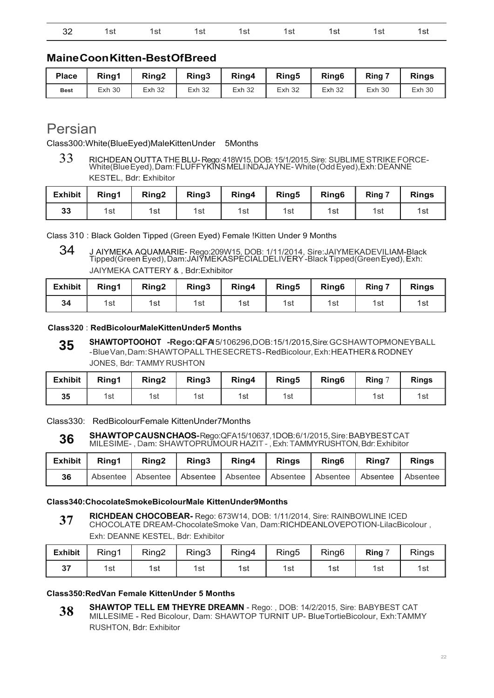|  | 32 1st 1st 1st 1st 1st 1st 1st 1st 1st |  |  |  |
|--|----------------------------------------|--|--|--|
|  |                                        |  |  |  |

### **Maine Coon Kitten-Best Of Breed**

| <b>Place</b> | Rina1 | Ring <sub>2</sub> | Ring3         | Ring4         | Ring5         | Ring <sub>6</sub> | Ring 7 | <b>Rings</b> |
|--------------|-------|-------------------|---------------|---------------|---------------|-------------------|--------|--------------|
| <b>Best</b>  | Exh30 | <b>Exh 32</b>     | <b>Exh 32</b> | <b>Exh 32</b> | <b>Exh 32</b> | <b>Exh 32</b>     | Exh30  | Exh30        |

## Persian

Class300:White(BlueEyed)MaleKittenUnder 5Months

<sup>33</sup> RICHDEAN OUTTA THE BLU- Rego: 418W15, DOB: 15/1/2015, Sire: SUBLIME STRIKE FORCE-White(Blue Eyed), Dam: FLUFFYKINS MELIINDA JAYNE- White (Odd Eyed),Exh: DEANNE KESTEL, Bdr: Exhibitor

| <b>Exhibit</b> | Ring1 | Ring <sub>2</sub> | Ring3 | Ring4 | Ring <sub>5</sub> | Ring <sub>6</sub> | Ring 7 | <b>Rings</b> |
|----------------|-------|-------------------|-------|-------|-------------------|-------------------|--------|--------------|
| 33             | 1st   | 1st               | 1st   | 1st   | 1st               | 1st               | 1st    | 1รเ          |

Class 310 : Black Golden Tipped (Green Eyed) Female !Kitten Under 9 Months

34 J AIYMEKA AQUAMARIE- Rego:209W15, DOB: 1/11/2014, Sire:JAIYMEKADEVILIAM-Black Tipped(Green Eyed), Dam:JAIYMEKASPECIALDELIVERY -Black Tipped(Green Eyed), Exh: JAIYMEKA CATTERY & , Bdr:Exhibitor

| <b>Exhibit</b> | Ring1 | Ring <sub>2</sub> | Ring3 | Ring4 | Ring <sub>5</sub> | Ring <sub>6</sub> | <b>Ring 7</b> | <b>Rings</b> |
|----------------|-------|-------------------|-------|-------|-------------------|-------------------|---------------|--------------|
| 34             | 1st   | 1st               | 1st   | 1st   | 1st               | 1st               | 1st           | 1st          |

#### **Class320** : **RedBicolourMaleKittenUnder5 Months**

**SHAWTOPTOOHOT -Rego:QFA**15/106296,DOB:15/1/2015,Sire:GCSHAWTOPMONEYBALL - Blue Van, Dam: SHAWTOPALL THE SECRETS - RedBicolour, Exh: HEATHER & RODNEY JONES, Bdr: TAMMY RUSHTON **35**

| <b>Exhibit</b> | Ring1 | Ring <sub>2</sub> | Ring3 | Ring4 | Ring <sub>5</sub> | Ring <sub>6</sub> | Ring 7 | <b>Rings</b> |
|----------------|-------|-------------------|-------|-------|-------------------|-------------------|--------|--------------|
| 35             | 1st   | 1st               | 1st   | 1st   | 1st               |                   | 1st    | 1st          |

Class330: RedBicolourFemale KittenUnder7Months

**SHAWTOP CAUSN CHAOS-** Rego:QFA15/10637,1DOB: 6/1/2015, Sire: BABYBEST CAT **36**

|  |  | المساري والمستقال والمناسب المستقل والمستقل والمستقل المستقل والمستقل والمستقلة والمستقلة |  |  |
|--|--|-------------------------------------------------------------------------------------------|--|--|

| Exhibit Ring1 | Ring <sub>2</sub> | Ring3 | Ring4                                                                                 | Rinas | <b>Ring6</b> | Rina7 | <b>Rings</b> |
|---------------|-------------------|-------|---------------------------------------------------------------------------------------|-------|--------------|-------|--------------|
| 36            |                   |       | Absentee   Absentee   Absentee   Absentee   Absentee   Absentee   Absentee   Absentee |       |              |       |              |

#### **Class340:ChocolateSmokeBicolourMale KittenUnder9Months**

**RICHDEAN CHOCOBEAR-** Rego: 673W14, DOB: 1/11/2014, Sire: RAINBOWLINE ICED CHOCOLATE DREAM-ChocolateSmoke Van, Dam:RICHDEANLOVEPOTION-LilacBicolour , Exh: DEANNE KESTEL, Bdr: Exhibitor **37**

| <b>Exhibit</b> | Ring1 | Ring2 | Ring3 | Ring4 | Ring <sub>5</sub> | Ring <sub>6</sub> | Ring $7$ | <b>Rings</b> |
|----------------|-------|-------|-------|-------|-------------------|-------------------|----------|--------------|
| 27             | 1st   | 1st   | 1st   | 1st   | 1st               | 1st               | 1st      | 1st          |

#### **Class350:RedVan Female KittenUnder 5 Months**

**SHAWTOP TELL EM THEYRE DREAMN** - Rego: , DOB: 14/2/2015, Sire: BABYBEST CAT MILLESIME - Red Bicolour, Dam: SHAWTOP TURNIT UP- BlueTortieBicolour, Exh:TAMMY RUSHTON, Bdr: Exhibitor **38**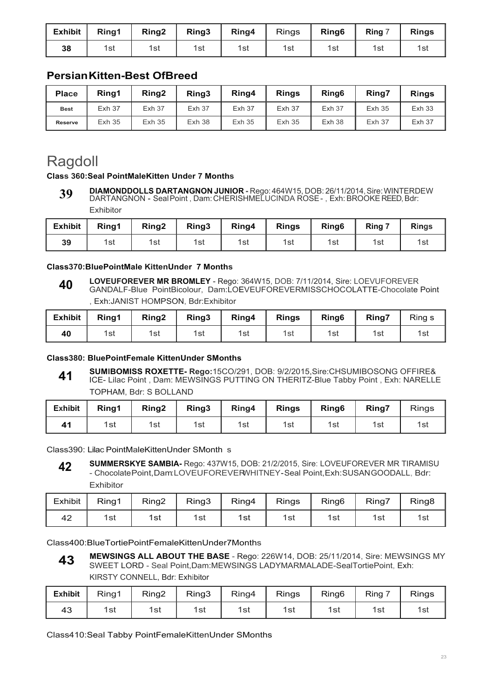| <b>Exhibit</b> | Ring1 | Ring <sub>2</sub> | Ring3 | Ring4 | <b>Rings</b> | Ring <sub>6</sub> | Ring 7 | <b>Rings</b> |
|----------------|-------|-------------------|-------|-------|--------------|-------------------|--------|--------------|
| 38             | 1st   | 1st               | 1st   | 1st   | 1st          | 1st               | 1st    | 1st          |

### **Persian Kitten-Best OfBreed**

| <b>Place</b>   | Rina1         | Ring <sub>2</sub> | Rina <sub>3</sub> | Ring4         | <b>Rings</b>  | Ring <sub>6</sub> | Rina7             | <b>Rings</b>      |
|----------------|---------------|-------------------|-------------------|---------------|---------------|-------------------|-------------------|-------------------|
| <b>Best</b>    | <b>Exh 37</b> | <b>Exh 37</b>     | <b>Exh 37</b>     | <b>Exh 37</b> | <b>Exh 37</b> | <b>Exh 37</b>     | Exh <sub>35</sub> | Exh <sub>33</sub> |
| <b>Reserve</b> | <b>Exh 35</b> | <b>Exh 35</b>     | Exh38             | <b>Exh 35</b> | <b>Exh 35</b> | Exh38             | <b>Exh 37</b>     | <b>Exh 37</b>     |

## Ragdoll

#### **Class 360:Seal PointMaleKitten Under 7 Months**

**DIAMONDDOLLS DARTANGNON JUNIOR -** Rego: 464W15, DOB: 26/11/2014, Sire: WINTERDEW DARTANGNON - Seal Point , Dam: CHERISHMELUCINDA ROSE - , Exh: BROOKE REED, Bdr: **39**

Exhibitor

| <b>Exhibit</b> | Ring1 | Ring <sub>2</sub> | Ring3 | Ring4 | <b>Rings</b> | Ring <sub>6</sub> | Ring 7 | <b>Rings</b> |
|----------------|-------|-------------------|-------|-------|--------------|-------------------|--------|--------------|
| 39             | 1st   | 1st               | 1st   | 1st   | 1st          | 1st               | 1st    | 1st          |

#### **Class370:BluePointMale KittenUnder 7 Months**

**LOVEUFOREVER MR BROMLEY** - Rego: 364W15, DOB: 7/11/2014, Sire: LOEVUFOREVER GANDALF-Blue PointBicolour, Dam:LOEVEUFOREVERMISSCHOCOLATTE-Chocolate Point , Exh:JANIST HOMPSON, Bdr:Exhibitor **40**

| <b>Exhibit</b> | Ring1 | Ring <sub>2</sub> | Ring3 | Ring4 | <b>Rings</b> | Ring <sub>6</sub> | <b>Ring7</b> | Ring s |
|----------------|-------|-------------------|-------|-------|--------------|-------------------|--------------|--------|
| 40             | 1st   | 1st               | 1st   | 1st   | 1st          | 1st               | 1st          | 1st    |

#### **Class380: BluePointFemale KittenUnder SMonths**

**SUMIBOMISS ROXETTE- Rego:**15CO/291, DOB: 9/2/2015,Sire:CHSUMIBOSONG OFFIRE& ICE- Lilac Point , Dam: MEWSINGS PUTTING ON THERITZ-Blue Tabby Point , Exh: NARELLE TOPHAM, Bdr: S BOLLAND **41**

| TOFTIAM, DUI. O DOLLAND |                |       |                   |       |       |              |                   |       |       |
|-------------------------|----------------|-------|-------------------|-------|-------|--------------|-------------------|-------|-------|
|                         | <b>Exhibit</b> | Rina1 | Ring <sub>2</sub> | Ring3 | Ring4 | <b>Rings</b> | Ring <sub>6</sub> | Ring7 | Rings |
|                         | 41             | 1st i | 1st               | 1st   | 1st   | 1st          | 1st               | 1st   | 1st   |

Class390: Lilac PointMaleKittenUnder SMonth s

**SUMMERSKYE SAMBIA-** Rego: 437W15, DOB: 21/2/2015, Sire: LOVEUFOREVER MR TIRAMISU - ChocolatePoint,Dam:LOVEUFOREVERWHITNEY-Seal Point,Exh:SUSANGOODALL, Bdr: Exhibitor **42**

| <b>Exhibit</b> | Ring1 | Ring2 | Ring3 | Ring4 | Rings | Ring <sub>6</sub> | Ring7 | Ring <sub>8</sub> |
|----------------|-------|-------|-------|-------|-------|-------------------|-------|-------------------|
| 42             | 1st   | 1st   | 1st   | 1st   | 1st   | 1st               | 1st   | 1st               |

Class400:BlueTortiePointFemaleKittenUnder7Months

**MEWSINGS ALL ABOUT THE BASE** - Rego: 226W14, DOB: 25/11/2014, Sire: MEWSINGS MY SWEET LORD - Seal Point,Dam:MEWSINGS LADYMARMALADE-SealTortiePoint, Exh: KIRSTY CONNELL, Bdr: Exhibitor **43**

| <b>Exhibit</b> | Ring1 | Ring <sub>2</sub> | Ring3 | Ring4 | <b>Rings</b> | Ring <sub>6</sub> | Rina | <b>Rings</b> |
|----------------|-------|-------------------|-------|-------|--------------|-------------------|------|--------------|
| 43             | 1st   | 1st               | 1st   | 1st   | 1st          | 1st               | 1st  | 1st          |

Class410:Seal Tabby PointFemaleKittenUnder SMonths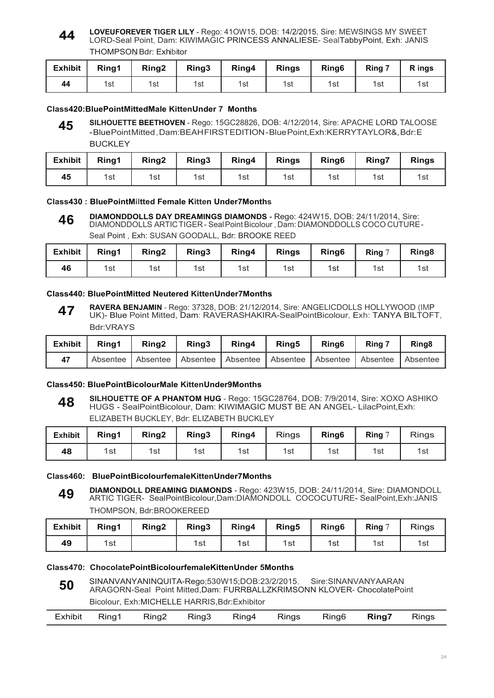#### **LOVEUFOREVER TIGER LILY** - Rego: 41OW15, DOB: 14/2/2015, Sire: MEWSINGS MY SWEET LORD-Seal Point, Dam: KIWIMAGIC PRINCESS ANNALIESE- SealTabbyPoint, Exh: JANIS THOMPSON Bdr: Exhibitor **44**

| <b>Exhibit</b> | Ring1 | Ring <sub>2</sub> | Ring3 | Ring4 | <b>Rings</b> | Ring <sub>6</sub> | Ring 7 | R ings |
|----------------|-------|-------------------|-------|-------|--------------|-------------------|--------|--------|
| 44             | 1st   | 1st               | 1st   | 1st   | 1st          | 1st               | 1st    | 1รเ    |

#### **Class420:BluePointMittedMale KittenUnder 7 Months**

**SILHOUETTE BEETHOVEN** - Rego: 15GC28826, DOB: 4/12/2014, Sire: APACHE LORD TALOOSE - Blue Point Mitted , Dam:BEAH FIRST EDITION - Blue Point,Exh:KERRYTAYLOR&, Bdr: E **BUCKLEY 45**

| Exhibit | Ring1 | Ring <sub>2</sub> | Ring3 | Ring4 | <b>Rings</b> | Ring <sub>6</sub> | Ring7 | <b>Rings</b> |
|---------|-------|-------------------|-------|-------|--------------|-------------------|-------|--------------|
| 45      | 1st   | 1st               | 1st   | 1st   | 1st          | 1st               | 1st   | 1st          |

#### **Class430 : BluePointMiltted Female Kitten Under7Months**

**DIAMONDDOLLS DAY DREAMINGS DIAMONDS -** Rego: 424W15, DOB: 24/11/2014, Sire: DIAMONDDOLLS ARTIC TIGER - Seal Point Bicolour , Dam: DIAMONDDOLLS COCO CUTURE - Seal Point , Exh: SUSAN GOODALL, Bdr: BROOKE REED **46**

| <b>Exhibit</b> | Ring1 | Ring <sub>2</sub> | Ring3 | Ring4 | <b>Rings</b> | Ring <sub>6</sub> | Ring 7 | Ring <sub>8</sub> |
|----------------|-------|-------------------|-------|-------|--------------|-------------------|--------|-------------------|
| 46             | 1st   | 1st               | 1st   | 1st   | 1st          | 1st               | 1st    | 1st               |

#### **Class440: BluePointMitted Neutered KittenUnder7Months**

**RAVERA BENJAMIN** - Rego: 37328, DOB: 21/12/2014, Sire: ANGELICDOLLS HOLLYWOOD (IMP UK)- Blue Point Mitted, Dam: RAVERASHAKIRA-SealPointBicolour, Exh: TANYA BILTOFT, Bdr:VRAYS **47**

| <b>Exhibit</b> | Rina1 | Rina <sub>2</sub> | Ring <sub>3</sub> | Ring4                                        | <b>Ring5</b> | Ring <sub>6</sub> | Ring 7 | Ring <sub>8</sub> |
|----------------|-------|-------------------|-------------------|----------------------------------------------|--------------|-------------------|--------|-------------------|
| 47             |       | Absentee Absentee |                   | Absentee Absentee Absentee Absentee Absentee |              |                   |        | Absentee          |

#### **Class450: BluePointBicolourMale KittenUnder9Months**

**SILHOUETTE OF A PHANTOM HUG** - Rego: 15GC28764, DOB: 7/9/2014, Sire: XOXO ASHIKO HUGS - SealPointBicolour, Dam: KIWIMAGIC MUST BE AN ANGEL- LilacPoint,Exh: ELIZABETH BUCKLEY, Bdr: ELIZABETH BUCKLEY **48**

| <b>Exhibit</b> | Ring1 | Ring <sub>2</sub> | Ring3 | Ring4 | Rings | Ring <sub>6</sub> | Ring | <b>Rings</b> |
|----------------|-------|-------------------|-------|-------|-------|-------------------|------|--------------|
| 48             | 1st   | 1st               | 1st   | 1st   | 1st   | 1st               | 1st  | 1st          |

#### **Class460: BluePointBicolourfemaleKittenUnder7Months**

**DIAMONDOLL DREAMING DIAMONDS** - Rego: 423W15, DOB: 24/11/2014, Sire: DIAMONDOLL ARTIC TIGER- SealPointBicolour,Dam:DIAMONDOLL COCOCUTURE- SealPoint,Exh:JANIS THOMPSON, Bdr:BROOKEREED **49**

| <b>Exhibit</b> | Ring1 | Ring <sub>2</sub> | Ring3 | Ring4 | Ring5 | Ring <sub>6</sub> | Ring $7$ | <b>Rings</b> |
|----------------|-------|-------------------|-------|-------|-------|-------------------|----------|--------------|
| 49             | 1st   |                   | 1st   | 1st   | 1st   | 1st               | 1st      | 1sı          |

#### **Class470: ChocolatePointBicolourfemaleKittenUnder 5Months**

SINANVANYANINQUITA-Rego;530W15;DOB:23/2/2015, Sire:SINANVANYAARAN ARAGORN-Seal Point Mitted,Dam: FURRBALLZKRIMSONN KLOVER- ChocolatePoint Bicolour, Exh:MICHELLE HARRIS,Bdr:Exhibitor **50**

| Exhibit | Ring1 | Ring2 | Ring3 | Ring4 | <b>Rings</b> | Ring6 | Ring7 | Rings |
|---------|-------|-------|-------|-------|--------------|-------|-------|-------|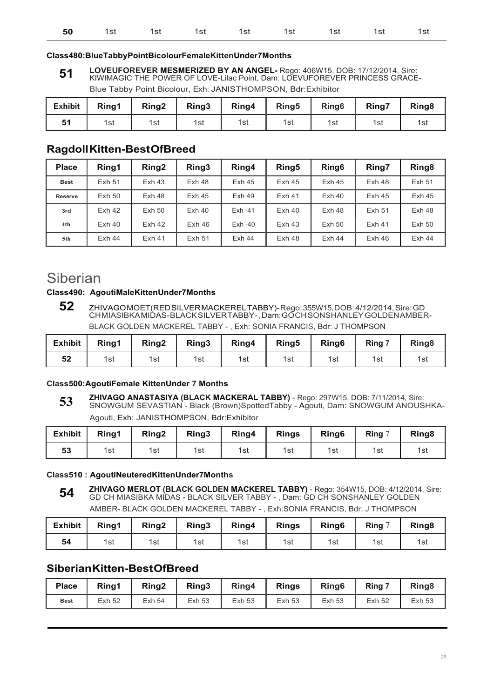| <b>50</b> 1st 1st 1st 1st 1st 1st 1st 1st 1st |  |
|-----------------------------------------------|--|
|-----------------------------------------------|--|

#### **Class480:BlueTabbyPointBicolourFemaleKittenUnder7Months**

**LOVEUFOREVER MESMERIZED BY AN ANGEL-** Rego: 406W15, DOB: 17/12/2014, Sire: KIWIMAGIC THE POWER OF LOVE-Lilac Point, Dam: LOEVUFOREVER PRINCESS GRACE-Blue Tabby Point Bicolour, Exh: JANIS THOMPSON, Bdr: Exhibitor **51**

| <b>Exhibit</b> | Ring1 | Ring <sub>2</sub> | Ring3 | Ring4 | Ring <sub>5</sub> | Ring <sub>6</sub> | Ring7 | Ring <sub>8</sub> |
|----------------|-------|-------------------|-------|-------|-------------------|-------------------|-------|-------------------|
| 51             | 1st   | 1st               | 1st   | 1st   | 1st               | 1st               | 1st   | 1รเ               |

### **Ragdoll Kitten-Best OfBreed**

| <b>Place</b>   | Ring1             | Ring <sub>2</sub> | Ring3             | Ring4             | Ring <sub>5</sub> | Ring <sub>6</sub> | Ring7             | Ring <sub>8</sub> |
|----------------|-------------------|-------------------|-------------------|-------------------|-------------------|-------------------|-------------------|-------------------|
| <b>Best</b>    | Exh 51            | Exh <sub>43</sub> | Exh48             | Exh <sub>45</sub> | Exh <sub>45</sub> | Exh <sub>45</sub> | Exh 48            | <b>Exh 51</b>     |
| <b>Reserve</b> | Exh <sub>50</sub> | Exh48             | Exh <sub>45</sub> | $Exh$ 49          | Exh <sub>41</sub> | $Exh$ 40          | Exh45             | Exh <sub>45</sub> |
| 3rd            | Exh <sub>42</sub> | Exh 50            | $Exh$ 40          | $Exh -41$         | $Exh$ 40          | Exh48             | Exh 51            | Exh 48            |
| 4th            | $Exh$ 40          | Exh <sub>42</sub> | Exh46             | $Exh -40$         | Exh <sub>43</sub> | Exh <sub>50</sub> | Exh <sub>41</sub> | <b>Exh 50</b>     |
| 5th            | Exh44             | $Exh$ 41          | <b>Exh 51</b>     | Exh44             | $Exh$ 48          | Exh44             | $Exh$ 46          | Exh44             |

## Siberian

#### **Class490: AgoutiMaleKittenUnder7Months**

**52** ZHIVAGO MOET(RED SILVER MACKEREL TABBY)- Rego: 355W15, DOB: 4/12/2014, Sire: GD CH MIASIBKA MIDAS- BLACK SILVER TABBY - , Dam: GO CH SONSHANLEY GOLDEN AMBER-BLACK GOLDEN MACKEREL TABBY -, Exh: SONIA FRANCIS, Bdr: J THOMPSON

| <b>Exhibit</b> | Ring1 | Ring <sub>2</sub> | Ring3 | Ring4 | Ring <sub>5</sub> | Ring <sub>6</sub> | Ring 7 | Ring <sub>8</sub> |
|----------------|-------|-------------------|-------|-------|-------------------|-------------------|--------|-------------------|
| E9<br>ວ∠       | 1st   | 1st               | 1st   | 1st   | 1st               | 1st               | 1st    | 1รเ               |

#### **Class500:AgoutiFemale KittenUnder 7 Months**

**ZHIVAGO ANASTASIYA (BLACK MACKERAL TABBY)** - Rego: 297W15, DOB: 7/11/2014, Sire: SNOWGUM SEVASTIAN - Black (Brown)SpottedTabby - Agouti, Dam: SNOWGUM ANOUSHKA-Agouti, Exh: JANISTHOMPSON, Bdr:Exhibitor **53**

| <b>Exhibit</b> | Ring1 | Ring <sub>2</sub> | Ring3 | Ring4 | <b>Rings</b> | Ring <sub>6</sub> | Ring $\overline{a}$ | Ring <sub>8</sub> |
|----------------|-------|-------------------|-------|-------|--------------|-------------------|---------------------|-------------------|
| 53             | 1st   | 1st               | 1st   | 1st   | 1st          | 1st               | 1st                 | 1st               |

#### **Class510 : AgoutiNeuteredKittenUnder7Months**

**ZHIVAGO MERLOT (BLACK GOLDEN MACKEREL TABBY)** - Rego: 354W15, DOB: 4/12/2014, Sire: GD CH MIASIBKA MIDAS - BLACK SILVER TABBY - , Dam: GD CH SONSHANLEY GOLDEN AMBER- BLACK GOLDEN MACKEREL TABBY - , Exh:SONIA FRANCIS, Bdr: J THOMPSON **54**

| <b>Exhibit</b> | Ring1 | Ring <sub>2</sub> | Ring3 | Ring4 | <b>Rings</b> | Ring <sub>6</sub> | Ring $7$ | Ring <sub>8</sub> |
|----------------|-------|-------------------|-------|-------|--------------|-------------------|----------|-------------------|
| 54             | 1st   | 1st               | 1st   | 1st   | 1st          | 1st               | 1st      | 1รเ               |

### **Siberian Kitten-Best OfBreed**

| <b>Place</b> | Ring1         | Ring <sub>2</sub> | Ring <sub>3</sub> | Ring4         | <b>Rings</b>  | Ring <sub>6</sub> | Ring '        | Ring <sub>8</sub> |
|--------------|---------------|-------------------|-------------------|---------------|---------------|-------------------|---------------|-------------------|
| <b>Best</b>  | <b>Exh 52</b> | Exh 54            | <b>Exh 53</b>     | <b>Exh 53</b> | <b>Exh 53</b> | <b>Exh 53</b>     | <b>Exh 52</b> | <b>Exh 53</b>     |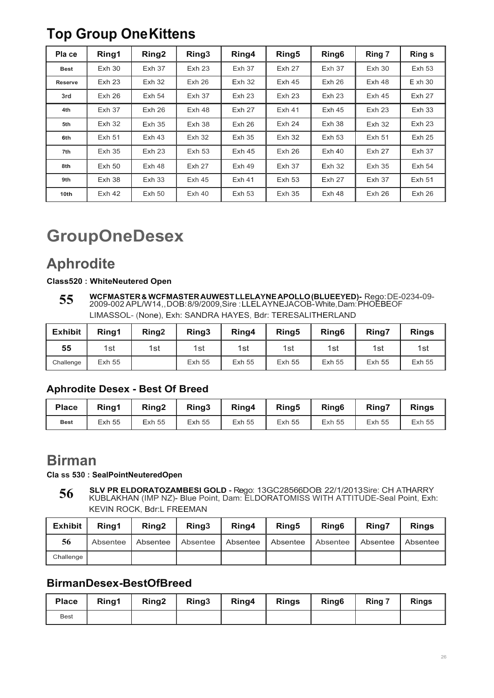## **Top Group One Kittens**

| Pla ce         | Ring1             | Ring <sub>2</sub> | Ring <sub>3</sub> | Ring4             | Ring <sub>5</sub> | Ring <sub>6</sub> | Ring 7            | <b>Rings</b>      |
|----------------|-------------------|-------------------|-------------------|-------------------|-------------------|-------------------|-------------------|-------------------|
| <b>Best</b>    | Exh30             | Exh <sub>37</sub> | Exh <sub>23</sub> | <b>Exh 37</b>     | <b>Exh 27</b>     | Exh <sub>37</sub> | Exh30             | <b>Exh 53</b>     |
| <b>Reserve</b> | Exh <sub>23</sub> | <b>Exh 32</b>     | Exh26             | Exh <sub>32</sub> | Exh <sub>45</sub> | Exh26             | Exh <sub>48</sub> | Exh30             |
| 3rd            | Exh26             | Exh <sub>54</sub> | Exh <sub>37</sub> | Exh <sub>23</sub> | Exh <sub>23</sub> | Exh <sub>23</sub> | Exh <sub>45</sub> | Exh <sub>27</sub> |
| 4th            | Exh <sub>37</sub> | Exh26             | Exh 48            | Exh <sub>27</sub> | Exh <sub>41</sub> | Exh <sub>45</sub> | Exh <sub>23</sub> | <b>Exh 33</b>     |
| 5th            | <b>Exh 32</b>     | Exh <sub>35</sub> | Exh38             | Exh26             | Exh <sub>24</sub> | Exh38             | Exh <sub>32</sub> | Exh23             |
| 6th            | Exh 51            | Exh <sub>43</sub> | <b>Exh 32</b>     | <b>Exh 35</b>     | <b>Exh 32</b>     | <b>Exh 53</b>     | <b>Exh 51</b>     | Exh <sub>25</sub> |
| 7th            | Exh 35            | Exh <sub>23</sub> | <b>Exh 53</b>     | Exh <sub>45</sub> | Exh26             | $Exh$ 40          | Exh <sub>27</sub> | <b>Exh 37</b>     |
| 8th            | Exh 50            | Exh 48            | <b>Exh 27</b>     | Exh49             | <b>Exh 37</b>     | <b>Exh 32</b>     | $Exh$ 35          | <b>Exh 54</b>     |
| 9th            | Exh38             | <b>Exh 33</b>     | Exh <sub>45</sub> | Exh <sub>41</sub> | <b>Exh 53</b>     | <b>Exh 27</b>     | <b>Exh 37</b>     | <b>Exh 51</b>     |
| 10th           | Exh <sub>42</sub> | Exh <sub>50</sub> | Exh40             | <b>Exh 53</b>     | Exh <sub>35</sub> | $Exh$ 48          | Exh26             | Exh26             |

# **GroupOneDesex**

## **Aphrodite**

### **Class520 : WhiteNeutered Open**

**WCFMASTER & WCFMASTER AUWEST LLELAYNE APOLLO (BLUEEYED)-** Rego: DE-0234-09- 2009-002 APL/W14,, DOB: 8/9/2009,Sire : LLEL AYNEJACOB- White, Dam: PHOEBEOF LIMASSOL- (None), Exh: SANDRA HAYES, Bdr: TERESALITHERLAND **55**

| <b>Exhibit</b> | Rina1         | Ring <sub>2</sub> | Ring3         | Ring4         | Ring <sub>5</sub> | Ring <sub>6</sub> | Ring7         | <b>Rings</b>  |
|----------------|---------------|-------------------|---------------|---------------|-------------------|-------------------|---------------|---------------|
| 55             | 1st           | 1st               | 1st           | 1st           | 1st               | 1st               | 1st           | 1st           |
| Challenge      | <b>Exh 55</b> |                   | <b>Exh 55</b> | <b>Exh 55</b> | <b>Exh 55</b>     | <b>Exh 55</b>     | <b>Exh 55</b> | <b>Exh 55</b> |

### **Aphrodite Desex - Best Of Breed**

| <b>Place</b> | Rina1         | Ring <sub>2</sub> | Ring3         | Ring4         | Ring <sub>5</sub> | Ring <sub>6</sub> | <b>Ring7</b>  | <b>Rings</b>  |
|--------------|---------------|-------------------|---------------|---------------|-------------------|-------------------|---------------|---------------|
| <b>Best</b>  | <b>Exh 55</b> | <b>Exh 55</b>     | <b>Exh 55</b> | <b>Exh 55</b> | <b>Exh 55</b>     | <b>Exh 55</b>     | <b>Exh 55</b> | <b>Exh 55</b> |

## **Birman**

#### **Cla ss 530 : SealPointNeuteredOpen**

**SLV PR ELDORATOZAMBESI GOLD -** Rego: 13GC28566, DOB: 22/1/2013, Sire: CH ATHARRY KUBLAKHAN (IMP NZ)- Blue Point, Dam: ELDORATOMISS WITH ATTITUDE-Seal Point, Exh: KEVIN ROCK, Bdr:L FREEMAN **56**

| Exhibit   | Rina1    | Rina <sub>2</sub> | Ring <sub>3</sub> | Ring4      | Ring <sub>5</sub> | Ring <sub>6</sub> | Ring7      | <b>Rings</b> |
|-----------|----------|-------------------|-------------------|------------|-------------------|-------------------|------------|--------------|
| 56        | Absentee | Absentee          | Absentee          | Absentee I | l Absentee        | Absentee          | l Absentee | Absentee     |
| Challenge |          |                   |                   |            |                   |                   |            |              |

### **BirmanDesex-BestOfBreed**

| <b>Place</b> | Ring1 | Ring <sub>2</sub> | Ring <sub>3</sub> | Ring4 | <b>Rings</b> | Ring <sub>6</sub> | Ring 7 | <b>Rings</b> |
|--------------|-------|-------------------|-------------------|-------|--------------|-------------------|--------|--------------|
| <b>Best</b>  |       |                   |                   |       |              |                   |        |              |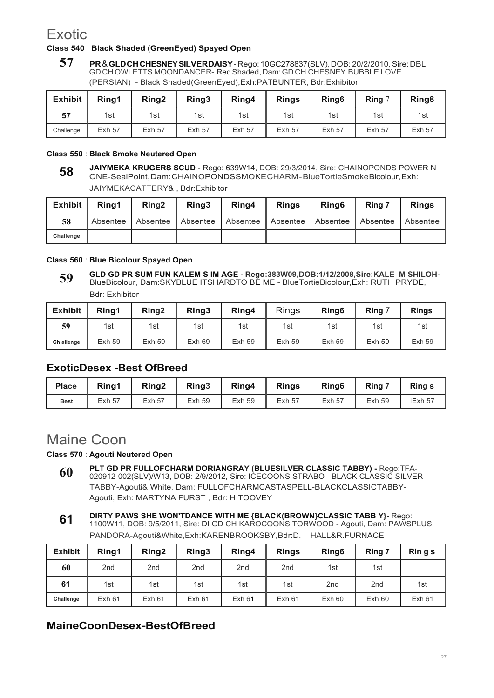## **Exotic**

#### **Class 540** : **Black Shaded (GreenEyed) Spayed Open**

**57 PR** & **GLD CH CHESNEY SIL VER DAISY** - Rego: 10GC278837(SLV), DOB: 20/2/2010, Sire: DBL GD CH OWLETTS MOONDANCER- Red Shaded, Dam: GD CH CHESNEY BUBBLE LOVE (PERSIAN) - Black Shaded(GreenEyed),Exh:PATBUNTER, Bdr:Exhibitor

| <b>Exhibit</b> | Ring1         | Ring <sub>2</sub> | Ring3         | Ring4         | <b>Rings</b>  | Ring <sub>6</sub> | Ring $7$      | Ring <sub>8</sub> |
|----------------|---------------|-------------------|---------------|---------------|---------------|-------------------|---------------|-------------------|
| 57             | 1st           | 1st               | 1st           | 1st           | 1st           | 1st               | 1st           | 1st               |
| Challenge      | <b>Exh 57</b> | <b>Exh 57</b>     | <b>Exh 57</b> | <b>Exh 57</b> | <b>Exh 57</b> | <b>Exh 57</b>     | <b>Exh 57</b> | <b>Exh 57</b>     |

#### **Class 550** : **Black Smoke Neutered Open**

**JAIYMEKA KRUGERS SCUD** - Rego: 639W14, DOB: 29/3/2014, Sire: CHAINOPONDS POWER N ONE-SealPoint, Dam: CHAINOPONDSSMOKE CHARM - BlueTortieSmoke Bicolour, Exh: JAIYMEKACATTERY& , Bdr:Exhibitor **58**

| <b>Exhibit</b> | Rina1      | Ring <sub>2</sub> | Ring <sub>3</sub>   | Ring4           | <b>Rings</b> | Ring <sub>6</sub> | Ring 7   | <b>Rings</b> |
|----------------|------------|-------------------|---------------------|-----------------|--------------|-------------------|----------|--------------|
| 58             | Absentee I |                   | Absentee   Absentee | <b>Absentee</b> | Absentee     | Absentee          | Absentee | Absentee     |
| Challenge      |            |                   |                     |                 |              |                   |          |              |

#### **Class 560** : **Blue Bicolour Spayed Open**

**GLD GD PR SUM FUN KALEM S IM AGE - Rego:383W09,DOB:1/12/2008,Sire:KALE M SHILOH-**BlueBicolour, Dam:SKYBLUE ITSHARDTO BE ME - BlueTortieBicolour,Exh: RUTH PRYDE, Bdr: Exhibitor **59**

| <b>Exhibit</b> | Rina1         | Ring <sub>2</sub> | Ring3 | Ring4         | <b>Rings</b>  | Ring <sub>6</sub> | Rina          | <b>Rings</b>  |
|----------------|---------------|-------------------|-------|---------------|---------------|-------------------|---------------|---------------|
| 59             | 1st           | 1st               | 1st   | 1st           | 1st           | 1st               | 1st           | 1st           |
| Ch allenge     | <b>Exh 59</b> | <b>Exh 59</b>     | Exh69 | <b>Exh 59</b> | <b>Exh 59</b> | <b>Exh 59</b>     | <b>Exh 59</b> | <b>Exh 59</b> |

### **ExoticDesex -Best OfBreed**

| <b>Place</b> | Ring1         | Ring <sub>2</sub> | Ring <sub>3</sub> | Ring4         | <b>Rings</b>  | Ring <sub>6</sub> | Ring 7        | <b>Rings</b>   |
|--------------|---------------|-------------------|-------------------|---------------|---------------|-------------------|---------------|----------------|
| <b>Best</b>  | <b>Exh 57</b> | <b>Exh 57</b>     | <b>Exh 59</b>     | <b>Exh 59</b> | <b>Exh 57</b> | <b>Exh 57</b>     | <b>Exh 59</b> | <b>IExh 57</b> |

## Maine Coon

#### **Class 570** : **Agouti Neutered Open**

- **PLT GD PR FULLOFCHARM DORIANGRAY (BLUESILVER CLASSIC TABBY)** Rego:TFA-020912-002(SLV)/W13, DOB: 2/9/2012, Sire: ICECOONS STRABO - BLACK CLASSIC SILVER TABBY-Agouti& White, Dam: FULLOFCHARMCASTASPELL-BLACKCLASSICTABBY-Agouti, Exh: MARTYNA FURST , Bdr: H TOOVEY **60**
- **DIRTY PAWS SHE WON'TDANCE WITH ME {BLACK(BROWN}CLASSIC TABB Y}-** Rego: 1100W11, DOB: 9/5/2011, Sire: DI GD CH KAROCOONS TORWOOD - Agouti, Dam: PAWSPLUS PANDORA-Agouti&White,Exh:KARENBROOKSBY,Bdr:D. HALL&R.FURNACE **61**

| <b>Exhibit</b> | Ring1           | Ring <sub>2</sub> | Ring3  | Ring4           | <b>Rings</b>    | Ring <sub>6</sub> | Ring 7          | $\mathsf{R}$ in g s |
|----------------|-----------------|-------------------|--------|-----------------|-----------------|-------------------|-----------------|---------------------|
| 60             | 2 <sub>nd</sub> | 2 <sub>nd</sub>   | 2nd    | 2 <sub>nd</sub> | 2 <sub>nd</sub> | 1st               | 1st             |                     |
| 61             | 1st             | 1st               | 1st    | 1st             | 1st             | 2 <sub>nd</sub>   | 2 <sub>nd</sub> | 1st                 |
| Challenge      | <b>Exh 61</b>   | <b>Exh 61</b>     | Exh 61 | Exh 61          | Exh 61          | Exh60             | Exh60           | Exh 61              |

### **MaineCoonDesex-BestOfBreed**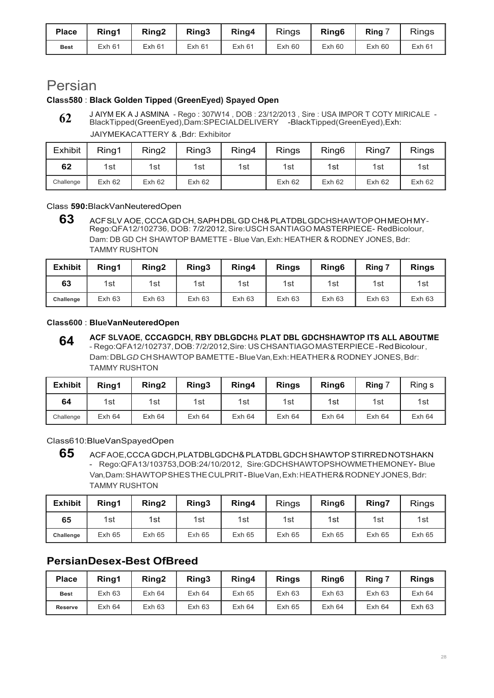| <b>Place</b> | Ring1  | Ring <sub>2</sub> | Ring3 | Ring4  | <b>Rings</b> | Ring <sub>6</sub> | Ring  | <b>Rings</b> |
|--------------|--------|-------------------|-------|--------|--------------|-------------------|-------|--------------|
| <b>Best</b>  | Exh 61 | <b>Exh 61</b>     | Exh61 | Exh 61 | Exh60        | $Exh$ 60          | Exh60 | Exh 61       |

## Persian

### **Class580** : **Black Golden Tipped (GreenEyed) Spayed Open**

J AIYM EK A J ASMINA - Rego : 307W14 , DOB : 23/12/2013 , Sire : USA IMPOR T COTY MIRICALE - BlackTipped(GreenEyed),Dam:SPECIALDELIVERY -BlackTipped(GreenEyed),Exh: **62**

JAIYMEKACATTERY & ,Bdr: Exhibitor

| <b>Exhibit</b> | Ring1         | Ring <sub>2</sub> | Ring3  | Ring4 | <b>Rings</b> | Ring <sub>6</sub> | Ring7  | Rings  |
|----------------|---------------|-------------------|--------|-------|--------------|-------------------|--------|--------|
| 62             | 1st           | 1st               | 1st    | 1st   | 1st          | 1st               | 1st    | 1st    |
| Challenge      | <b>Exh 62</b> | Exh62             | Exh 62 |       | Exh 62       | Exh <sub>62</sub> | Exh 62 | Exh 62 |

Class **590:**BlackVanNeuteredOpen

**63** ACF SLV AOE, CCCA GD CH, SAPH DBL GD CH& PLATDBL GDCHSHAWTOP OH MEOH MY-Rego:QFA12/102736, DOB: 7/2/2012, Sire:USCH SANTIAGO MASTERPIECE- RedBicolour, Dam: DB GD CH SHAWTOP BAMETTE - Blue Van, Exh: HEATHER & RODNEY JONES, Bdr: TAMMY RUSHTON

| <b>Exhibit</b> | Rina1  | Ring <sub>2</sub> | Ring3 | Ring4  | <b>Rings</b> | Ring <sub>6</sub> | Ring 7 | <b>Rings</b> |
|----------------|--------|-------------------|-------|--------|--------------|-------------------|--------|--------------|
| 63             | 1st    | 1st               | 1st   | 1st    | 1st          | 1st               | 1st    | 1st          |
| Challenge      | Exh 63 | Exh 63            | Exh63 | Exh 63 | Exh 63       | Exh 63            | Exh63  | Exh63        |

#### **Class600** : **BlueVanNeuteredOpen**

**ACF SLVAOE, CCCAGDCH, RBY DBLGDCH**& **PLAT DBL GDCHSHAWTOP ITS ALL ABOUTME** - Rego:QFA12/102737, DOB: 7/2/2012,Sire: US CHSANTIAGO MASTERPIECE - Red Bicolour , Dam: DBL *GD* CH SHAWTOP BAMETTE - Blue Van, Exh: HEATHER & RODNEY JONES, Bdr: TAMMY RUSHTON **64**

| <b>Exhibit</b> | Ring1             | Ring <sub>2</sub> | Ring3  | Ring4  | <b>Rings</b>      | Ring <sub>6</sub> | Ring $7$ | Ring s |
|----------------|-------------------|-------------------|--------|--------|-------------------|-------------------|----------|--------|
| 64             | 1st               | 1st               | 1st    | 1st    | 1st               | 1st               | 1st      | 1st    |
| Challenge      | Exh <sub>64</sub> | <b>Exh 64</b>     | Exh 64 | Exh 64 | Exh <sub>64</sub> | Exh64             | Exh 64   | Exh 64 |

Class610:BlueVanSpayedOpen

**65** ACF AOE,CCCA GDCH,PLATDBLGDCH& PLATDBL GDCH SHAWTOP STIRRED NOTSHAKN - Rego:QFA13/103753,DOB:24/10/2012, Sire:GDCHSHAWTOPSHOWMETHEMONEY- Blue Van, Dam: SHAWTOP SHES THE CULPRIT - Blue Van, Exh: HEATHER& RODNEY JONES, Bdr: TAMMY RUSHTON

| <b>Exhibit</b> | Ring1         | Ring <sub>2</sub> | Ring3 | Ring4         | <b>Rings</b>  | Ring <sub>6</sub> | Ring7         | <b>Rings</b> |
|----------------|---------------|-------------------|-------|---------------|---------------|-------------------|---------------|--------------|
| 65             | 1st           | 1st               | 1st   | 1st           | 1st           | 1st               | 1st           | 1st          |
| Challenge      | <b>Exh 65</b> | Exh 65            | Exh65 | <b>Exh 65</b> | <b>Exh 65</b> | <b>Exh 65</b>     | <b>Exh 65</b> | Exh 65       |

### **PersianDesex-Best OfBreed**

| <b>Place</b>   | Ring1  | Ring <sub>2</sub> | Ring3  | Ring4  | <b>Rings</b>  | Ring <sub>6</sub> | Ring 7 | <b>Rings</b> |
|----------------|--------|-------------------|--------|--------|---------------|-------------------|--------|--------------|
| <b>Best</b>    | Exh63  | Exh 64            | Exh 64 | Exh 65 | Exh 63        | Exh 63            | Exh63  | Exh 64       |
| <b>Reserve</b> | Exh 64 | Exh63             | Exh63  | Exh 64 | <b>Exh 65</b> | Exh 64            | Exh 64 | Exh 63       |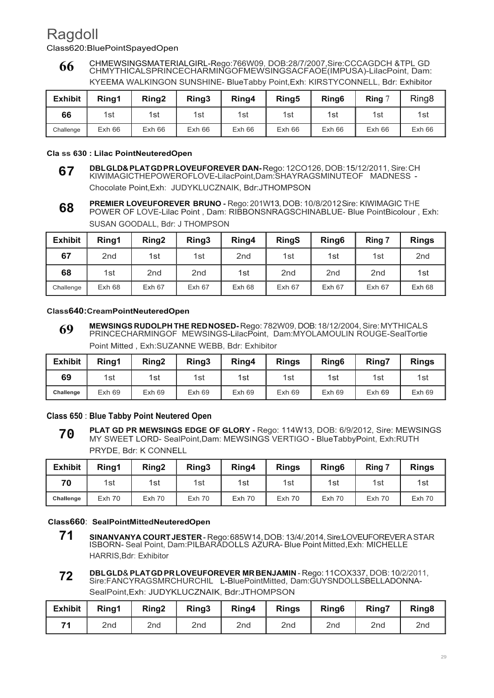## Ragdoll

Class620:BluePointSpayedOpen

CHMEWSINGSMATERIALGIRL-Rego:766W09, DOB:28/7/2007,Sire:CCCAGDCH &TPL GD CHMYTHICALSPRINCECHARMINGOFMEWSINGSACFAOE(IMPUSA)-LilacPoint, Dam: KYEEMA WALKINGON SUNSHINE- BlueTabby Point,Exh: KIRSTYCONNELL, Bdr: Exhibitor **66**

| <b>Exhibit</b> | Rina1 | Ring <sub>2</sub> | Ring3 | Ring4 | Ring <sub>5</sub> | Ring <sub>6</sub> | <b>Ring</b> $\degree$ | Ring <sub>8</sub> |
|----------------|-------|-------------------|-------|-------|-------------------|-------------------|-----------------------|-------------------|
| 66             | 1st   | 1st               | 1st   | 1st   | 1st               | 1st               | 1st                   | 1st               |
| Challenge      | Exh66 | Exh66             | Exh66 | Exh66 | Exh66             | Exh66             | Exh66                 | Exh66             |

#### **Cla ss 630 : Lilac PointNeuteredOpen**

- **DBL GLD& PLAT GD PR LOVEUFOREVER DAN-** Rego: 12CO126, DOB: 15/12/2011, Sire: CH KIWIMAGICTHEPOWEROFLOVE-LilacPoint,Dam:SHAYRAGSMINUTEOF MADNESS - Chocolate Point,Exh: JUDYKLUCZNAIK, Bdr:JTHOMPSON **67**
- **PREMIER LOVEUFOREVER BRUNO -** Rego: 201W13, DOB: 10/8/2012, Sire: KIWIMAGIC THE POWER OF LOVE-Lilac Point , Dam: RIBBONSNRAGSCHINABLUE- Blue PointBicolour , Exh: SUSAN GOODALL, Bdr: J THOMPSON **68**

| <b>Exhibit</b> | Ring1           | Ring <sub>2</sub> | Ring3           | Ring4           | <b>RingS</b>    | Ring <sub>6</sub> | Ring 7          | <b>Rings</b>    |
|----------------|-----------------|-------------------|-----------------|-----------------|-----------------|-------------------|-----------------|-----------------|
| 67             | 2 <sub>nd</sub> | 1st               | 1st             | 2 <sub>nd</sub> | 1st             | 1st               | 1st             | 2 <sub>nd</sub> |
| 68             | 1st             | 2 <sub>nd</sub>   | 2 <sub>nd</sub> | 1st             | 2 <sub>nd</sub> | 2 <sub>nd</sub>   | 2 <sub>nd</sub> | 1st             |
| Challenge      | Exh68           | Exh 67            | Exh 67          | Exh 68          | Exh 67          | Exh 67            | Exh 67          | Exh68           |

#### **Class640:CreamPointNeuteredOpen**

**MEWSINGS RUDOLPH THE RED NOSED-** Rego: 782W09, DOB: 18/12/2004, Sire: MYTHICALS PRINCECHARMINGOF MEWSINGS-LilacPoint, Dam:MYOLAMOULIN ROUGE-SealTortie Point Mitted , Exh:SUZANNE WEBB, Bdr: Exhibitor **69**

| <b>Exhibit</b> | Ring1         | Ring <sub>2</sub> | Ring <sub>3</sub> | Ring4  | <b>Rings</b> | Ring <sub>6</sub> | Ring7 | <b>Rings</b> |
|----------------|---------------|-------------------|-------------------|--------|--------------|-------------------|-------|--------------|
| 69             | 1st           | 1st               | 1st               | 1st    | 1st          | 1st               | 1st   | 1st          |
| Challenge      | <b>Exh 69</b> | <b>Exh 69</b>     | <b>Exh 69</b>     | Exh 69 | Exh69        | Exh69             | Exh69 | Exh69        |

#### **Class 650** : **Blue Tabby Point Neutered Open**

**PLAT GD PR MEWSINGS EDGE OF GLORY -** Rego: 114W13, DOB: 6/9/2012, Sire: MEWSINGS MY SWEET LORD- SealPoint,Dam: MEWSINGS VERTIGO - BlueTabbyPoint, Exh:RUTH PRYDE, Bdr: K CONNELL **70**

| <b>Exhibit</b> | Ring1         | Ring <sub>2</sub> | Ring <sub>3</sub> | Ring4    | <b>Rings</b>  | Ring <sub>6</sub> | Ring 7        | <b>Rings</b>  |
|----------------|---------------|-------------------|-------------------|----------|---------------|-------------------|---------------|---------------|
| 70             | 1st           | 1st               | 1st               | 1st      | 1st           | 1st               | 1st           | 1st           |
| Challenge      | <b>Exh 70</b> | <b>Exh 70</b>     | Exh 70            | $Exh$ 70 | <b>Exh 70</b> | <b>Exh 70</b>     | <b>Exh 70</b> | <b>Exh 70</b> |

#### **Class660**: **SealPointMittedNeuteredOpen**

- **71 SINANVANYA COURT JESTER** Rego: 685W14, DOB: 13/4/.2014, Sire:LOVEUFOREVER A STAR ISBORN- Seal Point, Dam:PILBARADOLLS AZURA- Blue Point Mitted,Exh: MICHELLE HARRIS,Bdr: Exhibitor
- **DBL GLD**& **PLAT GD PR LOVEUFOREVER MR BENJAMIN**  Rego: 11COX337, DOB: 10/2/2011, Sire:FANCYRAGSMRCHURCHIL L-BluePointMitted, Dam:GUYSNDOLLSBELLADONNA-SealPoint,Exh: JUDYKLUCZNAIK, Bdr:JTHOMPSON **72**

| <b>Exhibit</b> | Ring1 | Ring <sub>2</sub> | Ring3 | Ring4 | <b>Rings</b>    | Ring <sub>6</sub> | Ring7 | Ring <sub>8</sub> |
|----------------|-------|-------------------|-------|-------|-----------------|-------------------|-------|-------------------|
|                | 2nd   | 2nd               | 2nd   | 2nd   | 2 <sub>nd</sub> | 2nd               | 2nd   | 2 <sub>nd</sub>   |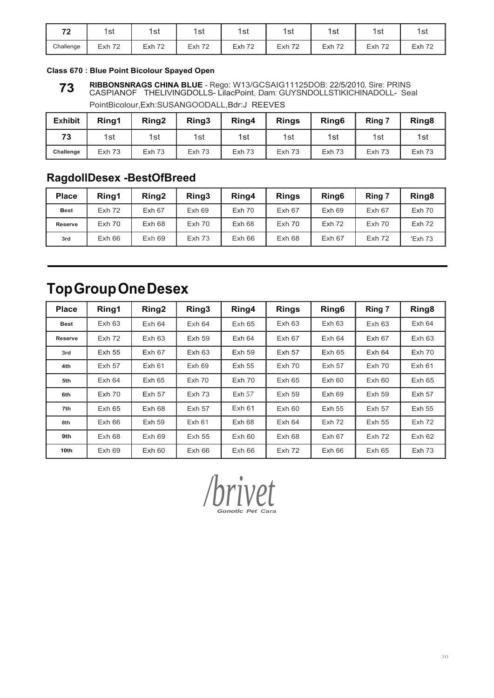| 70<br>. . | 1st       | 1st           | 1st    | 1st           | 1st           | 1st           | 1st    | 1st           |
|-----------|-----------|---------------|--------|---------------|---------------|---------------|--------|---------------|
| Challenge | Exh<br>72 | <b>Exh 72</b> | Exh 72 | <b>Exh 72</b> | <b>Exh 72</b> | <b>Exh 72</b> | Exh 72 | <b>Exh 72</b> |

#### **Class 670 : Blue Point Bicolour Spayed Open**

**RIBBONSNRAGS CHINA BLUE** - Rego: W13/GCSAIG11125DOB: 22/5/2010, Sire: PRINS CASPIANOF THELIVINGDOLLS- LilacPoint, Dam: GUYSNDOLLSTIKICHINADOLL- Seal PointBicolour,Exh:SUSANGOODALL,Bdr:J REEVES **73**

| <b>Exhibit</b> | Ring1         | Ring <sub>2</sub> | Ring3         | Ring4         | <b>Rings</b> | Ring <sub>6</sub> | Ring 7        | Ring <sub>8</sub> |
|----------------|---------------|-------------------|---------------|---------------|--------------|-------------------|---------------|-------------------|
| 73             | 1st           | 1st               | 1st           | 1st           | 1st          | 1st               | 1st           | 1st               |
| Challenge      | <b>Exh 73</b> | <b>Exh 73</b>     | <b>Exh 73</b> | <b>Exh 73</b> | Exh 73       | Exh 73            | <b>Exh 73</b> | $Exh$ 73          |

## **RagdollDesex -BestOfBreed**

| <b>Place</b> | Rina1    | Ring <sub>2</sub> | Ring3    | Ring4  | <b>Rings</b> | Ring <sub>6</sub> | Ring 7            | Ring <sub>8</sub> |
|--------------|----------|-------------------|----------|--------|--------------|-------------------|-------------------|-------------------|
| <b>Best</b>  | $Exh$ 72 | Exh 67            | Exh69    | Exh 70 | Exh 67       | Exh69             | Exh 67            | $Exh$ 70          |
| Reserve      | $Exh$ 70 | Exh 68            | $Exh$ 70 | Exh 68 | $Exh$ 70     | $Exh$ 72          | $Exh$ 70          | <b>Exh 72</b>     |
| 3rd          | Exh66    | Exh69             | $Exh$ 73 | Exh66  | Exh68        | Exh <sub>67</sub> | Exh <sub>72</sub> | 'Exh 73           |

## **Top Group One Desex**

| <b>Place</b>   | Ring1         | Ring <sub>2</sub> | Ring3         | Ring4         | <b>Rings</b>      | Ring <sub>6</sub> | Ring 7        | Ring <sub>8</sub> |
|----------------|---------------|-------------------|---------------|---------------|-------------------|-------------------|---------------|-------------------|
| <b>Best</b>    | Exh 63        | Exh 64            | Exh 64        | Exh65         | Exh 63            | Exh 63            | Exh 63        | Exh 64            |
| <b>Reserve</b> | $Exh$ 72      | Exh 63            | <b>Exh 59</b> | Exh64         | Exh 67            | Exh64             | Exh 67        | Exh 63            |
| 3rd            | Exh 55        | Exh 67            | Exh63         | <b>Exh 59</b> | <b>Exh 57</b>     | Exh65             | Exh64         | $Exh$ 70          |
| 4th            | <b>Exh 57</b> | Exh 61            | Exh69         | <b>Exh 55</b> | <b>Exh 70</b>     | <b>Exh 57</b>     | Exh70         | Exh 61            |
| 5th            | Exh64         | Exh65             | $Exh$ 70      | $Exh$ 70      | Exh65             | Exh60             | Exh60         | Exh65             |
| 6th            | <b>Exh 70</b> | <b>Exh 57</b>     | $Exh$ 73      | Exh $57$      | <b>Exh 59</b>     | Exh69             | Exh 59        | Exh 57            |
| 7th            | Exh65         | Exh68             | <b>Exh 57</b> | Exh 61        | Exh60             | <b>Exh 55</b>     | <b>Exh 57</b> | <b>Exh 55</b>     |
| 8th            | Exh66         | <b>Exh 59</b>     | <b>Exh 61</b> | Exh 68        | Exh 64            | <b>Exh 72</b>     | Exh 55        | Exh 72            |
| 9th            | Exh68         | Exh69             | <b>Exh 55</b> | Exh60         | Exh 68            | Exh 67            | $Exh$ 72      | Exh62             |
| 10th           | Exh69         | Exh60             | Exh66         | Exh66         | Exh <sub>72</sub> | Exh66             | Exh65         | $Exh$ 73          |

*/b Go <i>r<i><i>r***<sub>ca</sub><br>***r***<sub>***r***</sub></sup>***<b><i><i>r***<sub>ca</sub>**<br>*<i>r*</sup> *vet*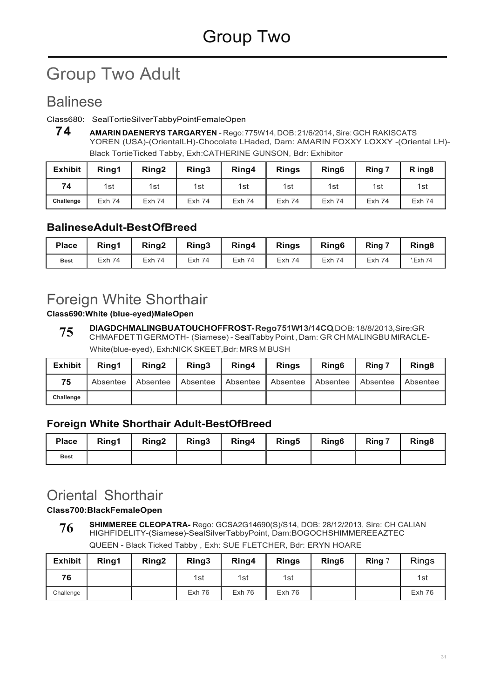# Group Two Adult

## Balinese

#### Class680: SealTortieSiIverTabbyPointFemaleOpen

**7 4 AMARIN DAENERYS TARGARYEN** - Rego: 775W14, DOB: 21/6/2014, Sire: GCH RAKISCATS YOREN (USA)-(OrientalLH)-Chocolate LHaded, Dam: AMARIN FOXXY LOXXY -(Oriental LH)- Black TortieTicked Tabby, Exh:CATHERINE GUNSON, Bdr: Exhibitor

| <b>Exhibit</b> | Rina1         | Ring <sub>2</sub> | Ring3    | Ring4         | <b>Rings</b>  | Ring <sub>6</sub> | Ring 7        | R ing <sub>8</sub> |
|----------------|---------------|-------------------|----------|---------------|---------------|-------------------|---------------|--------------------|
| 74             | 1st           | 1st               | 1st      | 1st           | 1st           | 1st               | 1st           | 1st                |
| Challenge      | <b>Exh 74</b> | <b>Exh 74</b>     | $Exh$ 74 | <b>Exh 74</b> | <b>Exh 74</b> | <b>Exh 74</b>     | <b>Exh 74</b> | <b>Exh 74</b>      |

### **BalineseAdult-Best OfBreed**

| <b>Place</b> | Ring1         | Ring <sub>2</sub> | Ring3         | Ring4         | <b>Rings</b>  | Ring <sub>6</sub> | Ring 7        | Ring <sub>8</sub> |
|--------------|---------------|-------------------|---------------|---------------|---------------|-------------------|---------------|-------------------|
| <b>Best</b>  | <b>Exh 74</b> | <b>Exh 74</b>     | <b>Exh 74</b> | <b>Exh 74</b> | <b>Exh 74</b> | <b>Exh 74</b>     | <b>Exh 74</b> | '.Exh 74          |

## Foreign White Shorthair

**Class690:White (blue-eyed)MaleOpen**

**DIAGDCHMALINGBUATOUCHOFFROST-Rego:751W13/14CO,**DOB:18/8/2013,Sire:GR CHMAFDET Tl GERMOTH- (Siamese) - SealTabby Point , Dam: GR CH MALINGBU MlRACLE-White(blue-eyed), Exh:NICK SKEET,Bdr: MRS M BUSH **75**

| <b>Exhibit</b> | Rina1      | Ring <sub>2</sub> | Rina <sub>3</sub> | Ring4    | <b>Rings</b> | Ring <sub>6</sub> | Ring 7   | Ring <sub>8</sub> |
|----------------|------------|-------------------|-------------------|----------|--------------|-------------------|----------|-------------------|
| 75             | Absentee I | Absentee          | Absentee          | Absentee | l Absentee   | Absentee          | Absentee | Absentee          |
| Challenge      |            |                   |                   |          |              |                   |          |                   |

### **Foreign White Shorthair AduIt-BestOfBreed**

| <b>Place</b> | Ring1 | Ring <sub>2</sub> | Ring <sub>3</sub> | Ring4 | Ring <sub>5</sub> | Ring <sub>6</sub> | Ring 7 | Ring <sub>8</sub> |
|--------------|-------|-------------------|-------------------|-------|-------------------|-------------------|--------|-------------------|
| <b>Best</b>  |       |                   |                   |       |                   |                   |        |                   |

## Oriental Shorthair

#### **Class700:BlackFemaleOpen**

**SHIMMEREE CLEOPATRA-** Rego: GCSA2G14690(S)/S14, DOB: 28/12/2013, Sire: CH CALIAN HIGHFIDELITY-(Siamese)-SealSilverTabbyPoint, Dam:BOGOCHSHIMMEREEAZTEC QUEEN - Black Ticked Tabby , Exh: SUE FLETCHER, Bdr: ERYN HOARE **76**

| <b>Exhibit</b> | Ring1 | Ring <sub>2</sub> | Ring <sub>3</sub> | Ring4  | <b>Rings</b>  | Ring <sub>6</sub> | Ring $7$ | <b>Rings</b> |
|----------------|-------|-------------------|-------------------|--------|---------------|-------------------|----------|--------------|
| 76             |       |                   | 1st               | 1st    | 1st           |                   |          | 1st          |
| Challenge      |       |                   | Exh 76            | Exh 76 | <b>Exh 76</b> |                   |          | Exh 76       |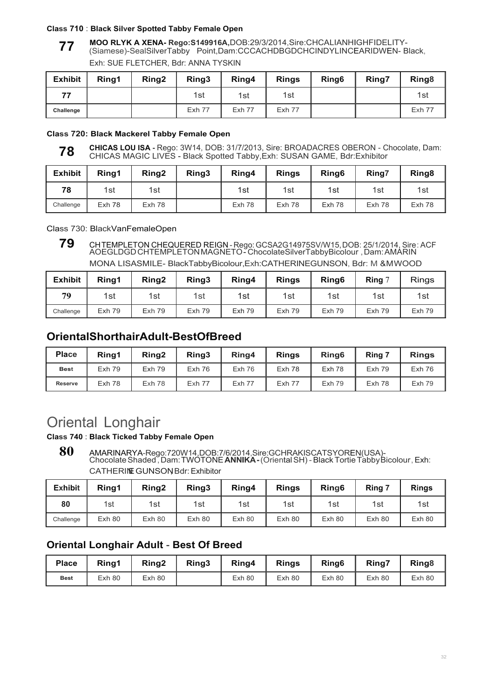#### **Class 710** : **Black Silver Spotted Tabby Female Open**

**MOO RLYK A XENA- Rego:S149916A,**DOB:29/3/2014,Sire:CHCALIANHIGHFIDELITY- (Siamese)-SealSilverTabby Point,Dam:CCCACHDBGDCHCINDYLINCEARIDWEN- Black, **77**

| <b>Exhibit</b> | Ring1 | Ring <sub>2</sub> | Ring3         | Ring4         | <b>Rings</b>  | Ring <sub>6</sub> | Ring7 | Ring <sub>8</sub> |
|----------------|-------|-------------------|---------------|---------------|---------------|-------------------|-------|-------------------|
| 77             |       |                   | 1st           | 1st           | 1st           |                   |       | 1st               |
| Challenge      |       |                   | <b>Exh 77</b> | <b>Exh 77</b> | <b>Exh 77</b> |                   |       | <b>Exh 77</b>     |

Exh: SUE FLETCHER, Bdr: ANNA TYSKIN

#### **Class 720: Black Mackerel Tabby Female Open**

**CHICAS LOU ISA -** Rego: 3W14, DOB: 31/7/2013, Sire: BROADACRES OBERON - Chocolate, Dam: CHICAS MAGIC LIVES - Black Spotted Tabby,Exh: SUSAN GAME, Bdr:Exhibitor **78**

| <b>Exhibit</b> | Ring1  | Ring <sub>2</sub> | Ring3 | Ring4  | <b>Rings</b> | Ring <sub>6</sub> | Ring7  | Ring <sub>8</sub> |
|----------------|--------|-------------------|-------|--------|--------------|-------------------|--------|-------------------|
| 78             | 1st    | 1st               |       | 1st    | 1st          | 1st               | 1st    | 1st               |
| Challenge      | Exh 78 | Exh 78            |       | Exh 78 | Exh 78       | Exh 78            | Exh 78 | Exh 78            |

Class 730: BlackVanFemaleOpen

**79** CHTEMPLETON CHEQUERED REIGN - Rego: GCSA2G14975SV/W15, DOB: 25/1/2014, Sire: ACF<br>AOEGLDGD CHTEMPLETON MAGNETO - ChocolateSilverTabbyBicolour , Dam: AMARIN MONA LISASMILE- BlackTabbyBicolour,Exh:CATHERINEGUNSON, Bdr: M &M WOOD

| <b>Exhibit</b> | Ring1         | Ring <sub>2</sub> | Ring3         | Ring4         | <b>Rings</b>  | Ring <sub>6</sub> | <b>Ring</b> $\degree$ | <b>Rings</b>  |
|----------------|---------------|-------------------|---------------|---------------|---------------|-------------------|-----------------------|---------------|
| 79             | 1st           | 1st               | 1st           | 1st           | 1st           | 1st               | 1st                   | 1st           |
| Challenge      | <b>Exh 79</b> | $Exh$ 79          | <b>Exh 79</b> | <b>Exh 79</b> | <b>Exh 79</b> | <b>Exh 79</b>     | <b>Exh 79</b>         | <b>Exh 79</b> |

### **OrientalShorthairAdult-BestOfBreed**

| <b>Place</b>   | Rina1         | Rina <sub>2</sub> | Ring3         | Ring4         | <b>Rings</b>  | Ring <sub>6</sub> | Ring 7        | <b>Rings</b>  |
|----------------|---------------|-------------------|---------------|---------------|---------------|-------------------|---------------|---------------|
| <b>Best</b>    | <b>Exh 79</b> | <b>Exh 79</b>     | Exh 76        | $Exh$ 76      | Exh 78        | Exh 78            | <b>Exh 79</b> | $Exh$ 76      |
| <b>Reserve</b> | Exh 78        | $Exh$ 78          | <b>Exh 77</b> | <b>Exh 77</b> | <b>Exh 77</b> | Exh 79            | Exh 78        | <b>Exh 79</b> |

## Oriental Longhair

#### **Class 740** : **Black Ticked Tabby Female Open**

**80** AMARINARYA-Rego:720W14,DOB:7/6/2014,Sire:GCHRAKISCATSYOREN(USA)- Chocolate Shaded , Dam: TWOTONE **ANNIKA -** (Oriental SH) - Black Tortie Tabby Bicolour , Exh: CATHERINE GUNSON Bdr: Exhibitor

| <b>Exhibit</b> | Ring1  | Ring <sub>2</sub> | Ring3  | Ring4  | <b>Rings</b> | Ring <sub>6</sub> | Ring 7 | <b>Rings</b> |
|----------------|--------|-------------------|--------|--------|--------------|-------------------|--------|--------------|
| 80             | 1st    | 1st               | 1st    | 1st    | 1st          | 1st               | 1st    | 1st          |
| Challenge      | Exh 80 | Exh 80            | Exh 80 | Exh 80 | Exh80        | Exh 80            | Exh 80 | Exh 80       |

### **Oriental Longhair Adult** - **Best Of Breed**

| <b>Place</b> | Ring1  | Ring <sub>2</sub> | Ring3 | Ring4  | <b>Rings</b> | Ring <sub>6</sub> | <b>Ring7</b> | Ring <sub>8</sub> |
|--------------|--------|-------------------|-------|--------|--------------|-------------------|--------------|-------------------|
| <b>Best</b>  | Exh 80 | Exh80             |       | Exh 80 | Exh 80       | Exh 80            | Exh 80       | Exh 80            |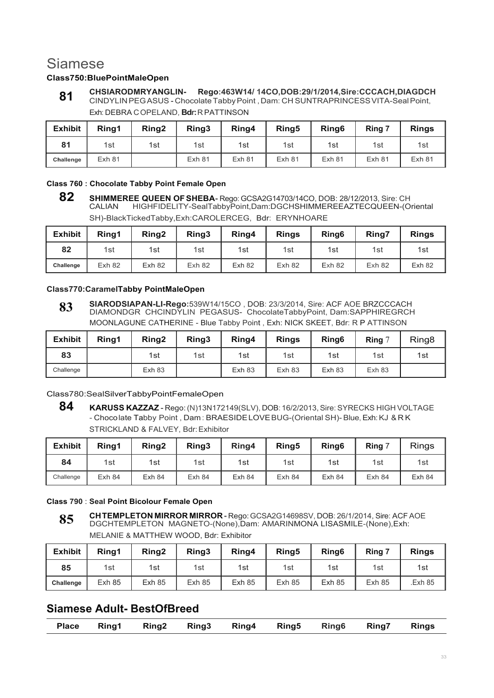## Siamese

#### **Class750:BluePointMaleOpen**

**CHSIARODMRYANGLIN- Rego:463W14/ 14CO,DOB:29/1/2014,Sire:CCCACH,DIAGDCH** CINDYLIN PEG ASUS - Chocolate Tabby Point , Dam: CH SUNTRAPRINCESS VITA-Seal Point, Exh: DEBRA C OPELAND, **Bdr:** R PATTINSON **81**

| <b>Exhibit</b> | Ring1  | Ring <sub>2</sub> | Ring3  | Ring4             | Ring <sub>5</sub> | Ring <sub>6</sub> | Ring 7            | <b>Rings</b> |
|----------------|--------|-------------------|--------|-------------------|-------------------|-------------------|-------------------|--------------|
| 81             | 1st    | 1st               | 1st    | 1st               | 1st               | 1st               | 1st               | 1st          |
| Challenge      | Exh 81 |                   | Exh 81 | Exh <sub>81</sub> | Exh 81            | $Exh$ 81          | Exh <sub>81</sub> | Exh 81       |

#### **Class 760 : Chocolate Tabby Point Female Open**

**<sup>82</sup> SHIMMEREE QUEEN OF SHEBA- Rego: GCSA2G14703/14CO, DOB: 28/12/2013, Sire: CH<br>CALIAN HIGHFIDELITY-SealTabbyPoint,Dam:DGCHSHIMMEREEAZTECQUEEN-(O** CALIAN HIGHFIDELITY-SealTabbyPoint,Dam:DGCHSHIMMEREEAZTECQUEEN-(Oriental SH)-BlackTickedTabby,Exh:CAROLERCEG, Bdr: ERYNHOARE

| <b>Exhibit</b> | Ring1  | Ring <sub>2</sub> | Ring3  | Ring4  | <b>Rings</b> | Ring <sub>6</sub> | Ring7  | <b>Rings</b> |
|----------------|--------|-------------------|--------|--------|--------------|-------------------|--------|--------------|
| 82             | 1st    | 1st               | 1st    | 1st    | 1st          | 1st               | 1st    | 1st          |
| Challenge      | Exh 82 | <b>Exh 82</b>     | Exh 82 | Exh 82 | Exh 82       | Exh 82            | Exh 82 | Exh 82       |

#### **Class770:CaramelTabby PointMaleOpen**

**SIARODSIAPAN-LI-Rego:**539W14/15CO , DOB: 23/3/2014, Sire: ACF AOE BRZCCCACH DIAMONDGR CHCINDYLIN PEGASUS- ChocolateTabbyPoint, Dam:SAPPHIREGRCH MOONLAGUNE CATHERINE - Blue Tabby Point , Exh: NICK SKEET, Bdr: R P ATTINSON **83**

| <b>Exhibit</b> | Rina1 | Ring <sub>2</sub> | Ring3 | Ring4         | <b>Rings</b> | Ring <sub>6</sub> | Ring $7$ | Ring <sub>8</sub> |
|----------------|-------|-------------------|-------|---------------|--------------|-------------------|----------|-------------------|
| 83             |       | 1st               | 1st   | 1st           | 1st          | 1st               | 1st      | 1st               |
| Challenge      |       | <b>Exh 83</b>     |       | <b>Exh 83</b> | Exh 83       | <b>Exh 83</b>     | Exh 83   |                   |

Class780:SealSilverTabbyPointFemaleOpen

**<sup>84</sup> KARUSS KAZZAZ** - Rego: (N)13N172149(SLV), DOB: 16/2/2013, Sire: SYRECKS HIGH VOLTAGE - Choco late Tabby Point , Dam : BRAESIDE LOVE BUG-(Oriental SH)- Blue, Exh: KJ & R K STRICKLAND & FALVEY, Bdr: Exhibitor

| <b>Exhibit</b> | Ring1  | Ring <sub>2</sub> | Ring3  | Ring4  | Ring <sub>5</sub> | Ring <sub>6</sub> | Ring   | <b>Rings</b> |
|----------------|--------|-------------------|--------|--------|-------------------|-------------------|--------|--------------|
| 84             | 1st    | 1st               | 1st    | 1st    | 1st               | 1st               | 1st    | 1st          |
| Challenge      | Exh 84 | Exh 84            | Exh 84 | Exh 84 | Exh 84            | Exh 84            | Exh 84 | Exh 84       |

#### **Class 790** : **Seal Point Bicolour Female Open**

**CH TEMPLETON MIRROR MIRROR -** Rego: GCSA2G14698SV, DOB: 26/1/2014, Sire: ACF AOE DGCHTEMPLETON MAGNETO-(None),Dam: AMARINMONA LISASMILE-(None),Exh: MELANIE & MATTHEW WOOD, Bdr: Exhibitor **85**

| <b>Exhibit</b> | Ring1         | Ring <sub>2</sub> | Ring3  | Ring4         | Ring <sub>5</sub> | Ring <sub>6</sub> | Ring 7        | <b>Rings</b> |
|----------------|---------------|-------------------|--------|---------------|-------------------|-------------------|---------------|--------------|
| 85             | 1st           | 1st               | 1st    | 1st           | 1st               | 1st               | 1st           | 1st          |
| Challenge      | <b>Exh 85</b> | <b>Exh 85</b>     | Exh 85 | <b>Exh 85</b> | <b>Exh 85</b>     | <b>Exh 85</b>     | <b>Exh 85</b> | Exh 85.      |

### **Siamese Adult- BestOfBreed**

|  |  |  | Place Ring1 Ring2 Ring3 Ring4 Ring5 Ring6 Ring7 Rings |  |  |  |  |  |  |
|--|--|--|-------------------------------------------------------|--|--|--|--|--|--|
|--|--|--|-------------------------------------------------------|--|--|--|--|--|--|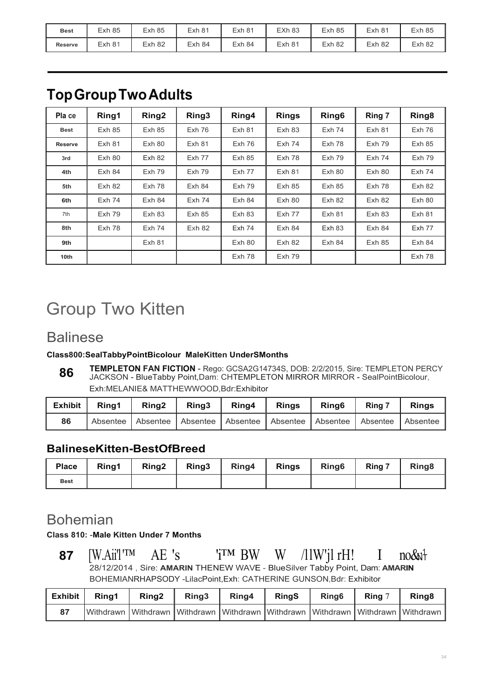| <b>Best</b>    | <b>Exh 85</b> | <b>Exh 85</b> | Exh 81 | $Exh$ 81 | <b>EXh 83</b> | Exh <sub>85</sub> | Exh 81   | $Exh$ 85 |
|----------------|---------------|---------------|--------|----------|---------------|-------------------|----------|----------|
| <b>Reserve</b> | Exh 81        | Exh 82        | Exh 84 | Exh 84   | Exh 81        | Exh 82            | $Exh$ 82 | Exh 82   |

## **Top Group Two Adults**

| Pla ce         | Ring1         | Ring <sub>2</sub> | Ring3         | Ring4         | <b>Rings</b>  | Ring <sub>6</sub> | Ring 7   | Ring <sub>8</sub> |
|----------------|---------------|-------------------|---------------|---------------|---------------|-------------------|----------|-------------------|
| <b>Best</b>    | <b>Exh 85</b> | Exh85             | Exh 76        | Exh 81        | Exh 83        | $Exh$ 74          | Exh 81   | $Exh$ 76          |
| <b>Reserve</b> | <b>Exh 81</b> | Exh 80            | Exh 81        | Exh 76        | $Exh$ 74      | Exh 78            | $Exh$ 79 | Exh 85            |
| 3rd            | Exh 80        | <b>Exh 82</b>     | Exh 77        | Exh 85        | Exh 78        | <b>Exh 79</b>     | $Exh$ 74 | Exh 79            |
| 4th            | Exh 84        | <b>Exh 79</b>     | <b>Exh 79</b> | Exh 77        | <b>Exh 81</b> | Exh 80            | Exh 80   | $Exh$ 74          |
| 5th            | Exh 82        | Exh 78            | Exh 84        | <b>Exh 79</b> | <b>Exh 85</b> | Exh85             | Exh 78   | Exh 82            |
| 6th            | <b>Exh 74</b> | Exh 84            | $Exh$ 74      | Exh 84        | Exh 80        | Exh 82            | Exh 82   | Exh 80            |
| 7th            | <b>Exh 79</b> | Exh 83            | <b>Exh 85</b> | Exh 83        | <b>Exh 77</b> | Exh 81            | Exh 83   | Exh 81            |
| 8th            | Exh 78        | $Exh$ 74          | Exh 82        | <b>Exh 74</b> | Exh 84        | Exh 83            | Exh 84   | Exh 77            |
| 9th            |               | <b>Exh 81</b>     |               | Exh 80        | Exh 82        | Exh 84            | Exh 85   | Exh 84            |
| 10th           |               |                   |               | Exh 78        | <b>Exh 79</b> |                   |          | Exh 78            |

# Group Two Kitten

## Balinese

### **Class800:SealTabbyPointBicolour MaleKitten UnderSMonths**

**TEMPLETON FAN FICTION** - Rego: GCSA2G14734S, DOB: 2/2/2015, Sire: TEMPLETON PERCY JACKSON - BlueTabby Point,Dam: CHTEMPLETON MIRROR MlRROR - SealPointBicolour, Exh:MELANIE& MATTHEWWOOD,Bdr:Exhibitor **86**

| Exhibit | Rina1 | Ring <sub>2</sub> | Ring3 | Ring4                                                          | Rinas | <b>Ring6</b> | Ring 7 | <b>Rings</b> |
|---------|-------|-------------------|-------|----------------------------------------------------------------|-------|--------------|--------|--------------|
| 86      |       |                   |       | Absentee Absentee Absentee Absentee Absentee Absentee Absentee |       |              |        | Absentee     |

### **BalineseKitten-BestOfBreed**

| <b>Place</b> | Ring1 | <b>Ring2</b> | Ring3   Ring4   Rings   Ring6 |  | Ring 7 | Ring <sub>8</sub> |
|--------------|-------|--------------|-------------------------------|--|--------|-------------------|
| <b>Best</b>  |       |              |                               |  |        |                   |

## Bohemian

**Class 810:** -**Male Kitten Under 7 Months**

 $no&$ **87**  $[W.Aii']^TM$  AE 's  $'i^{TM}BW$  W  $/11W'11rH!$  I 28/12/2014 , Sire: **AMARIN** THE NEW WAVE - BlueSilver Tabby Point, Dam: **AMARIN** BOHEMIANRHAPSODY -LilacPoint,Exh: CATHERINE GUNSON,Bdr: Exhibitor

| <b>Exhibit</b> | Rina1 | Rina <sub>2</sub> | Ring <sub>3</sub> | Ring4 | <b>RingS</b> | Ring <sub>6</sub> | Rina 7 | Ring <sub>8</sub>                                                                             |
|----------------|-------|-------------------|-------------------|-------|--------------|-------------------|--------|-----------------------------------------------------------------------------------------------|
| 87             |       |                   |                   |       |              |                   |        | Withdrawn   Withdrawn   Withdrawn   Withdrawn   Withdrawn   Withdrawn   Withdrawn   Withdrawn |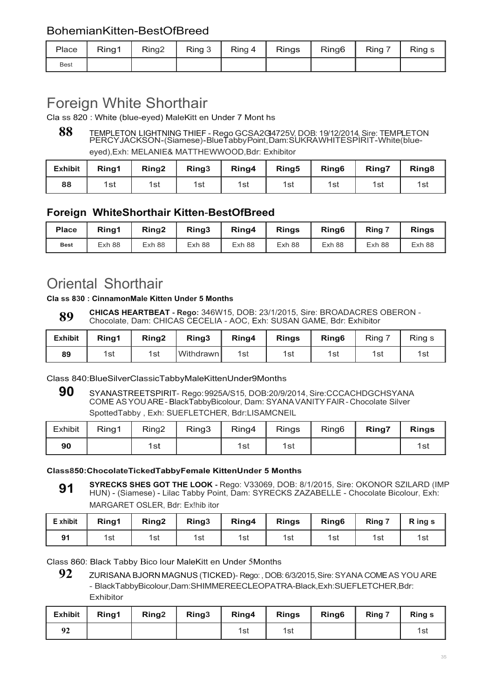### BohemianKitten-BestOfBreed

| Place       | Ring1 | Ring2 | Ring $3$ | $Ring 4$   Rings | Ring6 | Ring 7 | Ring s |
|-------------|-------|-------|----------|------------------|-------|--------|--------|
| <b>Best</b> |       |       |          |                  |       |        |        |

## Foreign White Shorthair

Cla ss 820 : White (blue-eyed) MaleKitt en Under 7 Mont hs

## 88 TEMPLETON LIGHTNING THIEF - Rego GCSA2G4725V, DOB: 19/12/2014, Sire: TEMPLETON<br>PERCY JACKSON - (Siamese) - BlueTabby Point, Dam: SUKRAWHITE SPIRIT - White (blueeyed),Exh: MELANIE& MATTHEWWOOD,Bdr: Exhibitor

| <b>Exhibit</b> | Ring1 | Ring <sub>2</sub> | Ring <sub>3</sub> | Ring4 | Ring <sub>5</sub> | Ring <sub>6</sub> | Ring7 | Ring <sub>8</sub> |
|----------------|-------|-------------------|-------------------|-------|-------------------|-------------------|-------|-------------------|
| 88             | 1st   | 1st               | 1st               | 1st   | 1st               | 1st               | 1st   | 1รเ               |

### **Foreign WhiteShorthair Kitten**-**BestOfBreed**

| <b>Place</b> | Ring1  | Ring <sub>2</sub> | Ring3  | Ring4  | <b>Rings</b> | Ring <sub>6</sub> | Ring <sup>7</sup> | <b>Rings</b> |
|--------------|--------|-------------------|--------|--------|--------------|-------------------|-------------------|--------------|
| <b>Best</b>  | Exh 88 | Exh 88            | Exh 88 | Exh 88 | Exh 88       | Exh 88            | Exh 88            | Exh 88       |

## Oriental Shorthair

#### **Cla ss 830 : CinnamonMale Kitten Under 5 Months**

**CHICAS HEARTBEAT - Rego:** 346W15, DOB: 23/1/2015, Sire: BROADACRES OBERON - Chocolate, Dam: CHICAS CECELIA - AOC, Exh: SUSAN GAME, Bdr: Exhibitor **89**

| <b>Exhibit</b> | Ring1 | Ring <sub>2</sub> | Ring3     | Ring4 | <b>Rings</b> | Ring <sub>6</sub> | Ring | Ring s |
|----------------|-------|-------------------|-----------|-------|--------------|-------------------|------|--------|
| 89             | 1st   | 1st               | Withdrawn | 1st   | 1st          | 1st               | 1st  | 1st    |

Class 840:BlueSilverClassicTabbyMaleKittenUnder9Months

**90** SYANASTREETSPIRIT- Rego: 9925A/S15, DOB:20/9/2014, Sire:CCCACHDGCHSYANA COME AS YOU ARE - BlackTabbyBicolour, Dam: SYANA VANITY FAIR - Chocolate Silver SpottedTabby , Exh: SUEFLETCHER, Bdr:LISAMCNEIL

| Exhibit | Ring1 | Ring <sub>2</sub> | Ring3 | Ring4 | Rings | Ring <sub>6</sub> | Ring7 | <b>Rings</b> |
|---------|-------|-------------------|-------|-------|-------|-------------------|-------|--------------|
| 90      |       | 1st               |       | 1st   | 1st   |                   |       | 1sı          |

#### **Class850:ChocolateTickedTabbyFemale KittenUnder 5 Months**

**SYRECKS SHES GOT THE LOOK -** Rego: V33069, DOB: 8/1/2015, Sire: OKONOR SZILARD (IMP HUN) - (Siamese) - Lilac Tabby Point, Dam: SYRECKS ZAZABELLE - Chocolate Bicolour, Exh: MARGARET OSLER, Bdr: Ex!hib itor **91**

| E xhibit     | Ring1 | Ring <sub>2</sub> | Ring3 | Ring4 | <b>Rings</b> | Ring <sub>6</sub> | Ring 7 | R ing s |
|--------------|-------|-------------------|-------|-------|--------------|-------------------|--------|---------|
| $\mathbf{a}$ | 1st   | 1st               | 1st   | 1st   | 1st          | 1st               | 1st    | 1st     |

Class 860: Black Tabby Bico lour MaleKitt en Under 5Months

**92** ZURISANA BJORN MAGNUS (TICKED)- Rego: , DOB: 6/3/2015, Sire: SYANA COME AS YOU ARE - BlackTabbyBicolour,Dam:SHIMMEREECLEOPATRA-Black,Exh:SUEFLETCHER,Bdr: **Exhibitor** 

| Exhibit | Ring1 | Ring <sub>2</sub> | Ring <sub>3</sub> | Ring4 | <b>Rings</b> | Ring <sub>6</sub> | Ring 7 | <b>Ring s</b> |
|---------|-------|-------------------|-------------------|-------|--------------|-------------------|--------|---------------|
|         |       |                   |                   | 1st   | 1st          |                   |        | 1si           |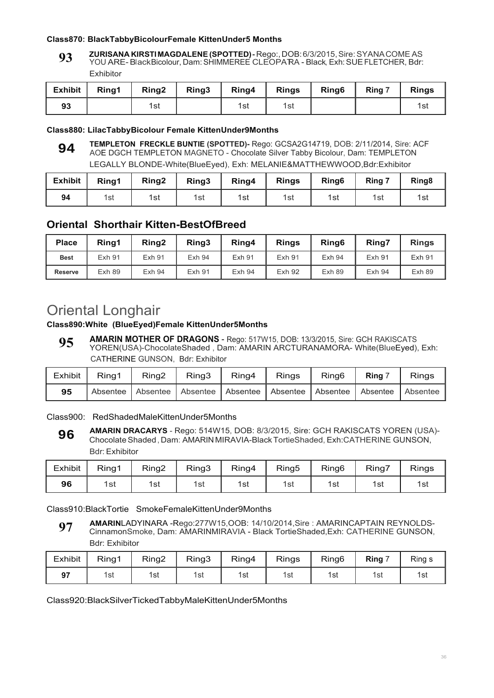#### **Class870: BlackTabbyBicolourFemale KittenUnder5 Months**

**ZURISANA KIRSTI MAGDALENE (SPOTTED) -** Rego:, DOB: 6/3/2015, Sire: SYANA COME AS YOU ARE-BlackBicolour, Dam:SHIMMEREE CLEOPATRA - Black, Exh:SUEFLETCHER, Bdr: Exhibitor **93**

| Exhibit | Ring1 | Ring2 | Ring3 |     | Ring4 Rings | Ring <sub>6</sub> | Ring 7 | <b>Rings</b> |
|---------|-------|-------|-------|-----|-------------|-------------------|--------|--------------|
| 93      |       | 1st   |       | 1st | 1st         |                   |        | 1sı          |

#### **Class880: LilacTabbyBicolour Female KittenUnder9Months**

**TEMPLETON FRECKLE BUNTIE (SPOTTED)-** Rego: GCSA2G14719, DOB: 2/11/2014, Sire: ACF AOE DGCH TEMPLETON MAGNETO - Chocolate Silver Tabby Bicolour, Dam: TEMPLETON LEGALLY BLONDE-White(BlueEyed), Exh: MELANIE&MATTHEWWOOD,Bdr:Exhibitor **94**

| <b>Exhibit</b> | Ring1 | Ring <sub>2</sub> | Ring3 | Ring4 | <b>Rings</b> | Ring <sub>6</sub> | Ring 7 | Ring <sub>8</sub> |
|----------------|-------|-------------------|-------|-------|--------------|-------------------|--------|-------------------|
| 94             | 1st   | 1st               | 1st   | 1st   | 1st          | 1st               | 1st    | 1รเ               |

### **Oriental Shorthair Kitten-BestOfBreed**

| <b>Place</b>   | Rina1         | Ring <sub>2</sub> | Ring3         | Ring4  | <b>Rings</b>  | Ring <sub>6</sub> | <b>Ring7</b>  | <b>Rings</b> |
|----------------|---------------|-------------------|---------------|--------|---------------|-------------------|---------------|--------------|
| <b>Best</b>    | <b>Exh 91</b> | Exh 91            | Exh 94        | Exh 91 | <b>Exh 91</b> | <b>Exh 94</b>     | <b>Exh 91</b> | Exh 91       |
| <b>Reserve</b> | Exh 89        | Exh 94            | <b>Exh 91</b> | Exh 94 | <b>Exh 92</b> | Exh 89            | Exh 94        | Exh 89       |

## Oriental Longhair

#### **Class890:White (BlueEyed)Female KittenUnder5Months**

**AMARIN MOTHER OF DRAGONS** - Rego: 517W15, DOB: 13/3/2015, Sire: GCH RAKISCATS YOREN(USA)-ChocolateShaded , Dam: AMARIN ARCTURANAMORA- White(BlueEyed), Exh: CATHERINE GUNSON, Bdr: Exhibitor **95**

| Exhibit | Ring1    | Ring <sub>2</sub> | Ring3             | Ring4                      | <b>Rings</b> | Ring <sub>6</sub> | <b>Ring</b> | <b>Rings</b> |
|---------|----------|-------------------|-------------------|----------------------------|--------------|-------------------|-------------|--------------|
| 95      | Absentee |                   | Absentee Absentee | Absentee Absentee Absentee |              |                   | Absentee    | Absentee     |

Class900: RedShadedMaleKittenUnder5Months

**AMARIN DRACARYS** - Rego: 514W15, DOB: 8/3/2015, Sire: GCH RAKISCATS YOREN (USA)- Chocolate Shaded , Dam: AMARIN MIRAVIA-Black TortieShaded, Exh:CATHERINE GUNSON, Bdr: Exhibitor **96**

| <b>Exhibit</b> | Ring1 | Ring <sub>2</sub> | Ring3 | Ring4 | Ring <sub>5</sub> | Ring <sub>6</sub> | Ring7 | <b>Rings</b> |
|----------------|-------|-------------------|-------|-------|-------------------|-------------------|-------|--------------|
| 96             | 1st   | 1st               | 1st   | 1st   | 1st               | 1st               | 1st   | 1st          |

Class910:BlackTortie SmokeFemaleKittenUnder9Months

**AMARIN**LADYINARA -Rego:277W15,OOB: 14/10/2014,Sire : AMARINCAPTAIN REYNOLDS-CinnamonSmoke, Dam: AMARINMIRAVIA - Black TortieShaded,Exh: CATHERINE GUNSON, Bdr: Exhibitor **97**

| <b>Exhibit</b> | Ring1 | Ring2 | Ring3 | Ring4 | Rings | Ring <sub>6</sub> | <b>Ring</b> | Ring s |
|----------------|-------|-------|-------|-------|-------|-------------------|-------------|--------|
| 97<br>JI       | 1st   | 1st   | 1st   | 1st   | 1st   | 1st               | 1st         | 1st    |

Class920:BlackSilverTickedTabbyMaleKittenUnder5Months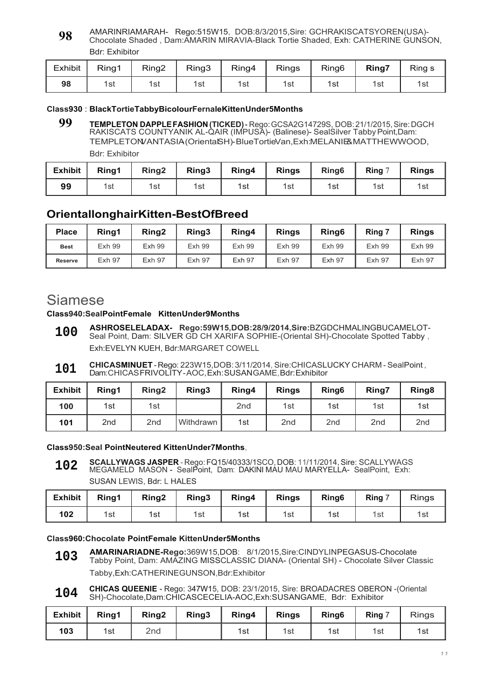AMARINRIAMARAH- Rego:515W15, DOB:8/3/2015,Sire: GCHRAKISCATSYOREN(USA)- Chocolate Shaded , Dam:AMARIN MIRAVIA-Black Tortie Shaded, Exh: CATHERINE GUNSON, Bdr: Exhibitor **98**

| Exhibit | Ring1 | Ring2 | Ring3 | Ring4 | <b>Rings</b> | Ring <sub>6</sub> | Ring7 | Ring s |
|---------|-------|-------|-------|-------|--------------|-------------------|-------|--------|
| 98      | 1st   | 1st   | 1st   | 1st   | 1st          | 1st               | 1st   | 1รเ    |

#### **Class930** : **BlackTortieTabbyBicolourFernaleKittenUnder5Months**

**99 TEMPLETON DAPPLE FASHION (TICKED) -** Rego: GCSA2G14729S, DOB: 21/1/2015, Sire: DGCH RAKISCATS COUNTYANIK AL-QAIR (IMPUSA)- (Balinese)- SealSilver Tabby Point,Dam: TEMPLETONVANTASIA-(OrientalSH)-BlueTortieVan,Exh:MELANIE&MATTHEWWOOD,

Bdr: Exhibitor

| <b>Exhibit</b> | Ring1 | Ring <sub>2</sub> | Ring3 | Ring4 | <b>Rings</b> | Ring <sub>6</sub> | Ring 7 | <b>Rings</b> |
|----------------|-------|-------------------|-------|-------|--------------|-------------------|--------|--------------|
| 99             | 1st   | 1st               | 1st   | 1st   | 1st          | 1st               | 1st    | 1st          |

### **OrientallonghairKitten-BestOfBreed**

| <b>Place</b>   | Ring1         | Ring <sub>2</sub> | Ring3         | Ring4         | <b>Rings</b>  | Ring <sub>6</sub> | Ring 7        | <b>Rings</b>  |
|----------------|---------------|-------------------|---------------|---------------|---------------|-------------------|---------------|---------------|
| <b>Best</b>    | <b>Exh 99</b> | Exh 99            | <b>Exh 99</b> | <b>Exh 99</b> | <b>Exh 99</b> | <b>Exh 99</b>     | <b>Exh 99</b> | <b>Exh 99</b> |
| <b>Reserve</b> | <b>Exh 97</b> | <b>Exh 97</b>     | <b>Exh 97</b> | <b>Exh 97</b> | <b>Exh 97</b> | <b>Exh 97</b>     | <b>Exh 97</b> | <b>Exh 97</b> |

## Siamese

#### **Class940:SealPointFemale KittenUnder9Months**

- **ASHROSELELADAX- Rego:59W15,DOB:28/9/2014,Sire:**BZGDCHMALINGBUCAMELOT-Seal Point, Dam: SILVER GD CH XARIFA SOPHIE-(Oriental SH)-Chocolate Spotted Tabby, Exh:EVELYN KUEH, Bdr:MARGARET COWELL **100**
- **CHICASMINUET**  Rego: 223W15,DOB: 3/11/2014, Sire:CHICASLUCKY CHARM SealPoint , Dam: CHICAS FRIVOLITY AOC, Exh: SUSAN GAME, Bdr: Exhibitor **101**

| <b>Exhibit</b> | Ring1           | Ring <sub>2</sub> | Ring3       | Ring4           | <b>Rings</b>    | Ring <sub>6</sub> | <b>Ring7</b>    | Ring <sub>8</sub> |
|----------------|-----------------|-------------------|-------------|-----------------|-----------------|-------------------|-----------------|-------------------|
| 100            | 1st             | 1st               |             | 2 <sub>nd</sub> | 1st             | 1st               | 1st             | 1st               |
| 101            | 2 <sub>nd</sub> | 2 <sub>nd</sub>   | Withdrawn I | 1st             | 2 <sub>nd</sub> | 2 <sub>nd</sub>   | 2 <sub>nd</sub> | 2 <sub>nd</sub>   |

**Class950:Seal PointNeutered KittenUnder7Months,**

**SCALLYWAGS JASPER** - Rego: FQ15/40333/1SCO, DOB: 11/11/2014, Sire: SCALLYWAGS MEGAMELD MASON - SealPoint, Dam: DAKINI MAU MAU MARYELLA- SealPoint, Exh: SUSAN LEWIS, Bdr: L HALES **102**

| <b>Exhibit</b> | Ring1 | Ring <sub>2</sub> | Ring3 | Ring4 | <b>Rings</b> | Ring <sub>6</sub> | Ring 7 | <b>Rings</b> |
|----------------|-------|-------------------|-------|-------|--------------|-------------------|--------|--------------|
| 102            | 1st   | 1st               | 1st   | 1st   | 1st          | 1st               | 1st    | 1st          |

#### **Class960:Chocolate PointFemale KittenUnder5Months**

- **AMARINARIADNE-Rego:**369W15,DOB: 8/1/2015,Sire:CINDYLINPEGASUS-Chocolate Tabby Point, Dam: AMAZING MISSCLASSIC DIANA- (Oriental SH) - Chocolate Silver Classic Tabby,Exh:CATHERINEGUNSON,Bdr:Exhibitor **103**
- **CHICAS QUEENIE** Rego: 347W15, DOB: 23/1/2015, Sire: BROADACRES OBERON -(Oriental SH)-Chocolate,Dam:CHICASCECELIA-AOC,Exh:SUSANGAME, Bdr: Exhibitor **104**

| <b>Exhibit</b> | Rina1 | Ring <sub>2</sub> | Ring3 | Ring4 | <b>Rings</b> | Ring <sub>6</sub> | Ring 7 | <b>Rings</b> |
|----------------|-------|-------------------|-------|-------|--------------|-------------------|--------|--------------|
| 103            | 1st   | 2nd               |       | 1st   | 1st          | 1st               | 1st    | 1st          |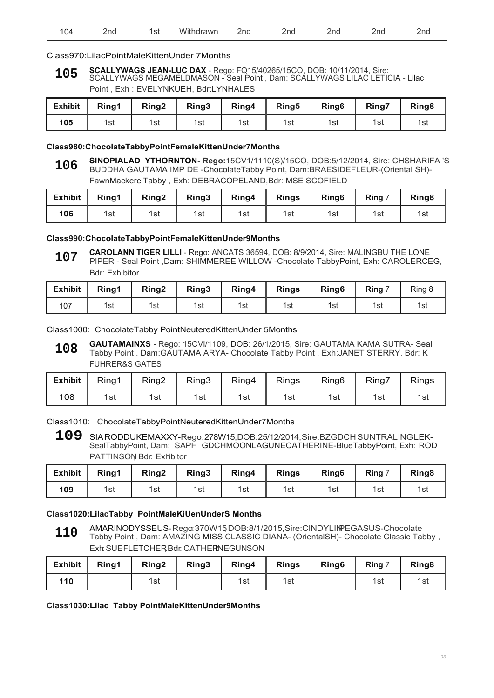| <b>1.</b><br>VV it<br>.<br>.<br>ANrr<br>.<br>'nc<br>∠na<br>∠Hu<br>ູບເ<br>_____ |  |  |  |  |  |  |  |  |  |
|--------------------------------------------------------------------------------|--|--|--|--|--|--|--|--|--|
|--------------------------------------------------------------------------------|--|--|--|--|--|--|--|--|--|

#### Class970:LilacPointMaleKittenUnder 7Months

**SCALLYWAGS JEAN-LUC DAX** - Rego: FQ15/40265/15CO, DOB: 10/11/2014, Sire: SCALLYWAGS MEGAMELDMASON - Seal Point , Dam: SCALLYWAGS LILAC LETICIA - Lilac Point , Exh : EVELYNKUEH, Bdr:LYNHALES **105**

| <b>Exhibit</b> | Ring1 | Ring <sub>2</sub> | Ring3 | Ring4 | Ring <sub>5</sub> | Ring <sub>6</sub> | Ring7 | Ring <sub>8</sub> |
|----------------|-------|-------------------|-------|-------|-------------------|-------------------|-------|-------------------|
| 105            | 1st   | 1st               | 1st   | 1st   | 1st               | 1st               | 1st   | 1st               |

#### **Class980:ChocolateTabbyPointFemaleKittenUnder7Months**

**SINOPIALAD YTHORNTON- Rego:**15CV1/1110(S)/15CO, DOB:5/12/2014, Sire: CHSHARIFA 'S BUDDHA GAUTAMA IMP DE -ChocolateTabby Point, Dam:BRAESIDEFLEUR-(Oriental SH)- FawnMackerelTabby , Exh: DEBRACOPELAND,Bdr: MSE SCOFIELD **106**

| <b>Exhibit</b> | Ring1 | Ring <sub>2</sub> | Ring3 | Ring4 | <b>Rings</b> | Ring <sub>6</sub> | Ring 7 | Ring <sub>8</sub> |
|----------------|-------|-------------------|-------|-------|--------------|-------------------|--------|-------------------|
| 106            | 1st   | 1st               | 1st   | 1st   | 1st          | 1st               | 1st    | 1st               |

#### **Class990:ChocolateTabbyPointFemaleKittenUnder9Months**

**CAROLANN TIGER LILLI** - Rego: ANCATS 36594, DOB: 8/9/2014, Sire: MALINGBU THE LONE PIPER - Seal Point ,Dam: SHIMMEREE WILLOW -Chocolate TabbyPoint, Exh: CAROLERCEG, Bdr: Exhibitor **107**

| <b>Exhibit</b> | Ring1 | Ring <sub>2</sub> | Ring3 | Ring4 | <b>Rings</b> | Ring <sub>6</sub> | Ring | Ring 8 |
|----------------|-------|-------------------|-------|-------|--------------|-------------------|------|--------|
| 107            | 1st   | 1st               | 1st   | 1st   | 1st          | 1st               | 1st  | 1st    |

Class1000: ChocolateTabby PointNeuteredKittenUnder 5Months

**GAUTAMAINXS -** Rego: 15CVl/1109, DOB: 26/1/2015, Sire: GAUTAMA KAMA SUTRA- Seal Tabby Point . Dam:GAUTAMA ARYA- Chocolate Tabby Point . Exh:JANET STERRY. Bdr: K FUHRER&S GATES **108**

| <b>Exhibit</b> | Ring1 | Ring <sub>2</sub> | Ring3 | Ring4 | <b>Rings</b> | Ring <sub>6</sub> | Ring7 | <b>Rings</b> |
|----------------|-------|-------------------|-------|-------|--------------|-------------------|-------|--------------|
| 108            | 1st   | 1st               | 1st   | 1st   | 1st          | 1st               | 1st   | 1st          |

Class1010: ChocolateTabbyPointNeuteredKittenUnder7Months

**109** SIA RODDUKEMAXXY-Rego: 278W15, DOB: 25/12/2014, Sire:BZGDCH SUNTRALING LEK-SealTabbyPoint, Dam: SAPH GDCHMOONLAGUNECATHERINE-BlueTabbyPoint, Exh: ROD PATTINSON Bdr. Exhibitor

| <b>Exhibit</b> | Ring1 | Ring <sub>2</sub> | Ring <sub>3</sub> | Ring4 | <b>Rings</b> | Ring <sub>6</sub> | Ring | Ring <sub>8</sub> |
|----------------|-------|-------------------|-------------------|-------|--------------|-------------------|------|-------------------|
| 109            | 1st   | 1st               | 1st               | 1st   | 1st          | 1st               | 1st  | 1st               |

#### **Class1020:LilacTabby PointMaleKiUenUnderS Months**

AMARINODYSSEUS-Rego:370W15,DOB:8/1/2015,Sire:CINDYLINPEGASUS-Chocolate Tabby Point , Dam: AMAZING MISS CLASSIC DIANA- (OrientalSH)- Chocolate Classic Tabby , Exh: SUEFLETCHER Bdr: CATHERNEGUNSON **110**

| <b>Exhibit</b> | Ring1 | Ring <sub>2</sub> | Ring3 | Ring4 | <b>Rings</b> | Ring <sub>6</sub> | Ring 7 | Ring <sub>8</sub> |
|----------------|-------|-------------------|-------|-------|--------------|-------------------|--------|-------------------|
| 110            |       | 1st               |       | 1st   | 1st          |                   | 1st    | 1st               |

#### **Class1030:Lilac Tabby PointMaleKittenUnder9Months**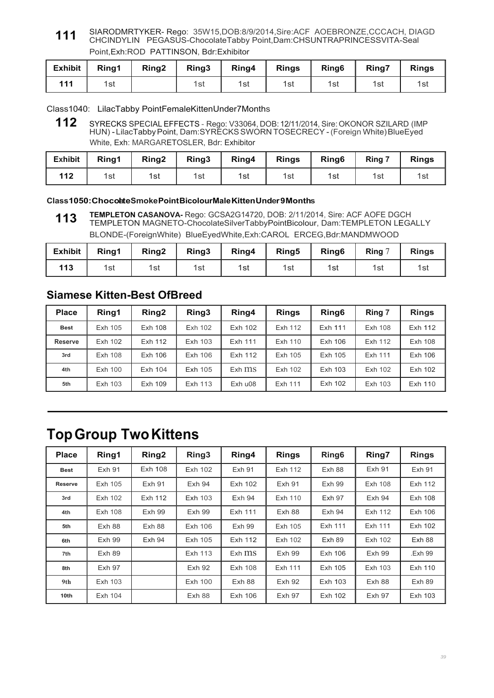SIARODMRTYKER- Rego: 35W15,DOB:8/9/2014,Sire:ACF AOEBRONZE,CCCACH, DIAGD CHCINDYLIN PEGASUS-ChocolateTabby Point,Dam:CHSUNTRAPRINCESSVITA-Seal Point,Exh:ROD PATTINSON, Bdr:Exhibitor **111**

| <b>Exhibit</b> | Ring1 | Ring <sub>2</sub> | Ring <sub>3</sub> | Ring4 | <b>Rings</b> | Ring <sub>6</sub> | Ring7 | <b>Rings</b> |
|----------------|-------|-------------------|-------------------|-------|--------------|-------------------|-------|--------------|
| 111            | 1st   |                   | 1st               | 1st   | 1st          | 1st               | 1st   | 1st          |

Class1040: LilacTabby PointFemaleKittenUnder7Months

**112** SYRECKS SPECIAL EFFECTS - Rego: V33064, DOB: 12/11/2014, Sire: OKONOR SZILARD (IMP HUN) - LilacTabby Point, Dam:SYRECKS SWORN TOSECRECY - (Foreign White) BlueEyed White, Exh: MARGARETOSLER, Bdr: Exhibitor

| <b>Exhibit</b> | Ring1 | Ring <sub>2</sub> | Ring3 | Ring4 | <b>Rings</b> | Ring <sub>6</sub> | Ring 7 | <b>Rings</b> |
|----------------|-------|-------------------|-------|-------|--------------|-------------------|--------|--------------|
| 112            | 1st   | 1st               | 1st   | 1st   | 1st          | 1st               | 1st    | 1sı          |

#### **Class1050:ChocoalteSmokePointBicolourMaleKittenUnder9Months**

**TEMPLETON CASANOVA-** Rego: GCSA2G14720, DOB: 2/11/2014, Sire: ACF AOFE DGCH TEMPLETON MAGNETO-ChocolateSilverTabbyPointBicolour, Dam:TEMPLETON LEGALLY BLONDE-(ForeignWhite) BlueEyedWhite,Exh:CAROL ERCEG,Bdr:MANDMWOOD **113**

| <b>Exhibit</b> | Ring1 | Ring <sub>2</sub> | Ring3 | Ring4 | Ring5 | Ring <sub>6</sub> | Ring $7$ | <b>Rings</b> |
|----------------|-------|-------------------|-------|-------|-------|-------------------|----------|--------------|
| 113            | 1st   | 1st               | 1st   | 1st   | 1st   | 1st               | 1st      | 1st          |

### **Siamese Kitten-Best OfBreed**

| <b>Place</b>   | Ring1   | Ring <sub>2</sub> | Ring3<br>Ring4                           |            | <b>Rings</b> | Ring <sub>6</sub> | Ring 7  | <b>Rings</b> |
|----------------|---------|-------------------|------------------------------------------|------------|--------------|-------------------|---------|--------------|
| <b>Best</b>    | Exh 105 | Exh 108           | Exh 102<br>Exh 112<br>Exh 111<br>Exh 102 |            |              | Exh 108           | Exh 112 |              |
| <b>Reserve</b> | Exh 102 | Exh 112           | Exh 103                                  | Exh 111    | Exh 110      | Exh 106           | Exh 112 | Exh 108      |
| 3rd            | Exh 108 | Exh 106           | Exh 106                                  | Exh 112    | Exh 105      | Exh 105           | Exh 111 | Exh 106      |
| 4th            | Exh 100 | Exh 104           | Exh 105                                  | $Exh$ $ms$ | Exh 102      | Exh 103           | Exh 102 | Exh 102      |
| 5th            | Exh 103 | Exh 109           | Exh 113                                  | Exh u08    | Exh 111      | Exh 102           | Exh 103 | Exh 110      |

## **Top Group Two Kittens**

| <b>Place</b>   | Ring1         | Ring <sub>2</sub> | Ring <sub>3</sub> | Ring4<br><b>Rings</b><br>Ring <sub>6</sub> |                   |               | Ring7          | <b>Rings</b>  |
|----------------|---------------|-------------------|-------------------|--------------------------------------------|-------------------|---------------|----------------|---------------|
| <b>Best</b>    | <b>Exh 91</b> | <b>Exh 108</b>    | Exh 102           | <b>Exh 91</b>                              | Exh 112<br>Exh 88 |               | <b>Exh 91</b>  | <b>Exh 91</b> |
| <b>Reserve</b> | Exh 105       | Exh 91            | $Exh$ 94          | Exh 102                                    | <b>Exh 91</b>     | <b>Exh 99</b> | <b>Exh 108</b> | Exh 112       |
| 3rd            | Exh 102       | Exh 112           | Exh 103           | $Exh$ 94                                   | Exh 110           | <b>Exh 97</b> | $Exh$ 94       | Exh 108       |
| 4th            | Exh 108       | <b>Exh 99</b>     | <b>Exh 99</b>     | Exh 111                                    | Exh 88            | Exh 94        | Exh 112        | Exh 106       |
| 5th            | Exh 88        | Exh 88            | Exh 106           | Exh 99                                     | Exh 105           | Exh 111       | Exh 111        | Exh 102       |
| 6th            | Exh 99        | Exh 94            | Exh 105           | Exh 112                                    | Exh 102           | Exh 89        | Exh 102        | Exh 88        |
| 7th            | Exh 89        |                   | Exh 113           | $Exh$ $ms$                                 | <b>Exh 99</b>     | Exh 106       | <b>Exh 99</b>  | .Exh 99       |
| 8th            | Exh 97        |                   | <b>Exh 92</b>     | <b>Exh 108</b>                             | Exh 111           | Exh 105       | Exh 103        | Exh 110       |
| 9th            | Exh 103       |                   | <b>Exh 100</b>    | Exh 88                                     | <b>Exh 92</b>     | Exh 103       | Exh 88         | Exh 89        |
| 10th           | Exh 104       |                   | Exh 88            | Exh 106                                    | <b>Exh 97</b>     | Exh 102       | <b>Exh 97</b>  | Exh 103       |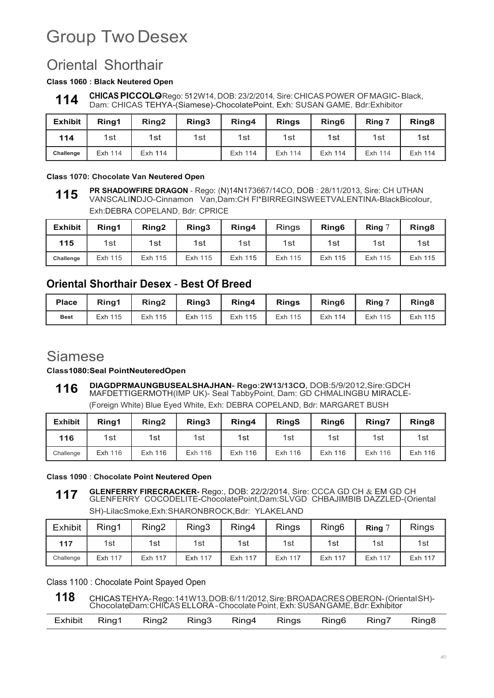# Group Two Desex

## Oriental Shorthair

#### **Class 1060 : Black Neutered Open**

**CHICAS PICCOLO**Rego: 512W14, DOB: 23/2/2014, Sire: CHICAS POWER OF MAGIC-Black, Dam: CHICAS TEHYA-(Siamese)-ChocolatePoint, Exh: SUSAN GAME, Bdr:Exhibitor

| <b>Exhibit</b> | Rina1   | Ring <sub>2</sub> | Ring3 | Ring <sub>6</sub><br>Ring4<br><b>Rings</b> |         | Ring 7  | Ring <sub>8</sub> |         |
|----------------|---------|-------------------|-------|--------------------------------------------|---------|---------|-------------------|---------|
| 114            | 1st     | 1st               | 1st   | 1st                                        | 1st     | 1st     | 1st               | 1st     |
| Challenge      | Exh 114 | Exh 114           |       | Exh 114                                    | Exh 114 | Exh 114 | Exh 114           | Exh 114 |

#### **Class 1070: Chocolate Van Neutered Open**

**PR SHADOWFIRE DRAGON** - Rego: (N)14N173667/14CO, DOB : 28/11/2013, Sire: CH UTHAN VANSCALI**N**DJO-Cinnamon Van,Dam:CH Fl\*BIRREGINSWEETVALENTINA-BlackBicolour, Exh:DEBRA COPELAND, Bdr: CPRICE **115**

| <b>Exhibit</b> | Ring1   | Ring <sub>2</sub> | Ring3   | Ring4   | <b>Rings</b> | Ring <sub>6</sub> | Ring $^\circ$ | Ring <sub>8</sub> |
|----------------|---------|-------------------|---------|---------|--------------|-------------------|---------------|-------------------|
| 115            | 1st     | 1st               | 1st     | 1st     | 1st          | 1st               | 1st           | 1st               |
| Challenge      | Exh 115 | Exh 115           | Exh 115 | Exh 115 | Exh 115      | Exh 115           | Exh 115       | Exh 115           |

## **Oriental Shorthair Desex** - **Best Of Breed**

| <b>Place</b> | Ring1   | Ring2   | Ring3      | Ring4   | <b>Rings</b> | Ring <sub>6</sub> | Ring 7     | Ring <sub>8</sub> |
|--------------|---------|---------|------------|---------|--------------|-------------------|------------|-------------------|
| <b>Best</b>  | Exh 115 | Exh 115 | Exh<br>115 | Exh 115 | Exh 115      | Exh 114           | Exh<br>115 | Exh 115           |

## Siamese

**Class1080:Seal PointNeuteredOpen**

**DIAGDPRMAUNGBUSEALSHAJHAN- Rego:2W13/13CO,** DOB:5/9/2012,Sire:GDCH MAFDETTIGERMOTH(IMP UK)- Seal TabbyPoint, Dam: GD CHMALINGBU MIRACLE- (Foreign White) Blue Eyed White, Exh: DEBRA COPELAND, Bdr: MARGARET BUSH **116**

| <b>Exhibit</b> | Rina1   | Ring <sub>2</sub> | Ring3   | Ring4<br>Ring <sub>6</sub><br><b>RingS</b> |         | Ring7   | Ring <sub>8</sub> |         |
|----------------|---------|-------------------|---------|--------------------------------------------|---------|---------|-------------------|---------|
| 116            | 1st     | 1st               | 1st     | 1st                                        | 1st     | 1st     | 1st               | 1st     |
| Challenge      | Exh 116 | Exh 116           | Exh 116 | Exh 116                                    | Exh 116 | Exh 116 | Exh 116           | Exh 116 |

**Class 1090** : **Chocolate Point Neutered Open**

**GLENFERRY FIRECRACKER-** Rego:, DOB: 22/2/2014, Sire: CCCA GD CH & EM GD CH GLENFERRY COCODELITE-ChocolatePoint,Dam:SLVGD CHBAJIMBIB DAZZLED-(Oriental SH)-LilacSmoke,Exh:SHARONBROCK,Bdr: YLAKELAND **117**

| <b>Exhibit</b> | Ring1          | Ring <sub>2</sub> | Ring3          | Ring4   | <b>Rings</b> | Ring <sub>6</sub> | <b>Ring</b> | <b>Rings</b> |
|----------------|----------------|-------------------|----------------|---------|--------------|-------------------|-------------|--------------|
| 117            | 1st            | 1st               | 1st            | 1st     | 1st          | 1st               | 1st         | 1st          |
| Challenge      | <b>Exh 117</b> | <b>Exh 117</b>    | <b>Exh 117</b> | Exh 117 | Exh 117      | Exh 117           | Exh 117     | Exh 117      |

Class 1100 : Chocolate Point Spayed Open

| 118 |  |  |  |  | CHICASTEHYA-Rego: 141W13, DOB: 6/11/2012, Sire: BROADACRES OBERON-(Oriental SH)-<br>ChocolateDam: CHICAS ELLORA - Chocolate Point, Exh: SUSAN GAME, Bdr. Exhibitor |  |  |  |
|-----|--|--|--|--|--------------------------------------------------------------------------------------------------------------------------------------------------------------------|--|--|--|
|     |  |  |  |  |                                                                                                                                                                    |  |  |  |

|  | Exhibit Ring1 Ring2 Ring3 Ring4 Rings Ring6 Ring7 Ring8 |  |  |  |  |
|--|---------------------------------------------------------|--|--|--|--|
|  |                                                         |  |  |  |  |

**<sup>114</sup>**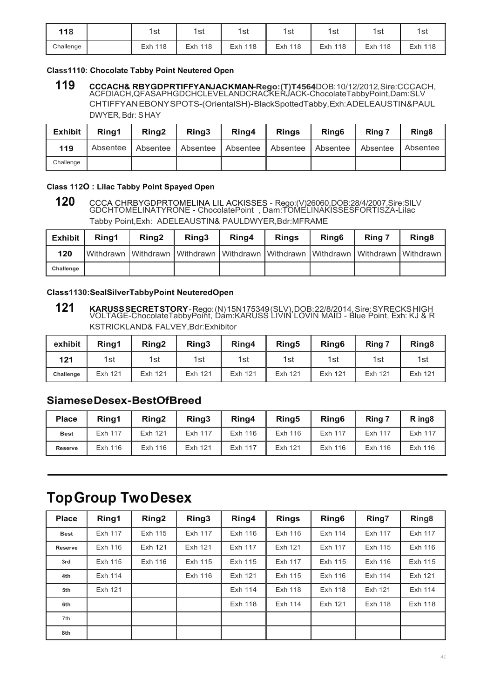| 118       | 1st        | 1st            | 1st     | 1st            | 1st     | 1st        | 1sı     |
|-----------|------------|----------------|---------|----------------|---------|------------|---------|
| Challenge | 118<br>Exh | <b>Exh 118</b> | Exh 118 | <b>Exh 118</b> | Exh 118 | 118<br>Exh | Exh 118 |

#### **Class1110: Chocolate Tabby Point Neutered Open**

<sup>119</sup> CCCACH& RBYGDPRTIFFYANJACKMAN-Rego:(T)T4564DOB:10/12/2012, Sire:CCCACH,<br>ACFDIACH,QFASAPHGDCHCLEVELANDCRACKERJACK-ChocolateTabbyPoint,Dam:SLV CHTIFFYAN EBONY SPOTS-(OrientalSH)- BlackSpottedTabby, Exh: ADELEAUSTIN&PAUL DWYER, Bdr: S HAY

| <b>Exhibit</b> | Rina1 | <b>Ring2</b> | Rina <sub>3</sub> | Ring4                                                           | <b>Rings</b> | Ring <sub>6</sub> | Ring 7   | Ring <sub>8</sub> |
|----------------|-------|--------------|-------------------|-----------------------------------------------------------------|--------------|-------------------|----------|-------------------|
| 119            |       |              |                   | Absentee   Absentee   Absentee   Absentee   Absentee   Absentee |              |                   | Absentee | Absentee          |
| Challenge      |       |              |                   |                                                                 |              |                   |          |                   |

#### **Class 112O : Lilac Tabby Point Spayed Open**

120 CCCA CHRBYGDPRTOMELINA LIL ACKISSES - Rego:(V)26060,DOB:28/4/2007,Sire:SILV<br>GDCHTOMELINATYRONE - ChocolatePoint , Dam:TOMELINAKISSESFORTISZA-Lilac Tabby Point,Exh: ADELEAUSTIN& PAULDWYER,Bdr:MFRAME

| <b>Exhibit</b> | Rina1 | Ring <sub>2</sub>                                                                         | Rina3 | Ring4 | <b>Rings</b> | Ring <sub>6</sub> | Ring 7 | Ring <sub>8</sub> |
|----------------|-------|-------------------------------------------------------------------------------------------|-------|-------|--------------|-------------------|--------|-------------------|
| 120            |       | IWithdrawn IWithdrawn IWithdrawn IWithdrawn IWithdrawn IWithdrawn IWithdrawn IWithdrawn I |       |       |              |                   |        |                   |
| Challenge      |       |                                                                                           |       |       |              |                   |        |                   |

#### **Class1130:SealSilverTabbyPoint NeuteredOpen**

<sup>121</sup> KARUSS SECRET STORY - Rego: (N) 15N175349 (SLV), DOB: 22/8/2014, Sire: SYRECKS HIGH<br>VOLTAGE-ChocolateTabbyPoint, Dam:KARUSS LIVIN LOVIN MAID - Blue Point, Exh: KJ & R KSTRICKLAND& FALVEY,Bdr:Exhibitor

| exhibit   | Rina1   | Ring <sub>2</sub> | Ring3   | Ring4   | Ring5   | Ring <sub>6</sub> | Ring 7  | Ring <sub>8</sub> |
|-----------|---------|-------------------|---------|---------|---------|-------------------|---------|-------------------|
| 121       | 1st     | 1st               | 1st     | 1st     | 1st     | 1st               | 1st     | 1st               |
| Challenge | Exh 121 | Exh 121           | Exh 121 | Exh 121 | Exh 121 | Exh 121           | Exh 121 | Exh 121           |

### **Siamese Desex- BestOfBreed**

| <b>Place</b>   | Rina1   | Ring <sub>2</sub> | Ring3   | Ring4   | Ring <sub>5</sub> | Ring <sub>6</sub> | Ring 7  | R ing <sub>8</sub> |
|----------------|---------|-------------------|---------|---------|-------------------|-------------------|---------|--------------------|
| <b>Best</b>    | Exh 117 | Exh 121           | Exh 117 | Exh 116 | Exh 116           | Exh 117           | Exh 117 | Exh 117            |
| <b>Reserve</b> | Exh 116 | Exh 116           | Exh 121 | Exh 117 | Exh 121           | Exh 116           | Exh 116 | Exh 116            |

## **Top Group Two Desex**

| <b>Place</b>   | Ring1   | Ring <sub>2</sub> | Ring3   | Ring4   | <b>Rings</b> | Ring <sub>6</sub> | Ring7          | Ring <sub>8</sub> |
|----------------|---------|-------------------|---------|---------|--------------|-------------------|----------------|-------------------|
| <b>Best</b>    | Exh 117 | Exh 115           | Exh 117 | Exh 116 | Exh 116      | Exh 114           | Exh 117        | Exh 117           |
| <b>Reserve</b> | Exh 116 | Exh 121           | Exh 121 | Exh 117 | Exh 121      | Exh 117           | Exh 115        | Exh 116           |
| 3rd            | Exh 115 | Exh 116           | Exh 115 | Exh 115 | Exh 117      | Exh 115           | Exh 116        | Exh 115           |
| 4th            | Exh 114 |                   | Exh 116 | Exh 121 | Exh 115      | Exh 116           | Exh 114        | Exh 121           |
| 5th            | Exh 121 |                   |         | Exh 114 | Exh 118      | Exh 118           | Exh 121        | Exh 114           |
| 6th            |         |                   |         | Exh 118 | Exh 114      | Exh 121           | <b>Exh 118</b> | Exh 118           |
| 7th            |         |                   |         |         |              |                   |                |                   |
| 8th            |         |                   |         |         |              |                   |                |                   |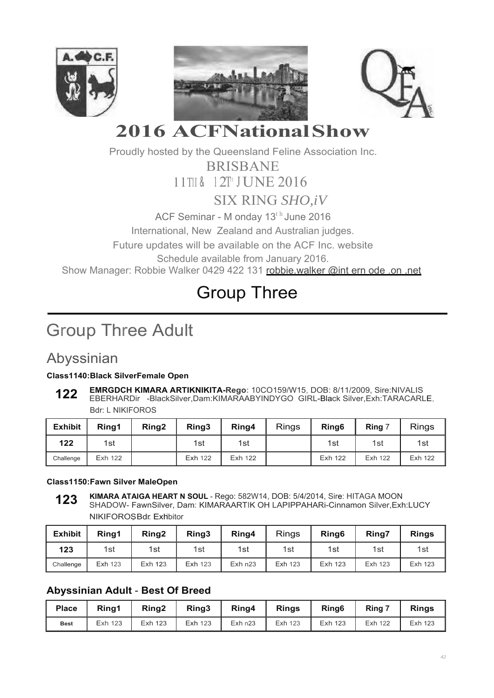





# **2016 ACFNational Show**

Proudly hosted by the Queensland Feline Association Inc.

BRISBANE

l lTII & <sup>1</sup> 2T11 J UNE 2016

SIX RING *SHO,iV*

ACF Seminar - M onday 13<sup>th</sup> June 2016

International, New Zealand and Australian judges.

Future updates will be available on the ACF Inc. website

Schedule available from January 2016.

Show Manager: Robbie Walker 0429 422 131 robbie.walker @int ern ode .on .net

# Group Three

# Group Three Adult

## Abyssinian

### **Class1140:Black SilverFemale Open**

**EMRGDCH KIMARA ARTIKNIKITA-Rego:** 10CO159/W15, DOB: 8/11/2009, Sire:NIVALIS EBERHARDir -BlackSilver,Dam:KIMARAABYINDYGO GIRL-Black Silver,Exh:TARACARLE, Bdr: L NIKIFOROS **122**

| <b>Exhibit</b> | Rina1   | Ring <sub>2</sub> | Ring3   | Ring4   | <b>Rings</b> | Ring <sub>6</sub> | Ring 7  | <b>Rings</b> |
|----------------|---------|-------------------|---------|---------|--------------|-------------------|---------|--------------|
| 122            | 1st     |                   | 1st     | 1st     |              | 1st               | 1st     | 1st          |
| Challenge      | Exh 122 |                   | Exh 122 | Exh 122 |              | Exh 122           | Exh 122 | Exh 122      |

### **Class1150:Fawn Silver MaleOpen**

**KIMARA ATAIGA HEART N SOUL** - Rego: 582W14, DOB: 5/4/2014, Sire: HITAGA MOON SHADOW- FawnSilver, Dam: KIMARAARTIK OH LAPIPPAHARi-Cinnamon Silver,Exh:LUCY NIKIFOROSBdr: Exhibitor **123**

| <b>Exhibit</b> | Rina1          | Ring <sub>2</sub> | Ring3          | Ring4     | <b>Rings</b> | Ring <sub>6</sub> | Ring7   | <b>Rings</b> |
|----------------|----------------|-------------------|----------------|-----------|--------------|-------------------|---------|--------------|
| 123            | 1st            | 1st               | 1st            | 1st       | 1st          | 1st               | 1st     | 1st          |
| Challenge      | <b>Exh 123</b> | Exh 123           | <b>Exh 123</b> | $Exh$ n23 | Exh 123      | Exh 123           | Exh 123 | Exh 123      |

### **Abyssinian Adult** - **Best Of Breed**

| <b>Place</b> | Rina1   | Ring <sub>2</sub> | Ring <sub>3</sub> | Ring4   | <b>Rings</b> | Ring <sub>6</sub> | $Ring-7$ | <b>Rings</b> |
|--------------|---------|-------------------|-------------------|---------|--------------|-------------------|----------|--------------|
| <b>Best</b>  | Exh 123 | 123<br>Exh        | Exh 123           | Exh n23 | Exh 123      | Exh 123           | Exh 122  | Exh 123      |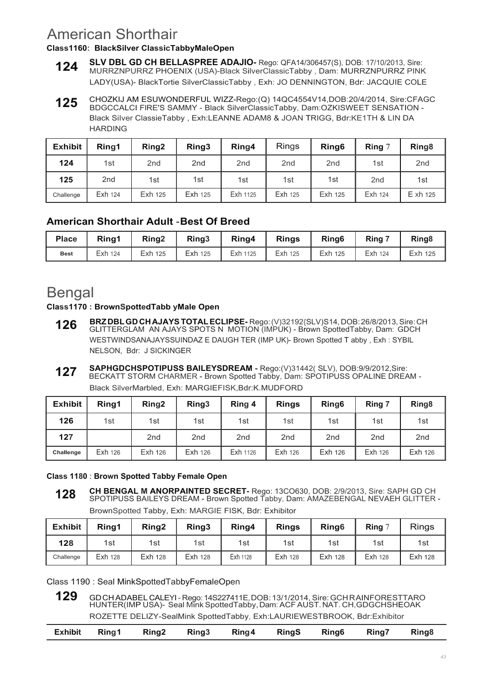## American Shorthair

### **Class1160: BlackSilver ClassicTabbyMaleOpen**

- **SLV DBL GD CH BELLASPREE ADAJIO-** Rego: QFA14/306457(S), DOB: 17/10/2013, Sire: MURRZNPURRZ PHOENIX (USA)-Black SilverClassicTabby , Dam: MURRZNPURRZ PINK LADY(USA)- BlackTortie SilverClassicTabby , Exh: JO DENNINGTON, Bdr: JACQUIE COLE **124**
- CHOZKIJ AM ESUWONDERFUL WIZZ-Rego:(Q) 14QC4554V14,DOB:20/4/2014, Sire:CFAGC BDGCCALCI FlRE'S SAMMY - Black SilverClassicTabby, Dam:OZKISWEET SENSATION - Black SiIver ClassieTabby , Exh:LEANNE ADAM8 & JOAN TRIGG, Bdr:KE1TH & LIN DA HARDING **125**

| <b>Exhibit</b> | Ring1           | Ring <sub>2</sub> | Ring3           | Ring4           | <b>Rings</b>    | Ring <sub>6</sub> | Ring $7$        | Ring <sub>8</sub> |
|----------------|-----------------|-------------------|-----------------|-----------------|-----------------|-------------------|-----------------|-------------------|
| 124            | 1st             | 2 <sub>nd</sub>   | 2 <sub>nd</sub> | 2 <sub>nd</sub> | 2 <sub>nd</sub> | 2 <sub>nd</sub>   | 1st             | 2 <sub>nd</sub>   |
| 125            | 2 <sub>nd</sub> | 1st               | 1st             | 1st             | 1st             | 1st               | 2 <sub>nd</sub> | 1st               |
| Challenge      | Exh 124         | Exh 125           | <b>Exh 125</b>  | Exh 1125        | Exh 125         | Exh 125           | Exh 124         | E xh 125          |

## **American Shorthair Adult** - **Best Of Breed**

| <b>Place</b> | Rina1   | Ring <sub>2</sub> | Ring <sub>3</sub> | Ring4    | <b>Rings</b> | Ring <sub>6</sub> | Ring 7  | Ring <sub>8</sub> |
|--------------|---------|-------------------|-------------------|----------|--------------|-------------------|---------|-------------------|
| <b>Best</b>  | Exh 124 | Exh 125           | Exh 125           | Exh 1125 | Exh 125      | Exh 125           | Exh 124 | Exh 125           |

## Bengal

#### **Class1170 : BrownSpottedTabb yMale Open**

- **BRZ DBL GD CH AJAYS TOTAL ECLIPSE-** Rego: (V)32192{SLV)S14, DOB: 26/8/2013, Sire: CH GLITTERGLAM AN AJAYS SPOTS N MOTION (IMPUK) - Brown SpottedTabby, Dam: GDCH WESTWINDSANAJAYSSUINDAZ E DAUGH TER (IMP UK)- Brown Spotted T abby , Exh : SYBIL NELSON, Bdr: J SICKINGER **126**
- **SAPHGDCHSPOTIPUSS BAILEYSDREAM** Rego:(V)31442( SLV), DOB:9/9/2012,Sire: BECKATT STORM CHARMER - Brown Spotted Tabby, Dam: SPOTIPUSS OPALINE DREAM - **127**

Black SilverMarbled, Exh: MARGIEFISK,Bdr:K.MUDFORD

| <b>Exhibit</b> | Ring1   | Ring <sub>2</sub> | Ring <sub>3</sub> | Ring 4          | <b>Rings</b>    | Ring <sub>6</sub> | Ring 7          | Ring <sub>8</sub> |
|----------------|---------|-------------------|-------------------|-----------------|-----------------|-------------------|-----------------|-------------------|
| 126            | 1st     | 1st               | 1st               | 1st             | 1st             | 1st               | 1st             | 1st               |
| 127            |         | 2 <sub>nd</sub>   | 2 <sub>nd</sub>   | 2 <sub>nd</sub> | 2 <sub>nd</sub> | 2 <sub>nd</sub>   | 2 <sub>nd</sub> | 2 <sub>nd</sub>   |
| Challenge      | Exh 126 | Exh 126           | Exh 126           | Exh 1126        | Exh 126         | Exh 126           | Exh 126         | Exh 126           |

### **Class 1180** : **Brown Spotted Tabby Female Open**

**CH BENGAL M ANORPAINTED SECRET-** Rego: 13CO630, DOB: 2/9/2013, Sire: SAPH GD CH SPOTIPUSS BAILEYS DREAM - Brown Spotted Tabby, Dam: AMAZEBENGAL NEVAEH GLITTER - BrownSpotted Tabby, Exh: MARGIE FISK, Bdr: Exhibitor **128**

| <b>Exhibit</b> | Ring1          | Ring <sub>2</sub> | Ring3          | Ring4    | <b>Rings</b>   | Ring <sub>6</sub> | <b>Ring</b>    | <b>Rings</b> |
|----------------|----------------|-------------------|----------------|----------|----------------|-------------------|----------------|--------------|
| 128            | 1st            | 1st               | 1st            | 1st      | 1st            | 1st               | 1st            | 1st          |
| Challenge      | <b>Exh 128</b> | Exh 128           | <b>Exh 128</b> | Exh 1128 | <b>Exh 128</b> | Exh 128           | <b>Exh 128</b> | Exh 128      |

Class 1190 : Seal MinkSpottedTabbyFemaleOpen

129 GD CH ADABEL CALEYI - Rego: 14S227411E, DOB: 13/1/2014, Sire: GCH R AINFORESTTARO<br>HUNTER(IMP USA)- Seal Mink SpottedTabby, Dam: ACF AUST. NAT. CH, GDGCHSHEOAK ROZETTE DELIZY-SealMink SpottedTabby, Exh:LAURIEWESTBROOK, Bdr:Exhibitor

| Ring2 Ring3 Ring4 RingS Ring6 Ring7 Ring8<br>Exhibit Ring1 |  |
|------------------------------------------------------------|--|
|------------------------------------------------------------|--|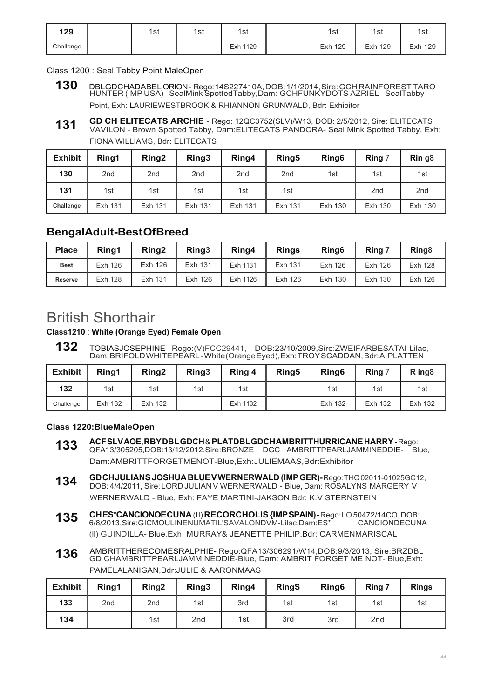| 129       | 1st | 1st | 1st      | 1st     | 1st     | 1st     |
|-----------|-----|-----|----------|---------|---------|---------|
| Challenge |     |     | Exh 1129 | Exh 129 | Exh 129 | Exh 129 |

Class 1200 : Seal Tabby Point MaleOpen

- **130** DBLGDCHADABEL ORION Rego: 14S227410A, DOB: 1/1/2014, Sire: GCH RAINFOREST TARO HUNTER (IMP USA) SealMink SpottedTabby,Dam: GCHFUNKYDOTS AZRIEL SealTabby Point, Exh: LAURIEWESTBROOK & RHIANNON GRUNWALD, Bdr: Exhibitor
- **GD CH ELITECATS ARCHIE**  Rego: 12QC3752(SLV)/W13, DOB: 2/5/2012, Sire: ELITECATS VAVILON - Brown Spotted Tabby, Dam:ELITECATS PANDORA- Seal Mink Spotted Tabby, Exh: FIONA WILLIAMS, Bdr: ELITECATS **131**

| <b>Exhibit</b> | Ring1           | Ring <sub>2</sub> | Ring3           | Ring4           | Ring <sub>5</sub> | Ring <sub>6</sub> | Ring 7          | Rin g <sub>8</sub> |
|----------------|-----------------|-------------------|-----------------|-----------------|-------------------|-------------------|-----------------|--------------------|
| 130            | 2 <sub>nd</sub> | 2 <sub>nd</sub>   | 2 <sub>nd</sub> | 2 <sub>nd</sub> | 2 <sub>nd</sub>   | 1st               | 1st             | 1st                |
| 131            | 1st             | 1st               | 1st             | 1st             | 1st               |                   | 2 <sub>nd</sub> | 2 <sub>nd</sub>    |
| Challenge      | Exh 131         | Exh 131           | Exh 131         | Exh 131         | Exh 131           | Exh 130           | Exh 130         | Exh 130            |

### **BengalAdult-Best OfBreed**

| <b>Place</b>   | Ring1          | Rina <sub>2</sub> | Ring <sub>3</sub> | Ring4    | <b>Rings</b> | Ring <sub>6</sub> | Ring 7  | Ring <sub>8</sub> |
|----------------|----------------|-------------------|-------------------|----------|--------------|-------------------|---------|-------------------|
| <b>Best</b>    | Exh 126        | Exh 126           | Exh 131           | Exh 1131 | Exh 131      | Exh 126           | Exh 126 | Exh 128           |
| <b>Reserve</b> | <b>Exh 128</b> | Exh 131           | Exh 126           | Exh 1126 | Exh 126      | Exh 130           | Exh 130 | Exh 126           |

## British Shorthair

**Class1210** : **White (Orange Eyed) Female Open**

**132** TOBIASJOSEPHINE- Rego:(V)FCC29441, DOB:23/10/2009,Sire:ZWEIFARBESATAI-Lilac, Dam: BRIFOLD WHITE PEARL - White (Orange Eyed), Exh: TROY SCADDAN, Bdr: A. PLATTEN

| <b>Exhibit</b> | Rina1   | Ring <sub>2</sub> | Ring <sub>3</sub> | Ring 4   | Ring <sub>5</sub> | Ring <sub>6</sub> | Ring 7  | R ing <sub>8</sub> |
|----------------|---------|-------------------|-------------------|----------|-------------------|-------------------|---------|--------------------|
| 132            | 1st     | 1st               | 1st               | 1st      |                   | 1st               | 1st     | 1st                |
| Challenge      | Exh 132 | Exh 132           |                   | Exh 1132 |                   | Exh 132           | Exh 132 | Exh 132            |

#### **Class 1220:BlueMaleOpen**

- **ACF SLV AOE, RBY DBL GDCH** & **PLATDBL GDCH AMBRITTHURRICANE HARRY**  Rego: QFA13/305205,DOB:13/12/2012,Sire:BRONZE DGC AMBRITTPEARLJAMMINEDDIE- Blue, Dam:AMBRITTFORGETMENOT-Blue,Exh:JULIEMAAS,Bdr:Exhibitor **133**
- **GD CH JULIANS JOSHUA BLUE V WERNERWALD (IMP GER)-** Rego: THC 02011-01025GC12, DOB: 4/4/2011, Sire: LORD JULIAN V WERNERWALD - Blue, Dam: ROSALYNS MARGERY V WERNERWALD - Blue, Exh: FAYE MARTINI-JAKSON,Bdr: K.V STERNSTEIN **134**
- **CH ES\*CANCIONOE CUNA** (II) **RECORCHOLIS {IMP SPAIN)** Rego: LO 50472/14CO, DOB: 6/8/2013.Sire:GICMOULINENUMATIL'SAVALONDVM-Lilac.Dam:ES\* (ll) GUINDILLA- Blue,Exh: MURRAY& JEANETTE PHILIP,Bdr: CARMENMARISCAL **135**
- AMBRITTHERECOMESRALPHIE- Rego:QFA13/306291/W14,DOB:9/3/2013, Sire:BRZDBL GD CHAMBRITTPEARLJAMMINEDDIE-Blue, Dam: AMBRIT FORGET ME NOT- Blue,Exh: PAMELALANIGAN,Bdr:JULIE & AARONMAAS **136**

| <b>Exhibit</b> | Ring1           | Ring <sub>2</sub> | Ring3           | Ring4 | <b>RingS</b> | Ring <sub>6</sub> | Ring 7          | <b>Rings</b> |
|----------------|-----------------|-------------------|-----------------|-------|--------------|-------------------|-----------------|--------------|
| 133            | 2 <sub>nd</sub> | 2 <sub>nd</sub>   | 1st             | 3rd   | 1st          | 1st               | 1st             | 1st          |
| 134            |                 | 1st               | 2 <sub>nd</sub> | 1st   | 3rd          | 3rd               | 2 <sub>nd</sub> |              |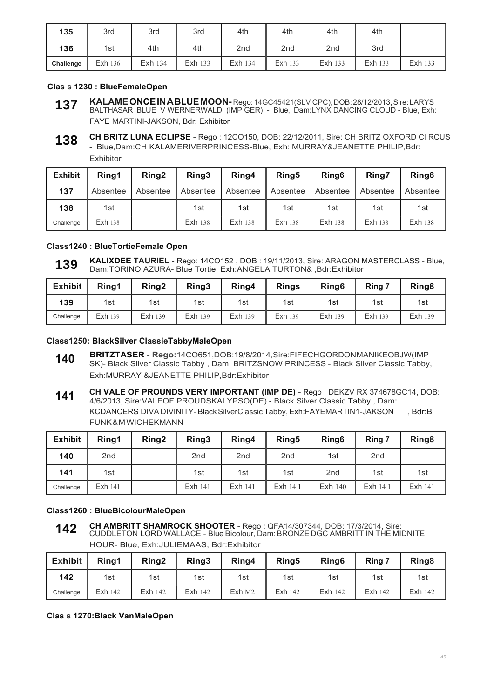| 135       | 3rd            | 3rd     | 3rd            | 4th             | 4th             | 4th             | 4th            |         |
|-----------|----------------|---------|----------------|-----------------|-----------------|-----------------|----------------|---------|
| 136       | 1st            | 4th     | 4th            | 2 <sub>nd</sub> | 2 <sub>nd</sub> | 2 <sub>nd</sub> | 3rd            |         |
| Challenge | <b>Exh 136</b> | Exh 134 | <b>Exh 133</b> | Exh 134         | <b>Exh 133</b>  | Exh 133         | <b>Exh 133</b> | Exh 133 |

#### **Clas s 1230 : BlueFemaleOpen**

- **KALAME ONCE IN A BLUE MOON-** Rego: 14GC45421(SLV CPC), DOB: 28/12/2013, Sire: LARYS BALTHASAR BLUE V WERNERWALD (IMP GER) - Blue, Dam:LYNX DANCING CLOUD - Blue, Exh: FAYE MARTINI-JAKSON, Bdr: Exhibitor **137**
- **CH BRITZ LUNA ECLIPSE**  Rego : 12CO150, DOB: 22/12/2011, Sire: CH BRITZ OXFORD Cl RCUS - Blue,Dam:CH KALAMERIVERPRINCESS-Blue, Exh: MURRAY&JEANETTE PHILIP,Bdr: Exhibitor **138**

| <b>Exhibit</b> | Ring1          | Ring <sub>2</sub> | Ring3    | Ring4          | Ring <sub>5</sub> | Ring <sub>6</sub> | Ring7          | Ring <sub>8</sub> |
|----------------|----------------|-------------------|----------|----------------|-------------------|-------------------|----------------|-------------------|
| 137            | Absentee       | Absentee          | Absentee | Absentee       | Absentee          | Absentee          | Absentee       | Absentee          |
| 138            | 1st            |                   | 1st      | 1st            | 1st               | 1st               | 1st            | 1st               |
| Challenge      | <b>Exh 138</b> |                   | Exh 138  | <b>Exh 138</b> | <b>Exh 138</b>    | Exh 138           | <b>Exh 138</b> | Exh 138           |

#### **Class1240 : BlueTortieFemale Open**

**KALIXDEE TAURIEL** - Rego: 14CO152 , DOB : 19/11/2013, Sire: ARAGON MASTERCLASS - Blue, Dam:TORINO AZURA- Blue Tortie, Exh:ANGELA TURTON& ,Bdr:Exhibitor **139**

| <b>Exhibit</b> | Rina1   | Ring <sub>2</sub> | Ring3          | Ring4          | <b>Rings</b>   | Ring <sub>6</sub> | Ring 7  | Ring <sub>8</sub> |
|----------------|---------|-------------------|----------------|----------------|----------------|-------------------|---------|-------------------|
| 139            | 1st     | 1st               | 1st            | 1st            | 1st            | 1st               | 1st     | 1st               |
| Challenge      | Exh 139 | Exh 139           | <b>Exh 139</b> | <b>Exh 139</b> | <b>Exh 139</b> | Exh 139           | Exh 139 | Exh 139           |

#### **Class1250: BlackSilver ClassieTabbyMaleOpen**

- **BRITZTASER Rego:**14CO651,DOB:19/8/2014,Sire:FIFECHGORDONMANIKEOBJW(IMP SK)- Black Silver Classic Tabby , Dam: BRITZSNOW PRINCESS - Black Silver Classic Tabby, Exh:MURRAY &JEANETTE PHILIP,Bdr:Exhibitor **140**
- **CH VALE OF PROUNDS VERY IMPORTANT (IMP DE)** Rego : DEKZV RX 374678GC14, DOB: 4/6/2013, Sire:VALEOF PROUDSKALYPSO(DE) - Black Silver Classic Tabby , Dam: KCDANCERS DIVA DIVINITY- Black SilverClassic Tabby, Exh:FAYEMARTIN1-JAKSON , Bdr:B FUNK & M WICHEKMANN **141**

| <b>Exhibit</b> | Ring1           | Ring <sub>2</sub> | Ring3           | Ring4           | Ring <sub>5</sub> | Ring <sub>6</sub> | Ring 7          | Ring <sub>8</sub> |
|----------------|-----------------|-------------------|-----------------|-----------------|-------------------|-------------------|-----------------|-------------------|
| 140            | 2 <sub>nd</sub> |                   | 2 <sub>nd</sub> | 2 <sub>nd</sub> | 2 <sub>nd</sub>   | 1st               | 2 <sub>nd</sub> |                   |
| 141            | 1st             |                   | 1st             | 1st             | 1st               | 2 <sub>nd</sub>   | 1st             | 1st               |
| Challenge      | Exh 141         |                   | <b>Exh 141</b>  | Exh 141         | Exh 14 1          | Exh 140           | Exh 14 1        | Exh 141           |

#### **Class1260 : BlueBicolourMaleOpen**

**CH AMBRITT SHAMROCK SHOOTER** - Rego : QFA14/307344, DOB: 17/3/2014, Sire: CUDDLETON LORD WALLACE - Blue Bicolour, Dam: BRONZE DGC AMBRITT IN THE MIDNITE HOUR- Blue, Exh:JULIEMAAS, Bdr:Exhibitor **142**

| <b>Exhibit</b> | Rina1          | Rina <sub>2</sub> | Ring3          | Ring4  | Ring <sub>5</sub> | Ring <sub>6</sub> | Ring 7  | Ring <sub>8</sub> |
|----------------|----------------|-------------------|----------------|--------|-------------------|-------------------|---------|-------------------|
| 142            | 1st            | 1st               | 1st            | 1st    | 1st               | 1st               | 1st     | 1st               |
| Challenge      | <b>Exh 142</b> | Exh 142           | <b>Exh 142</b> | Exh M2 | Exh 142           | Exh 142           | Exh 142 | Exh 142           |

#### **Clas s 1270:Black VanMaleOpen**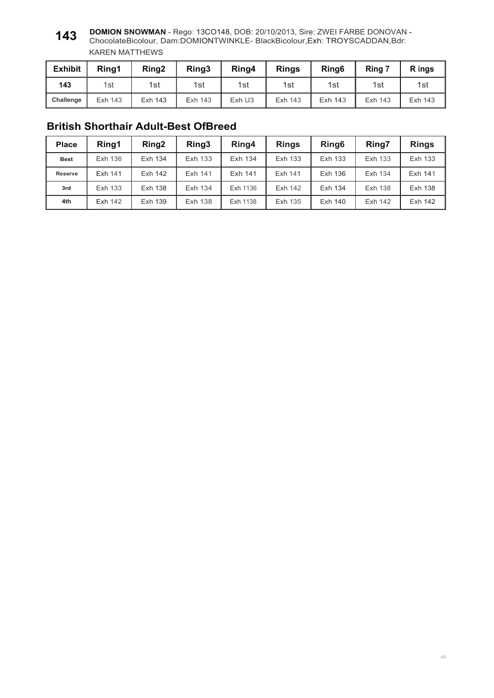#### **DOMION SNOWMAN** - Rego: 13CO148, DOB: 20/10/2013, Sire: ZWEI FARBE DONOVAN - ChocolateBicolour, Dam:DOMIONTWINKLE- BlackBicolour,Exh: TROYSCADDAN,Bdr: KAREN MATTHEWS **143**

| <b>Exhibit</b> | Ring1   | Ring <sub>2</sub> | Ring <sub>3</sub> | Ring4  | <b>Rings</b> | Ring <sub>6</sub> | Ring 7  | R ings  |
|----------------|---------|-------------------|-------------------|--------|--------------|-------------------|---------|---------|
| 143            | 1st     | 1st               | 1st               | 1st l  | 1st          | 1st               | 1st     | 1st     |
| Challenge      | Exh 143 | Exh 143           | Exh 143           | Exh U3 | Exh 143      | Exh 143           | Exh 143 | Exh 143 |

### **British Shorthair Adult-Best OfBreed**

| <b>Place</b>   | Ring1   | Ring <sub>2</sub> | Ring3   | Ring4    | <b>Rings</b> | Ring <sub>6</sub> | Ring7   | <b>Rings</b> |
|----------------|---------|-------------------|---------|----------|--------------|-------------------|---------|--------------|
| <b>Best</b>    | Exh 136 | Exh 134           | Exh 133 | Exh 134  | Exh 133      | Exh 133           | Exh 133 | Exh 133      |
| <b>Reserve</b> | Exh 141 | Exh 142           | Exh 141 | Exh 141  | Exh 141      | Exh 136           | Exh 134 | Exh 141      |
| 3rd            | Exh 133 | Exh 138           | Exh 134 | Exh 1136 | Exh 142      | Exh 134           | Exh 138 | Exh 138      |
| 4th            | Exh 142 | Exh 139           | Exh 138 | Exh 1138 | Exh 135      | Exh 140           | Exh 142 | Exh 142      |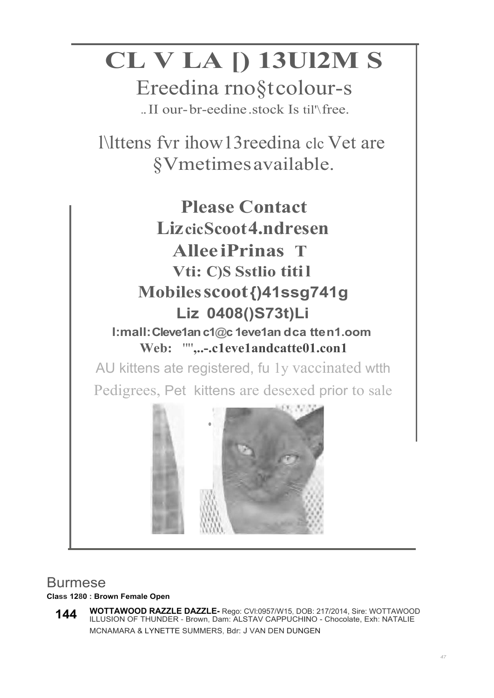# **CL V LA [) 13Ul2M S**

Ereedina rno§t colour-s .. II our- br-eedine .stock Is til'\ free.

l\lttens fvr ihow13reedina clc Vet are §Vmetimes available.



## Burmese

### **Class 1280 : Brown Female Open**

**WOTTAWOOD RAZZLE DAZZLE-** Rego: CVl:0957/W15, DOB: 217/2014, Sire: WOTTAWOOD ILLUSION OF THUNDER - Brown, Dam: ALSTAV CAPPUCHINO - Chocolate, Exh: NATALIE MCNAMARA & LYNETTE SUMMERS, Bdr: J VAN DEN DUNGEN **144**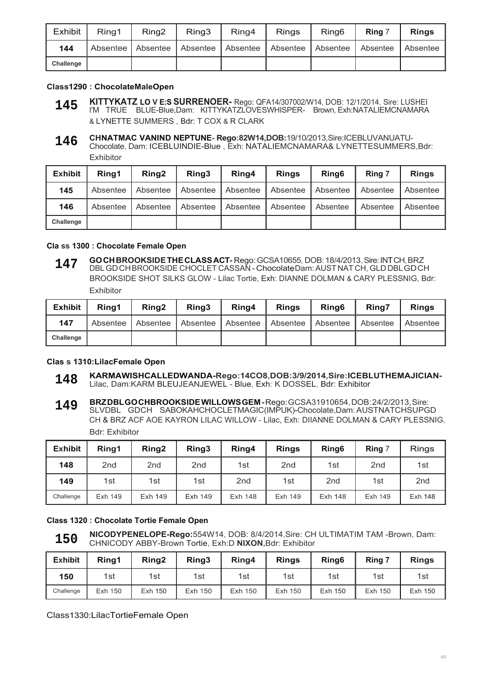| Exhibit   | Ring1 | Ring <sub>2</sub> | Ring3 | Ring4                                                                      | <b>Rings</b> | Ring <sub>6</sub> | Ring 7 | <b>Rings</b> |
|-----------|-------|-------------------|-------|----------------------------------------------------------------------------|--------------|-------------------|--------|--------------|
| 144       |       |                   |       | Absentee   Absentee   Absentee   Absentee   Absentee   Absentee   Absentee |              |                   |        | Absentee     |
| Challenge |       |                   |       |                                                                            |              |                   |        |              |

#### **Class1290 : ChocolateMaleOpen**

- **KITTYKATZ LO V E:S SURRENOER-** Rego: QFA14/307002/W14, DOB: 12/1/2014, Sire: LUSHEI l'M TRUE BLUE-Blue,Dam: KITTYKATZLOVESWHISPER- Brown, Exh:NATALIEMCNAMARA & LYNETTE SUMMERS , Bdr: T COX & R CLARK **145**
- **CHNATMAC VANIND NEPTUNE- Rego:82W14,DOB:**19/10/2013,Sire:ICEBLUVANUATU-Chocolate, Dam: ICEBLUINDIE-Blue , Exh: NATALIEMCNAMARA& LYNETTESUMMERS,Bdr: Exhibitor **146**

| <b>Exhibit</b> | Rina1    | Ring <sub>2</sub> | Ring3    | Ring4    | <b>Rings</b> | Ring <sub>6</sub> | Ring 7   | <b>Rings</b> |
|----------------|----------|-------------------|----------|----------|--------------|-------------------|----------|--------------|
| 145            | Absentee | Absentee          | Absentee | Absentee | Absentee     | Absentee          | Absentee | Absentee     |
| 146            | Absentee | Absentee          | Absentee | Absentee | Absentee     | Absentee          | Absentee | Absentee     |
| Challenge      |          |                   |          |          |              |                   |          |              |

#### **Cla ss 1300 : Chocolate Female Open**

**GO CH BROOKSIDE THE CLASS ACT-** Rego: GCSA10655, DOB: 18/4/2013, Sire: INT CH, BRZ DBL GDCHBROOKSIDE CHOCLET CASSAN - ChocolateDam: AUST NAT CH, GLD DBL GD CH BROOKSIDE SHOT SILKS GLOW - Lilac Tortie, Exh: DIANNE DOLMAN & CARY PLESSNIG, Bdr: Exhibitor **147**

| <b>Exhibit</b> | Rina1    | Rina <sub>2</sub> | Ring <sub>3</sub> | Ring4    | <b>Rings</b>      | Ring <sub>6</sub> | Rina7    | <b>Rings</b> |
|----------------|----------|-------------------|-------------------|----------|-------------------|-------------------|----------|--------------|
| 147            | Absentee | Absentee          | Absentee          | Absentee | Absentee Absentee |                   | Absentee | Absentee     |
| Challenge      |          |                   |                   |          |                   |                   |          |              |

#### **Clas s 1310:LilacFemale Open**

- **KARMAWISHCALLEDWANDA-Rego:14CO8,DOB:3/9/2014,Sire:ICEBLUTHEMAJICIAN-**Lilac, Dam:KARM BLEUJEANJEWEL - Blue, Exh: K DOSSEL, Bdr: Exhibitor **148**
- **BRZ DBL GO CHBROOKSIDE WILLOWS GEM** Rego: GCSA31910654, DOB: 24/2/2013, Sire: SLVDBL GDCH SABOKAHCHOCLETMAGIC(IMPUK)-Chocolate,Dam: AUSTNATCHSUPGD CH & BRZ ACF AOE KAYRON LILAC WILLOW - Lilac, Exh: DIIANNE DOLMAN & CARY PLESSNIG, Bdr: Exhibitor **149**

| <b>Exhibit</b> | Ring1           | Ring <sub>2</sub> | Ring3   | Ring4           | <b>Rings</b>    | Ring <sub>6</sub> | Ring 7          | <b>Rings</b>    |
|----------------|-----------------|-------------------|---------|-----------------|-----------------|-------------------|-----------------|-----------------|
| 148            | 2 <sub>nd</sub> | 2 <sub>nd</sub>   | 2nd     | 1st             | 2 <sub>nd</sub> | 1st               | 2 <sub>nd</sub> | 1st             |
| 149            | 1st             | 1st               | 1st     | 2 <sub>nd</sub> | 1st             | 2 <sub>nd</sub>   | 1st             | 2 <sub>nd</sub> |
| Challenge      | Exh 149         | Exh 149           | Exh 149 | Exh 148         | Exh 149         | Exh 148           | Exh 149         | Exh 148         |

#### **Class 1320 : Chocolate Tortie Female Open**

**NICODYPENELOPE-Rego:**554W14, DOB: 8/4/2014,Sire: CH ULTIMATIM TAM -Brown, Dam: CHNICODY ABBY-Brown Tortie, Exh:D **NIXON,**Bdr: Exhibitor **150**

| <b>Exhibit</b> | Ring1   | Ring <sub>2</sub> | Ring3      | Ring4   | <b>Rings</b> | Ring <sub>6</sub> | Ring 7  | <b>Rings</b> |
|----------------|---------|-------------------|------------|---------|--------------|-------------------|---------|--------------|
| 150            | 1st     | 1st               | 1st        | 1st     | 1st          | 1st               | 1st     | 1st          |
| Challenge      | Exh 150 | Exh 150           | 150<br>Exh | Exh 150 | Exh 150      | Exh 150           | Exh 150 | Exh 150      |

Class1330:LilacTortieFemale Open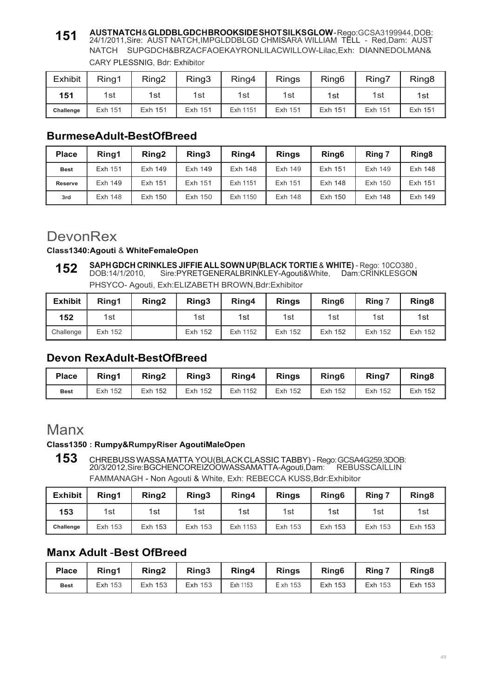#### **AUST NATCH** & **GLDDBL GDCH BROOKSIDE SHOT SILKS GLOW** - Rego:GCSA3199944, DOB: 24/1/2011,Sire: AUST NATCH,IMPGLDDBLGD CHMISARA WILLIAM TELL - Red,Dam: AUST NATCH SUPGDCH&BRZACFAOEKAYRONLILACWILLOW-Lilac,Exh: DIANNEDOLMAN& CARY PLESSNIG, Bdr: Exhibitor **151**

| <b>Exhibit</b> | Ring1   | Ring <sub>2</sub> | Ring3   | Ring4    | <b>Rings</b> | Ring <sub>6</sub> | Ring7   | Ring <sub>8</sub> |
|----------------|---------|-------------------|---------|----------|--------------|-------------------|---------|-------------------|
| 151            | 1st     | 1st               | 1st     | 1st      | 1st          | 1st               | 1st     | 1st               |
| Challenge      | Exh 151 | Exh 151           | Exh 151 | Exh 1151 | Exh 151      | Exh 151           | Exh 151 | Exh 151           |

### **BurmeseAdult-BestOfBreed**

| <b>Place</b>   | Rina1   | Ring <sub>2</sub> | Ring3   | Ring4    | <b>Rings</b> | Ring <sub>6</sub> | Ring 7  | Ring <sub>8</sub> |
|----------------|---------|-------------------|---------|----------|--------------|-------------------|---------|-------------------|
| <b>Best</b>    | Exh 151 | Exh 149           | Exh 149 | Exh 148  | Exh 149      | Exh 151           | Exh 149 | Exh 148           |
| <b>Reserve</b> | Exh 149 | Exh 151           | Exh 151 | Exh 1151 | Exh 151      | Exh 148           | Exh 150 | Exh 151           |
| 3rd            | Exh 148 | Exh 150           | Exh 150 | Exh 1150 | Exh 148      | Exh 150           | Exh 148 | Exh 149           |

## **DevonRex**

#### **Class1340:Agouti** & **WhiteFemaleOpen**

**SAPH GDCH CRINKLES JIFFIE ALL SOWN UP(BLACK TORTIE** & **WHITE)** - Rego: 10CO380 , DOB:14/1/2010, Sire:PYRETGENERALBRINKLEY-Agouti&White, Dam:CRINKLESGO**<sup>N</sup>** PHSYCO- Agouti, Exh:ELIZABETH BROWN,Bdr:Exhibitor **152**

| <b>Exhibit</b> | Ring1   | Ring <sub>2</sub> | Ring3   | Ring4    | <b>Rings</b> | Ring <sub>6</sub> | Ring 7  | Ring <sub>8</sub> |
|----------------|---------|-------------------|---------|----------|--------------|-------------------|---------|-------------------|
| 152            | 1st     |                   | 1st     | 1st      | 1st          | 1st               | 1st     | 1st               |
| Challenge      | Exh 152 |                   | Exh 152 | Exh 1152 | Exh 152      | Exh 152           | Exh 152 | Exh 152           |

### **Devon RexAdult-BestOfBreed**

| <b>Place</b> | Rina1   | Ring <sub>2</sub> | Ring3   | Ring4    | <b>Rings</b> | Ring <sub>6</sub> | <b>Ring7</b> | Ring <sub>8</sub> |
|--------------|---------|-------------------|---------|----------|--------------|-------------------|--------------|-------------------|
| <b>Best</b>  | Exh 152 | Exh 152           | Exh 152 | Exh 1152 | Exh 152      | Exh 152           | Exh 152      | Exh 152           |

## Manx

### **Class1350 : Rumpy&RumpyRiser AgoutiMaleOpen**

**153** CHREBUSS WASSA MATTA YOU(BLACK CLASSIC TABBY) - Rego: GCSA4G259,3DOB: 20/3/2012,Sire:BGCHENCOREIZOOWASSAMATTA-Agouti,Dam: REBUSSCAILLIN FAMMANAGH - Non Agouti & White, Exh: REBECCA KUSS,Bdr:Exhibitor

| <b>Exhibit</b> | Ring1   | Ring <sub>2</sub> | Ring3   | Ring4    | <b>Rings</b> | Ring <sub>6</sub> | Ring 7  | Ring <sub>8</sub> |
|----------------|---------|-------------------|---------|----------|--------------|-------------------|---------|-------------------|
| 153            | 1st     | 1st               | 1st     | 1st      | 1st          | 1st               | 1st     | 1st               |
| Challenge      | Exh 153 | Exh 153           | Exh 153 | Exh 1153 | Exh 153      | Exh 153           | Exh 153 | Exh 153           |

### **Manx AduIt** -**Best OfBreed**

| <b>Place</b> | Ring1          | Ring <sub>2</sub> | Ring <sub>3</sub> | Ring4    | <b>Rings</b> | Ring <sub>6</sub> | Ring 7         | Ring <sub>8</sub> |
|--------------|----------------|-------------------|-------------------|----------|--------------|-------------------|----------------|-------------------|
| <b>Best</b>  | <b>Exh 153</b> | Exh 153           | <b>Exh 153</b>    | Exh 1153 | E xh 153     | Exh 153           | <b>Exh 153</b> | Exh 153           |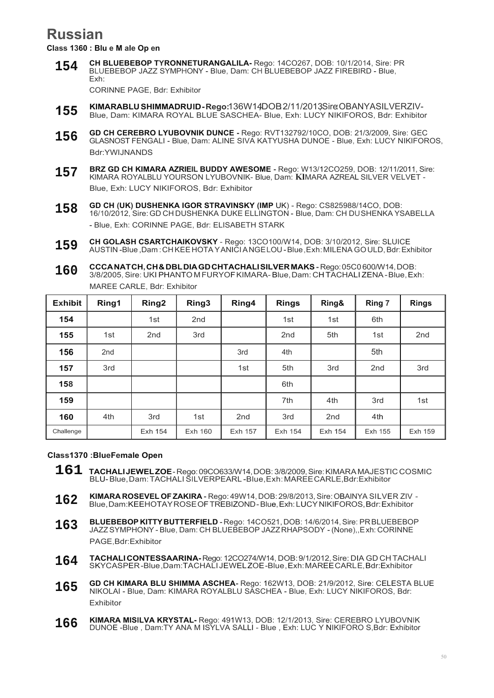## **Russian**

**Class 1360 : Blu e M ale Op en**

**CH BLUEBEBOP TYRONNETURANGALILA-** Rego: 14CO267, DOB: 10/1/2014, Sire: PR BLUEBEBOP JAZZ SYMPHONY - Blue, Dam: CH BLUEBEBOP JAZZ FIREBIRD - Blue, Exh: **154**

CORINNE PAGE, Bdr: Exhibitor

- KIMARABLU SHIMMADRUID-Rego:136W14DOB2/11/2013Sire:OBANYASILVERZIV-Blue, Dam: KIMARA ROYAL BLUE SASCHEA- Blue, Exh: LUCY NIKIFOROS, Bdr: Exhibitor **155**
- **GD CH CEREBRO LYUBOVNIK DUNCE** Rego: RVT132792/10CO, DOB: 21/3/2009, Sire: GEC GLASNOST FENGALI - Blue, Dam: ALINE SIVA KATYUSHA DUNOE - Blue, Exh: LUCY NIKIFOROS, Bdr:YWIJNANDS **156**
- **BRZ GD CH KIMARA AZRIEIL BUDDY AWESOME** Rego: W13/12CO259, DOB: 12/11/2011, Sire: KlMARA ROYALBLU YOURSON LYUBOVNIK- Blue, Dam: **Kl**MARA AZREAL SILVER VELVET - Blue, Exh: LUCY NIKIFOROS, Bdr: Exhibitor **157**
- **GD CH (UK) DUSHENKA IGOR STRAVINSKY (IMP** UK) Rego: CS825988/14CO, DOB: 16/10/2012, Sire: GD CH DUSHENKA DUKE ELLINGTON - Blue, Dam: CH DU SHENKA YSABELLA - Blue, Exh: CORINNE PAGE, Bdr: ELISABETH STARK **158**
- **CH GOLASH CSARTCHAIKOVSKY**  Rego: 13CO100/W14, DOB: 3/10/2012, Sire: SLUICE AUSTIN -Blue ,Dam : CH KEE HOTA Y ANICI A NGE LOU - Blue ,Exh: MILENA GO ULD, Bdr: Exhibitor **159**
- **CCCA NAT CH, CH & DBL DIA GD CHTACHALI SILVER MAKS** Rego: 05C0 600/W14, DOB: 3/8/2005, Sire: UKI PHANTO M FURYOF KIMARA- Blue, Dam: CH TACHALI ZENA - Blue, Exh: MAREE CARLE, Bdr: Exhibitor **160**

| <b>Exhibit</b> | Ring1           | Ring <sub>2</sub> | Ring3           | Ring4           | <b>Rings</b>    | Ring&           | Ring 7          | <b>Rings</b>    |
|----------------|-----------------|-------------------|-----------------|-----------------|-----------------|-----------------|-----------------|-----------------|
| 154            |                 | 1st               | 2 <sub>nd</sub> |                 | 1st             | 1st             | 6th             |                 |
| 155            | 1st             | 2 <sub>nd</sub>   | 3rd             |                 | 2 <sub>nd</sub> | 5th             | 1st             | 2 <sub>nd</sub> |
| 156            | 2 <sub>nd</sub> |                   |                 | 3rd             | 4th             |                 | 5th             |                 |
| 157            | 3rd             |                   |                 | 1st             | 5th             | 3rd             | 2 <sub>nd</sub> | 3rd             |
| 158            |                 |                   |                 |                 | 6th             |                 |                 |                 |
| 159            |                 |                   |                 |                 | 7th             | 4th             | 3rd             | 1st             |
| 160            | 4th             | 3rd               | 1st             | 2 <sub>nd</sub> | 3rd             | 2 <sub>nd</sub> | 4th             |                 |
| Challenge      |                 | Exh 154           | Exh 160         | Exh 157         | Exh 154         | Exh 154         | Exh 155         | Exh 159         |

#### **Class1370 :BlueFemale Open**

- **161 TACHALI JEWEL ZOE**  Rego: 09CO633/W14, DOB: 3/8/2009, Sire: KlMARA MAJESTIC COSMIC BLU- Blue, Dam: TACHALI SILVERPEARL -Blue,Exh: MAREE CARLE,Bdr:Exhibitor
- **KIMARA ROSEVEL OF ZAKIRA** Rego: 49W14, DOB: 29/8/2013, Sire: OBAINYA SI LVER ZIV Blue, Dam:KEEHOTAY ROSE OF TREBIZOND - Blue, Exh: LUCY NIKIFOROS, Bdr: Exhibitor **162**
- **BLUEBEBOP KITTY BUTTERFIELD**  Rego: 14CO521, DOB: 14/6/2014, Sire: PR BLUEBEBOP JAZZ SYMPHONY - Blue, Dam: CH BLUEBEBOP JAZZ RHAPSODY - (None),,E xh: CORINNE PAGE,Bdr:Exhibitor **163**
- **TACHALI CONTESSAARINA-** Rego: 12CO274/W14, DOB: 9/1/2012, Sire: DIA GD CH TACHALI SKYCASPER -Blue ,Dam:TACHALI JEWEL ZOE -Blue , Exh: MAREE CARL E, Bdr:Exhibitor **164**
- **GD CH KIMARA BLU SHIMMA ASCHEA-** Rego: 162W13, DOB: 21/9/2012, Sire: CELESTA BLUE NIKOLAI - Blue, Dam: KIMARA ROYALBLU SASCHEA - Blue, Exh: LUCY NIKIFOROS, Bdr: Exhibitor **165**
- **KIMARA MISILVA KRYSTAL-** Rego: 491W13, DOB: 12/1/2013, Sire: CEREBRO LYUBOVNIK DUNOE -Blue , Dam:TY ANA M ISYLVA SALLI - Blue , Exh: LUC Y NIKIFORO S,Bdr: Exhibitor **166**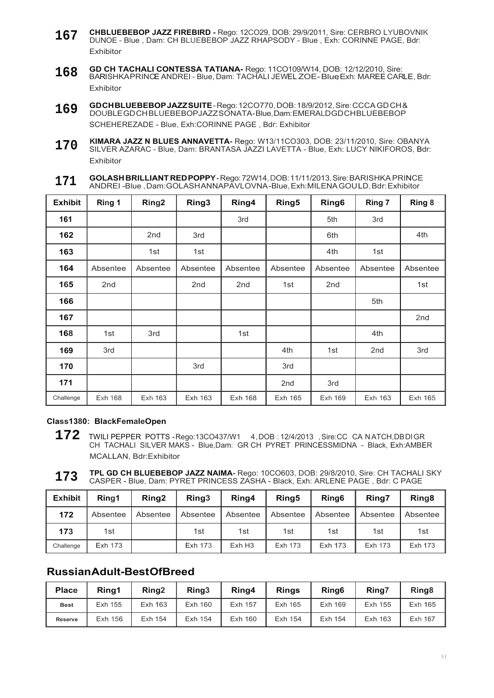- **CHBLUEBEBOP JAZZ FIREBIRD** Rego: 12CO29, DOB: 29/9/2011, Sire: CERBRO LYUBOVNIK DUNOE - Blue , Dam: CH BLUEBEBOP JAZZ RHAPSODY - Blue , Exh: CORINNE PAGE, Bdr: Exhibitor **167**
- **GD CH TACHALI CONTESSA TATIANA-** Rego: 11CO109/W14, DOB: 12/12/2010, Sire: BARISHKAPRINCE ANDREI - Blue, Dam: TACHALI JEWEL ZOE-Blue Exh: MAREE CARLE, Bdr: Exhibitor **168**
- **GD CH BLUEBEBOP JAZZ SUITE**  Rego: 12CO770, DOB: 18/9/2012, Sire: CCCA GD CH & DOUBLE GD CH BLUEBEBOPJAZZ SONATA- Blue, Dam: EMERALD GD CH BLUEBEBOP SCHEHEREZADE - Blue, Exh:CORINNE PAGE , Bdr: Exhibitor **169**
- **KIMARA JAZZ N BLUES ANNAVETTA-** Rego: W13/11CO303, DOB: 23/11/2010, Sire: OBANYA SILVER AZARAC - Blue, Dam: BRANTASA JAZZI LAVETTA - Blue, Exh: LUCY NIKIFOROS, Bdr: Exhibitor **170**
- **GOLASH BRILLIANT RED POPPY**  Rego: 72W14, DOB: 11/11/2013, Sire: BARISHKA PRINCE ANDREI -Blue , Dam:GOLASH ANNAPAVLOVNA -Blue, Exh:MILENA GOU LD, Bdr: Exhibitor **171**

| <b>Exhibit</b> | Ring 1          | Ring <sub>2</sub> | Ring <sub>3</sub> | Ring4           | Ring <sub>5</sub> | Ring <sub>6</sub> | Ring 7   | Ring 8   |
|----------------|-----------------|-------------------|-------------------|-----------------|-------------------|-------------------|----------|----------|
| 161            |                 |                   |                   | 3rd             |                   | 5th               | 3rd      |          |
| 162            |                 | 2 <sub>nd</sub>   | 3rd               |                 |                   | 6th               |          | 4th      |
| 163            |                 | 1st               | 1st               |                 |                   | 4th               | 1st      |          |
| 164            | Absentee        | Absentee          | Absentee          | Absentee        | Absentee          | Absentee          | Absentee | Absentee |
| 165            | 2 <sub>nd</sub> |                   | 2 <sub>nd</sub>   | 2 <sub>nd</sub> | 1st               | 2 <sub>nd</sub>   |          | 1st      |
| 166            |                 |                   |                   |                 |                   |                   | 5th      |          |
| 167            |                 |                   |                   |                 |                   |                   |          | 2nd      |
| 168            | 1st             | 3rd               |                   | 1st             |                   |                   | 4th      |          |
| 169            | 3rd             |                   |                   |                 | 4th               | 1st               | 2nd      | 3rd      |
| 170            |                 |                   | 3rd               |                 | 3rd               |                   |          |          |
| 171            |                 |                   |                   |                 | 2 <sub>nd</sub>   | 3rd               |          |          |
| Challenge      | Exh 168         | Exh 163           | Exh 163           | Exh 168         | Exh 165           | Exh 169           | Exh 163  | Exh 165  |

#### **Class1380: BlackFemaleOpen**

- **172** TWILI PEPPER POTTS Rego:13CO437/W1 4 , DOB : 12/4/2013 , Sire:CC CA N ATCH,DB DI GR CH TACHALI SILVER MAKS - Blue,Dam: GR CH PYRET PRINCESSMIDNA - Black, Exh:AMBER MCALLAN, Bdr:Exhibitor
- **TPL GD CH BLUEBEBOP JAZZ NAIMA-** Rego: 10CO603, DOB: 29/8/2010, Sire: CH TACHALI SKY CASPER - Blue, Dam: PYRET PRINCESS ZASHA - Black, Exh: ARLENE PAGE , Bdr: C PAGE **173**

| <b>Exhibit</b> | Ring1    | Ring <sub>2</sub> | Ring3          | Ring4    | Ring <sub>5</sub> | Ring <sub>6</sub> | Ring7    | Ring <sub>8</sub> |
|----------------|----------|-------------------|----------------|----------|-------------------|-------------------|----------|-------------------|
| 172            | Absentee | Absentee          | Absentee       | Absentee | Absentee          | Absentee          | Absentee | Absentee          |
| 173            | 1st      |                   | 1st            | 1st      | 1st               | 1st               | 1st      | 1st               |
| Challenge      | Exh 173  |                   | <b>Exh 173</b> | ExhH3    | Exh 173           | Exh 173           | Exh 173  | Exh 173           |

### **Russian Adult-Best OfBreed**

| <b>Place</b>   | Rina1   | Ring <sub>2</sub> | Ring <sub>3</sub> | Ring4   | <b>Rings</b> | Ring <sub>6</sub> | Ring7   | Ring <sub>8</sub> |
|----------------|---------|-------------------|-------------------|---------|--------------|-------------------|---------|-------------------|
| <b>Best</b>    | Exh 155 | Exh 163           | Exh 160           | Exh 157 | Exh 165      | Exh 169           | Exh 155 | Exh 165           |
| <b>Reserve</b> | Exh 156 | Exh 154           | Exh 154           | Exh 160 | Exh 154      | Exh 154           | Exh 163 | <b>Exh 167</b>    |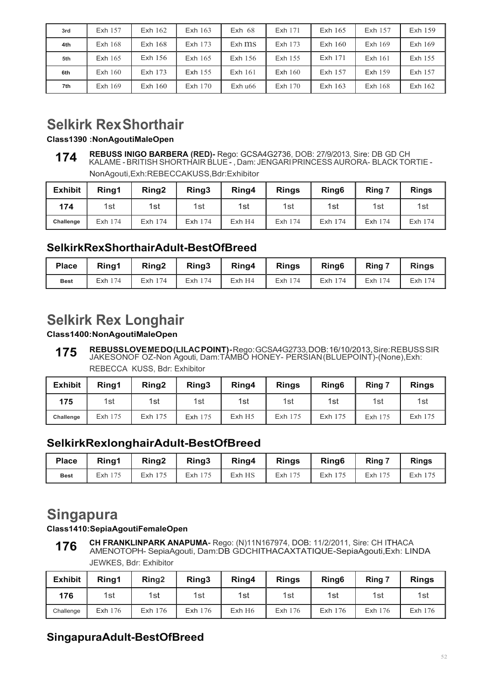| 3rd | Exh 157        | Exh 162   | Exh 163   | $Exh$ 68   | Exh 171   | Exh $165$ | Exh 157   | Exh 159 |
|-----|----------------|-----------|-----------|------------|-----------|-----------|-----------|---------|
| 4th | <b>Exh 168</b> | $Exh$ 168 | Exh 173   | $Exh$ $ms$ | Exh 173   | Exh $160$ | Exh $169$ | Exh 169 |
| 5th | Exh $165$      | Exh $156$ | Exh $165$ | Exh 156    | Exh 155   | Exh 171   | Exh 161   | Exh 155 |
| 6th | $Exh$ 160      | Exh 173   | Exh 155   | $Exh$ 161  | Exh $160$ | Exh 157   | Exh 159   | Exh 157 |
| 7th | Exh $169$      | Exh $160$ | Exh $170$ | Exh u66    | Exh $170$ | Exh $163$ | Exh $168$ | Exh 162 |

## **Selkirk Rex Shorthair**

**Class1390 :NonAgoutiMaleOpen**

NonAgouti,Exh:REBECCAKUSS,Bdr:Exhibitor

| <b>Exhibit</b> | Ring1   | Ring <sub>2</sub> | Ring3   | Ring4 | <b>Rings</b> | Ring <sub>6</sub> | Ring 7  | <b>Rings</b> |
|----------------|---------|-------------------|---------|-------|--------------|-------------------|---------|--------------|
| 174            | 1st     | 1st               | 1st     | 1st   | 1st          | 1st               | 1st     | 1st          |
| Challenge      | Exh 174 | Exh 174           | Exh 174 | ExhH4 | Exh 174      | Exh 174           | Exh 174 | Exh 174      |

### **SelkirkRexShorthairAdult-BestOfBreed**

| <b>Place</b> | Ring1   | Ring <sub>2</sub> | Ring3        | Ring4  | <b>Rings</b> | Ring <sub>6</sub> | Ring 7     | <b>Rings</b> |
|--------------|---------|-------------------|--------------|--------|--------------|-------------------|------------|--------------|
| <b>Best</b>  | Exh 174 | Exh 174           | 174<br>Exh i | Exh H4 | Exh 174      | Exh 174           | 174<br>Exh | Exh 174      |

## **Selkirk Rex Longhair**

### **Class1400:NonAgoutiMaleOpen**

**REBUSS LOVE ME DO (LILAC POINT) -** Rego: GCSA4G2733, DOB: 16/10/2013, Sire: REBUSS SIR JAKESONOF OZ-Non Agouti, Dam:TAMBO HONEY- PERSIAN (BLUEPOINT)-(None),Exh: REBECCA KUSS, Bdr: Exhibitor **175**

| <b>Exhibit</b> | Ring1   | Ring <sub>2</sub> | Ring3   | Ring4                | <b>Rings</b> | Ring <sub>6</sub> | Ring 7  | <b>Rings</b> |
|----------------|---------|-------------------|---------|----------------------|--------------|-------------------|---------|--------------|
| 175            | 1st     | 1st               | 1st     | 1st                  | 1st          | 1st               | 1st     | 1st          |
| Challenge      | Exh 175 | Exh 175           | Exh 175 | $Exh$ H <sub>5</sub> | Exh 175      | Exh 175           | Exh 175 | Exh 175      |

## **SelkirkRexlonghairAdult-BestOfBreed**

| <b>Place</b> | Ring1   | Ring <sub>2</sub> | Ring3   | Ring4  | <b>Rings</b> | Ring <sub>6</sub> | Ring 7  | <b>Rings</b> |
|--------------|---------|-------------------|---------|--------|--------------|-------------------|---------|--------------|
| <b>Best</b>  | Exh 175 | Exh 175           | Exh 175 | Exh HS | Exh 175      | Exh 175           | Exh 175 | Exh 175      |

## **Singapura**

### **Class1410:SepiaAgoutiFemaleOpen**

**CH FRANKLINPARK ANAPUMA-** Rego: (N)11N167974, DOB: 11/2/2011, Sire: CH ITHACA AMENOTOPH- SepiaAgouti, Dam:DB GDCHITHACAXTATIQUE-SepiaAgouti,Exh: LINDA JEWKES, Bdr: Exhibitor **176**

| <b>Exhibit</b> | Ring1   | Ring <sub>2</sub> | Ring3   | Ring4 | <b>Rings</b> | Ring <sub>6</sub> | Ring 7  | <b>Rings</b> |
|----------------|---------|-------------------|---------|-------|--------------|-------------------|---------|--------------|
| 176            | 1st     | 1st               | 1st     | 1st   | 1st          | 1st               | 1st     | 1st          |
| Challenge      | Exh 176 | Exh 176           | Exh 176 | ExhH6 | Exh 176      | Exh 176           | Exh 176 | Exh 176      |

## **SingapuraAdult-BestOfBreed**

**REBUSS INIGO BARBERA (RED)-** Rego: GCSA4G2736, DOB: 27/9/2013, Sire: DB GD CH KALAME - BRITISH SHORTHAIR BLUE - , Dam: JENGARI PRINCESS AURORA- BLACK TORTIE - **174**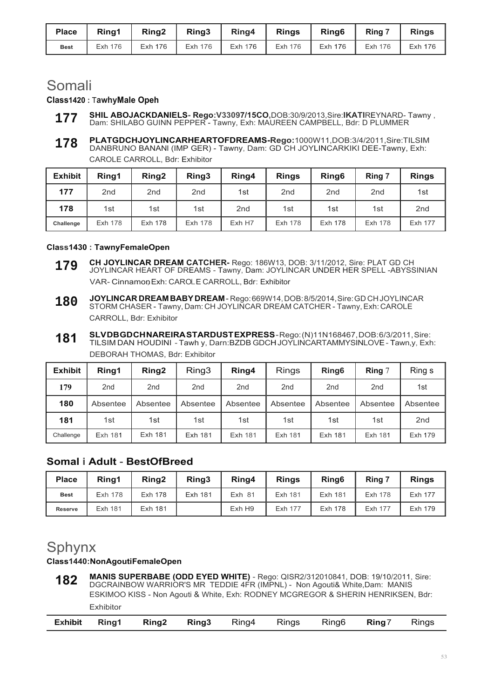| <b>Place</b> | Rina1   | Ring <sub>2</sub> | Ring3   | Ring4   | <b>Rings</b> | Ring <sub>6</sub> | Ring 7  | <b>Rings</b> |
|--------------|---------|-------------------|---------|---------|--------------|-------------------|---------|--------------|
| <b>Best</b>  | Exh 176 | Exh 176           | Exh 176 | Exh 176 | Exh 176      | Exh 176           | Exh 176 | Exh 176      |

## Somali

#### **Class1420 :** T**awhyMale Opeh**

- **SHIL ABOJACKDANIELS- Rego:V33097/15CO,**DOB:30/9/2013,Sire:**IKATI**REYNARD- Tawny , Dam: SHILABO GUINN PEPPER - Tawny, Exh: MAUREEN CAMPBELL, Bdr: D PLUMMER **177**
- **PLATGDCHJOYLINCARHEARTOFDREAMS-Rego:**1000W11,DOB:3/4/2011,Sire:TILSIM DANBRUNO BANANl (IMP GER) - Tawny, Dam: GD CH JOYLINCARKIKI DEE-Tawny, Exh: CAROLE CARROLL, Bdr: Exhibitor **178**

| <b>Exhibit</b> | Ring1           | Ring <sub>2</sub> | Ring3           | Ring4           | <b>Rings</b>    | Ring <sub>6</sub> | Ring 7          | <b>Rings</b>    |
|----------------|-----------------|-------------------|-----------------|-----------------|-----------------|-------------------|-----------------|-----------------|
| 177            | 2 <sub>nd</sub> | 2 <sub>nd</sub>   | 2 <sub>nd</sub> | 1st             | 2 <sub>nd</sub> | 2 <sub>nd</sub>   | 2 <sub>nd</sub> | 1st             |
| 178            | 1st             | 1st               | 1st             | 2 <sub>nd</sub> | 1st             | 1st               | 1st             | 2 <sub>nd</sub> |
| Challenge      | <b>Exh 178</b>  | Exh 178           | <b>Exh 178</b>  | Exh H7          | Exh 178         | Exh 178           | Exh 178         | Exh 177         |

#### **Class1430 : TawnyFemaleOpen**

- **CH JOYLINCAR DREAM CATCHER-** Rego: 186W13, DOB: 3/11/2012, Sire: PLAT GD CH JOYLINCAR HEART OF DREAMS - Tawny, Dam: JOYLINCAR UNDER HER SPELL -ABYSSINIAN VAR- Cinnamon Exh: CAROLE CARROLL, Bdr: Exhibitor **179**
- **JOYLINCAR DREAM BABY DREAM**  Rego: 669W14, DOB: 8/5/2014, Sire: GD CH JOYLINCAR STORM CHASER - Tawny, Dam: CH JOYLINCAR DREAM CATCHER - Tawny, Exh: CAROLE CARROLL, Bdr: Exhibitor **180**
- **SLV DB GD CH NAREIRA STARDUST EXPRESS**  Rego: (N)11N168467, DOB: 6/3/2011, Sire: TILSIM DAN HOUDINI - Tawh y, Darn:BZDB GDCH JOYLINCARTAMMYSINLOVE - Tawn,y, Exh: DEBORAH THOMAS, Bdr: Exhibitor **181**

| <b>Exhibit</b> | Ring1           | Ring <sub>2</sub> | Ring3           | Ring4           | <b>Rings</b>    | Ring <sub>6</sub> | Ring $7$        | Ring s          |
|----------------|-----------------|-------------------|-----------------|-----------------|-----------------|-------------------|-----------------|-----------------|
| 179            | 2 <sub>nd</sub> | 2 <sub>nd</sub>   | 2 <sub>nd</sub> | 2 <sub>nd</sub> | 2 <sub>nd</sub> | 2 <sub>nd</sub>   | 2 <sub>nd</sub> | 1st             |
| 180            | Absentee        | Absentee          | Absentee        | Absentee        | Absentee        | Absentee          | Absentee        | Absentee        |
| 181            | 1st             | 1st               | 1st             | 1st             | 1st             | 1st               | 1st             | 2 <sub>nd</sub> |
| Challenge      | <b>Exh 181</b>  | Exh 181           | Exh 181         | Exh 181         | Exh 181         | Exh 181           | Exh 181         | Exh 179         |

### **Somal i AduIt** - **BestOfBreed**

| <b>Place</b>   | Rina1   | Ring <sub>2</sub> | Ring3          | Ring4  | <b>Rings</b> | Ring <sub>6</sub> | Ring 7         | <b>Rings</b> |
|----------------|---------|-------------------|----------------|--------|--------------|-------------------|----------------|--------------|
| <b>Best</b>    | Exh 178 | Exh 178           | <b>Exh 181</b> | Exh 81 | Exh 181      | Exh 181           | <b>Exh 178</b> | Exh 177      |
| <b>Reserve</b> | Exh 181 | Exh 181           |                | Exh H9 | Exh 177      | Exh 178           | Exh 177        | Exh 179      |

## Sphynx

### **Class1440:NonAgoutiFemaleOpen**

**MANIS SUPERBABE (ODD EYED WHITE)** - Rego: QISR2/312010841, DOB: 19/10/2011, Sire: DGCRAINBOW WARRIOR'S MR TEDDIE 4FR (IMPNL) - Non Agouti& White,Dam: MANIS ESKIMOO KISS - Non Agouti & White, Exh: RODNEY MCGREGOR & SHERIN HENRIKSEN, Bdr: Exhibitor **182**

|--|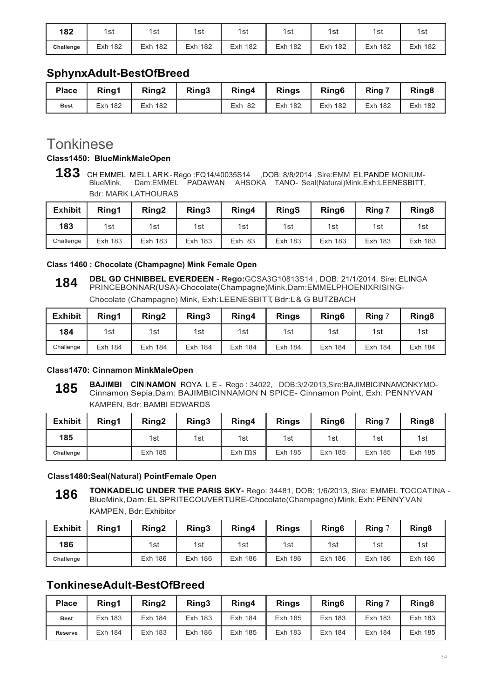| 182       | 1st            | 1st        | 1st     | 1st            | 1st        | 1st            | 1st        | 1st            |
|-----------|----------------|------------|---------|----------------|------------|----------------|------------|----------------|
| Challenge | <b>Exh 182</b> | 182<br>Exh | Exh 182 | <b>Exh 182</b> | Exh<br>182 | <b>Exh 182</b> | 182<br>Exh | <b>Exh 182</b> |

### **SphynxAduIt-BestOfBreed**

| <b>Place</b> | Ring1          | Ring <sub>2</sub> | Ring3 | Ring4         | <b>Rings</b>   | Ring <sub>6</sub> | Ring 7         | Ring <sub>8</sub> |
|--------------|----------------|-------------------|-------|---------------|----------------|-------------------|----------------|-------------------|
| <b>Best</b>  | <b>Exh 182</b> | Exh 182           |       | <b>Exh 82</b> | <b>Exh 182</b> | <b>Exh 182</b>    | <b>Exh 182</b> | Exh 182           |

## **Tonkinese**

#### **Class1450: BlueMinkMaleOpen**

**<sup>183</sup>** CH EMMEL MELLAR K-Rego :FQ14/40035S14 , DOB: 8/8/2014 , Sire:EMM ELPANDE MONIUM-<br>BlueMink, Dam:EMMEL PADAWAN AHSOKA TANO- Seal(Natural)Mink,Exh:LEENESBITT, BlueMink, Dam:EMMEL PADAWAN AHSOKA TANO- Seal(Natural)Mink,Exh:LEENESBITT, Bdr: MARK LATHOURAS

| <b>Exhibit</b> | Ring1          | Ring <sub>2</sub> | Ring3          | Ring4         | <b>RingS</b>   | Ring <sub>6</sub> | Ring 7  | Ring <sub>8</sub> |
|----------------|----------------|-------------------|----------------|---------------|----------------|-------------------|---------|-------------------|
| 183            | 1st            | 1st               | 1st            | 1st           | 1st            | 1st               | 1st     | 1st               |
| Challenge      | <b>Exh 183</b> | Exh 183           | <b>Exh 183</b> | <b>Exh 83</b> | <b>Exh 183</b> | Exh 183           | Exh 183 | Exh 183           |

#### **Class 1460 : Chocolate (Champagne) Mink Female Open**

**DBL GD CHNIBBEL EVERDEEN - Rego:**GCSA3G10813S14 , DOB: 21/1/2014, Sire: ELINGA PRINCEBONNAR(USA)-Chocolate(Champagne)Mink,Dam:EMMELPHOENIXRISING-Chocolate (Champagne) Mink, Exh:LEENESBITT, Bdr:L& G BUTZBACH **184**

| <b>Exhibit</b> | Ring1          | Ring <sub>2</sub> | Ring3          | Ring4          | <b>Rings</b>   | Ring <sub>6</sub> | Ring 7  | Ring <sub>8</sub> |
|----------------|----------------|-------------------|----------------|----------------|----------------|-------------------|---------|-------------------|
| 184            | 1st            | 1st               | 1st            | 1st            | 1st            | 1st               | 1st     | 1st               |
| Challenge      | <b>Exh 184</b> | Exh 184           | <b>Exh 184</b> | <b>Exh 184</b> | <b>Exh 184</b> | Exh 184           | Exh 184 | <b>Exh 184</b>    |

#### **Class1470: Cinnamon MinkMaleOpen**

**BAJIMBI CININAMON** ROYA L E - Rego : 34022, DOB:3/2/2013,Sire:BAJIMBICINNAMONKYMO-Cinnamon Sepia,Dam: BAJIMBICINNAMON N SPICE- Cinnamon Point, Exh: PENNYVAN KAMPEN, Bdr: BAMBI EDWARDS **185**

| <b>Exhibit</b> | Ring1 | Ring <sub>2</sub> | Ring3 | Ring4      | <b>Rings</b>   | Ring <sub>6</sub> | Ring 7  | Ring <sub>8</sub> |
|----------------|-------|-------------------|-------|------------|----------------|-------------------|---------|-------------------|
| 185            |       | 1st               | 1st   | 1st        | 1st            | 1st               | 1st     | 1st               |
| Challenge      |       | <b>Exh 185</b>    |       | $Exh$ $ms$ | <b>Exh 185</b> | Exh 185           | Exh 185 | Exh 185           |

#### **Class1480:Seal(Natural) PointFemale Open**

**TONKADELIC UNDER THE PARIS SKY-** Rego: 34481, DOB: 1/6/2013, Sire: EMMEL TOCCATINA - BlueMink, Dam: EL SPRITECOUVERTURE-Chocolate(Champagne) Mink, Exh: PENNY VAN KAMPEN, Bdr: Exhibitor **186**

| <b>Exhibit</b> | Rina1 | Ring <sub>2</sub> | Ring3          | Ring4          | <b>Rings</b>   | Ring <sub>6</sub> | <b>Ring</b> $\degree$ | Ring <sub>8</sub> |
|----------------|-------|-------------------|----------------|----------------|----------------|-------------------|-----------------------|-------------------|
| 186            |       | 1st               | 1st            | 1st            | 1st            | 1st               | 1st                   | 1st               |
| Challenge      |       | <b>Exh 186</b>    | <b>Exh 186</b> | <b>Exh 186</b> | <b>Exh 186</b> | Exh 186           | Exh 186               | Exh 186           |

### **TonkineseAdult-BestOfBreed**

| <b>Place</b>   | Rina1   | Ring <sub>2</sub> | Ring3          | Ring4   | <b>Rings</b>   | Ring <sub>6</sub> | Ring 7  | Ring <sub>8</sub> |
|----------------|---------|-------------------|----------------|---------|----------------|-------------------|---------|-------------------|
| <b>Best</b>    | Exh 183 | Exh 184           | <b>Exh 183</b> | Exh 184 | Exh 185        | Exh 183           | Exh 183 | Exh 183           |
| <b>Reserve</b> | Exh 184 | Exh 183           | Exh 186        | Exh 185 | <b>Exh 183</b> | Exh 184           | Exh 184 | Exh 185           |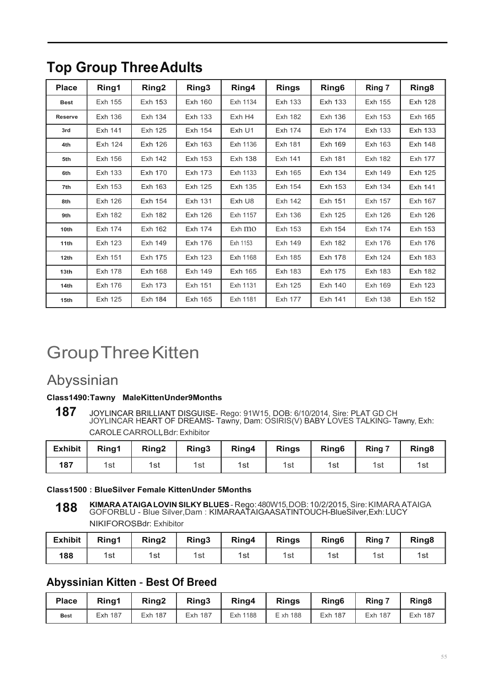| <b>Place</b>     | Ring1          | Ring2          | Ring3          | Ring4      | <b>Rings</b> | Ring6          | Ring 7  | Ring <sub>8</sub> |
|------------------|----------------|----------------|----------------|------------|--------------|----------------|---------|-------------------|
| <b>Best</b>      | Exh 155        | Exh 153        | Exh 160        | Exh 1134   | Exh 133      | Exh 133        | Exh 155 | <b>Exh 128</b>    |
| <b>Reserve</b>   | Exh 136        | Exh 134        | Exh 133        | Exh H4     | Exh 182      | Exh 136        | Exh 153 | Exh 165           |
| 3rd              | Exh 141        | Exh 125        | Exh 154        | Exh U1     | Exh 174      | Exh 174        | Exh 133 | Exh 133           |
| 4th              | Exh 124        | Exh 126        | Exh 163        | Exh 1136   | Exh 181      | Exh 169        | Exh 163 | Exh 148           |
| 5th              | Exh 156        | Exh 142        | Exh 153        | Exh 138    | Exh 141      | Exh 181        | Exh 182 | Exh 177           |
| 6th              | Exh 133        | Exh 170        | Exh 173        | Exh 1133   | Exh 165      | Exh 134        | Exh 149 | Exh 125           |
| 7th              | Exh 153        | Exh 163        | Exh 125        | Exh 135    | Exh 154      | Exh 153        | Exh 134 | Exh 141           |
| 8th              | Exh 126        | Exh 154        | Exh 131        | Exh U8     | Exh 142      | Exh 151        | Exh 157 | Exh 167           |
| 9th              | <b>Exh 182</b> | <b>Exh 182</b> | <b>Exh 126</b> | Exh 1157   | Exh 136      | Exh 125        | Exh 126 | Exh 126           |
| 10th             | Exh 174        | Exh 162        | Exh 174        | $Exh$ $mo$ | Exh 153      | Exh 154        | Exh 174 | Exh 153           |
| 11th             | Exh 123        | Exh 149        | Exh 176        | Exh 1153   | Exh 149      | Exh 182        | Exh 176 | Exh 176           |
| 12 <sub>th</sub> | Exh 151        | Exh 175        | <b>Exh 123</b> | Exh 1168   | Exh 185      | <b>Exh 178</b> | Exh 124 | <b>Exh 183</b>    |
| 13 <sub>th</sub> | Exh 178        | Exh 168        | Exh 149        | Exh 165    | Exh 183      | Exh 175        | Exh 183 | Exh 182           |
| 14th             | Exh 176        | Exh 173        | Exh 151        | Exh 1131   | Exh 125      | Exh 140        | Exh 169 | Exh 123           |
| 15 <sub>th</sub> | Exh 125        | Exh 184        | Exh 165        | Exh 1181   | Exh 177      | Exh 141        | Exh 138 | Exh 152           |

## **Top Group Three Adults**

# Group Three Kitten

## Abyssinian

### **Class1490:Tawny MaleKittenUnder9Months**

187 JOYLINCAR BRILLIANT DISGUISE- Rego: 91W15, DOB: 6/10/2014, Sire: PLAT GD CH<br>JOYLINCAR HEART OF DREAMS- Tawny, Dam: OSIRIS(V) BABY LOVES TALKING- Tawny, Exh: CAROLE CARROLL,Bdr:Exhibitor

| <b>Exhibit</b> | Ring1 | Ring <sub>2</sub> | Ring3 | Ring4 | <b>Rings</b> | Ring <sub>6</sub> | Ring 7 | Ring <sub>8</sub> |
|----------------|-------|-------------------|-------|-------|--------------|-------------------|--------|-------------------|
| 187            | 1st   | 1st               | 1st   | 1st   | 1st          | 1st               | 1st    | 1st               |

**Class1500 : BlueSilver Female KittenUnder 5Months**

**KIMARA ATAIGA LOVIN SILKY BLUES** - Rego: 480W15, DOB: 10/2/2015, Sire: KIMARA ATAIGA GOFORBLU - Blue Silver,Dam : KIMARAATAIGAASATINTOUCH-BlueSilver,Exh: LUCY NIKIFOROSBdr: Exhibitor **188**

| <b>Exhibit</b> | Ring1 | Ring <sub>2</sub> | Ring3 | Ring4 | <b>Rings</b> | Ring <sub>6</sub> | Ring 7 | Ring <sub>8</sub> |
|----------------|-------|-------------------|-------|-------|--------------|-------------------|--------|-------------------|
| 188            | 1st   | 1st               | 1st   | 1st   | 1st          | 1st               | 1st    | 1st               |

## **Abyssinian Kitten** - **Best Of Breed**

| <b>Place</b> | Rina1          | Ring <sub>2</sub> | Ring3          | Ring4    | <b>Rings</b> | Ring <sub>6</sub> | Ring 7  | Ring <sub>8</sub> |
|--------------|----------------|-------------------|----------------|----------|--------------|-------------------|---------|-------------------|
| <b>Best</b>  | <b>Exh 187</b> | <b>Exh 187</b>    | <b>Exh 187</b> | Exh 1188 | E xh 188     | <b>Exh 187</b>    | Exh 187 | <b>Exh 187</b>    |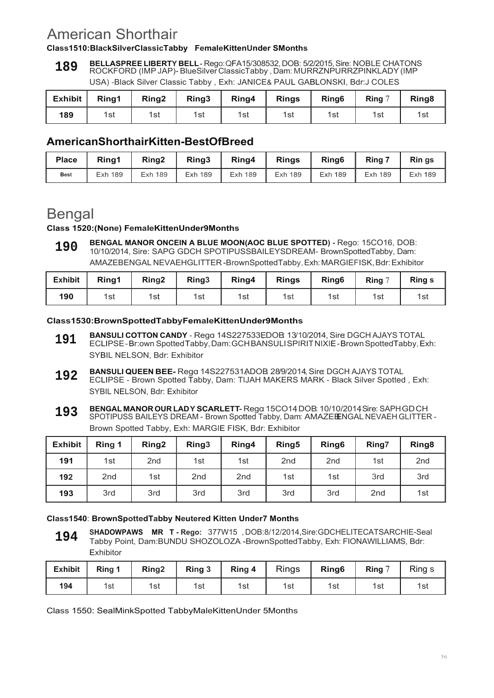## American Shorthair

#### **Class1510:BlackSilverClassicTabby FemaleKittenUnder SMonths**

**BELLASPREE LIBERTY BELL** - Rego: QFA15/308532, DOB: 5/2/2015, Sire: NOBLE CHATONS ROCKFORD (IMP JAP)- BlueSilver ClassicTabby , Dam: MURRZNPURRZPINKLADY (IMP USA) -Black Silver Classic Tabby , Exh: JANICE& PAUL GABLONSKI, Bdr:J COLES **189**

| Exhibit | Ring1 | Ring <sub>2</sub> | Ring3 | Ring4 | <b>Rings</b> | Ring <sub>6</sub> | Ring $7$ | Ring <sub>8</sub> |
|---------|-------|-------------------|-------|-------|--------------|-------------------|----------|-------------------|
| 189     | 1st   | 1st               | 1st   | 1st   | 1st          | 1st               | 1st      | 1sı               |

### **AmericanShorthairKitten-BestOfBreed**

| <b>Place</b> | Rina1   | Ring <sub>2</sub> | Ring3          | Ring4   | <b>Rings</b>   | Ring <sub>6</sub> | Ring 7         | Rin gs  |
|--------------|---------|-------------------|----------------|---------|----------------|-------------------|----------------|---------|
| <b>Best</b>  | Exh 189 | <b>Exh 189</b>    | <b>Exh 189</b> | Exh 189 | <b>Exh 189</b> | <b>Exh 189</b>    | <b>Exh 189</b> | Exh 189 |

## **Bengal**

#### **Class 1520:(None) FemaleKittenUnder9Months**

**BENGAL MANOR ONCEIN A BLUE MOON(AOC BLUE SPOTTED) -** Rego: 15CO16, DOB: 10/10/2014, Sire: SAPG GDCH SPOTIPUSSBAILEYSDREAM- BrownSpottedTabby, Dam: AMAZEBENGAL NEVAEHGLITTER -BrownSpottedTabby, Exh: MARGIEFISK, Bdr: Exhibitor **190**

| <b>Exhibit</b> | Ring1 | Ring <sub>2</sub> | Ring <sub>3</sub> | Ring4 | <b>Rings</b> | Ring <sub>6</sub> | Ring $7$ | <b>Rings</b> |
|----------------|-------|-------------------|-------------------|-------|--------------|-------------------|----------|--------------|
| 190            | 1st   | 1st               | 1st               | 1st   | 1st          | 1st               | 1st      | 1st          |

#### **Class1530:BrownSpottedTabbyFemaleKittenUnder9Months**

- **BANSULI COTTON CANDY** Rego: 14S227533EDOB: 13/10/2014, Sire DGCH AJAYS TOTAL ECLIPSE - Br:own Spotted Tabby, Dam: GCH BANSULI SPIRIT NIXIE - Brown SpottedTabby, Exh: SYBIL NELSON, Bdr: Exhibitor **191**
- **BANSULI QUEEN BEE-** Rega 14S227531ADOB 28/9/2014, Sire: DGCH AJAYS TOTAL ECLIPSE - Brown Spotted Tabby, Dam: TIJAH MAKERS MARK - Black Silver Spotted , Exh: SYBIL NELSON, Bdr: Exhibitor **192**
- **BENGAL MANOR OUR LADY SCARLETT-** Rego:15CO14, DOB: 10/10/2014, Sire: SAPHGDCH SPOTIPUSS BAILEYS DREAM - Brown Spotted Tabby, Dam: AMAZEENGAL NEVAEH GLITTER -Brown Spotted Tabby, Exh: MARGIE FISK, Bdr: Exhibitor **193**

| <b>Exhibit</b> | Ring 1          | Ring <sub>2</sub> | Ring <sub>3</sub> | Ring4           | Ring <sub>5</sub> | Ring <sub>6</sub> | Ring7           | Ring <sub>8</sub> |
|----------------|-----------------|-------------------|-------------------|-----------------|-------------------|-------------------|-----------------|-------------------|
| 191            | 1st             | 2 <sub>nd</sub>   | 1st               | 1st             | 2 <sub>nd</sub>   | 2 <sub>nd</sub>   | 1st             | 2 <sub>nd</sub>   |
| 192            | 2 <sub>nd</sub> | 1st               | 2 <sub>nd</sub>   | 2 <sub>nd</sub> | 1st               | 1st               | 3rd             | 3rd               |
| 193            | 3rd             | 3rd               | 3rd               | 3rd             | 3rd               | 3rd               | 2 <sub>nd</sub> | 1st               |

### **Class1540**: **BrownSpottedTabby Neutered Kitten Under7 Months**

**SHADOWPAWS MR T - Rego:** 377W15 , DOB:8/12/2014,Sire:GDCHELITECATSARCHIE-Seal Tabby Point, Dam:BUNDU SHOZOLOZA -BrownSpottedTabby, Exh: FIONAWILLIAMS, Bdr: Exhibitor **194**

| <b>Exhibit</b> | Ring 1 | Ring <sub>2</sub> | Ring 3 | Ring 4 | <b>Rings</b> | Ring <sub>6</sub> | <b>Ring</b> | Ring s |
|----------------|--------|-------------------|--------|--------|--------------|-------------------|-------------|--------|
| 194            | 1st    | 1st               | 1st    | 1st    | 1st          | 1st               | 1st         | 1st    |

Class 1550: SealMinkSpotted TabbyMaleKittenUnder 5Months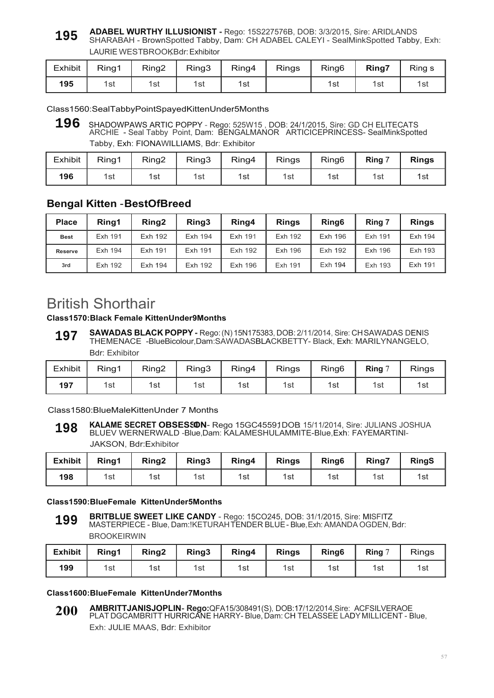#### **ADABEL WURTHY ILLUSIONIST -** Rego: 15S227576B, DOB: 3/3/2015, Sire: ARIDLANDS SHARABAH - BrownSpotted Tabby, Dam: CH ADABEL CALEYI - SealMinkSpotted Tabby, Exh: **195**

LAURIE WESTBROOKBdr: Exhibitor

| <b>Exhibit</b> | Ring1 | Ring2 | Ring3 | Ring4 | Rings | Ring <sub>6</sub> | Ring7 | Ring s |
|----------------|-------|-------|-------|-------|-------|-------------------|-------|--------|
| 195            | 1st   | 1st   | 1st   | 1st   |       | 1st               | 1st   | 1st    |

Class1560:SealTabbyPointSpayedKittenUnder5Months

**196** SHADOWPAWS ARTIC POPPY - Rego: 525W15 , DOB: 24/1/2015, Sire: GD CH ELITECATS ARCHIE - Seal Tabby Point, Dam: BENGALMANOR ARTICICEPRINCESS- SealMinkSpotted Tabby, Exh: FIONAWILLIAMS, Bdr: Exhibitor

| <b>Exhibit</b> | Ring1 | Ring2 | Ring3 | Ring4 | <b>Rings</b> | Ring <sub>6</sub> | Ring 7 | <b>Rings</b> |
|----------------|-------|-------|-------|-------|--------------|-------------------|--------|--------------|
| 196            | 1st   | 1st   | 1st   | 1st   | 1st          | 1st               | 1st    | 1st          |

### **Bengal Kitten** - **BestOfBreed**

| <b>Place</b>   | Ring1   | Ring <sub>2</sub> | Ring3   | Ring4   | <b>Rings</b>   | Ring <sub>6</sub> | Ring 7  | <b>Rings</b> |
|----------------|---------|-------------------|---------|---------|----------------|-------------------|---------|--------------|
| <b>Best</b>    | Exh 191 | Exh 192           | Exh 194 | Exh 191 | <b>Exh 192</b> | Exh 196           | Exh 191 | Exh 194      |
| <b>Reserve</b> | Exh 194 | Exh 191           | Exh 191 | Exh 192 | Exh 196        | Exh 192           | Exh 196 | Exh 193      |
| 3rd            | Exh 192 | Exh 194           | Exh 192 | Exh 196 | Exh 191        | Exh 194           | Exh 193 | Exh 191      |

## British Shorthair

### **Class1570:Black Female KittenUnder9Months**

**SAWADAS BLACK POPPY -** Rego: (N) 15N175383, DOB: 2/11/2014, Sire: CH SAWADAS DENIS THEMENACE -BlueBicolour,Dam:SAWADASBLACKBETTY- Black, Exh: MARILYNANGELO, Bdr: Exhibitor **197**

| Exhibit | Ring1 | Ring2 | Ring3 | Ring4 | <b>Rings</b> | Ring <sub>6</sub> | Ring 7 | <b>Rings</b> |
|---------|-------|-------|-------|-------|--------------|-------------------|--------|--------------|
| 197     | 1st   | 1st   | 1st   | 1st   | 1st          | 1st               | 1st    | 1st          |

Class1580:BlueMaleKittenUnder 7 Months

#### **KALAME SECRET OBSESSON-** Rego 15GC45591DOB 15/11/2014, Sire: JULIANS JOSHUA BLUEV WERNERWALD -Blue,Dam: KALAMESHULAMMITE-Blue,Exh: FAYEMARTINI-JAKSON, Bdr:Exhibitor **198**

| <b>Exhibit</b> | Ring1 | Ring <sub>2</sub> | Ring3 | Ring4 | <b>Rings</b> | Ring <sub>6</sub> | Ring7 | <b>RingS</b> |
|----------------|-------|-------------------|-------|-------|--------------|-------------------|-------|--------------|
| 198            | 1st   | 1st               | 1st   | 1st   | 1st          | 1st               | 1st   | 1st          |

#### **Class1590:BlueFemale KittenUnder5Months**

**BRITBLUE SWEET LIKE CANDY** - Rego: 15CO245, DOB: 31/1/2015, Sire: MISFITZ MASTERPIECE - Blue, Dam:!KETURAH TENDER BLUE - Blue, Exh: AMANDA OGDEN, Bdr: **BROOKFIRWIN 199**

| <b>Exhibit</b> | Ring1 | Ring <sub>2</sub> | Ring3 | Ring4 | <b>Rings</b> | Ring <sub>6</sub> | Ring $\degree$ | <b>Rings</b> |
|----------------|-------|-------------------|-------|-------|--------------|-------------------|----------------|--------------|
| 199            | 1st   | 1st               | 1st   | 1st   | 1st          | 1st               | 1st            | 1รเ          |

#### **Class1600:BlueFemale KittenUnder7Months**

**AMBRITTJANISJOPLIN- Rego:**QFA15/308491(S), DOB:17/12/2014,Sire: ACFSILVERAOE PLAT DGCAMBRITT HURRICANE HARRY- Blue, Dam: CH TELASSEE LADY MILLICENT - Blue, Exh: JULIE MAAS, Bdr: Exhibitor **200**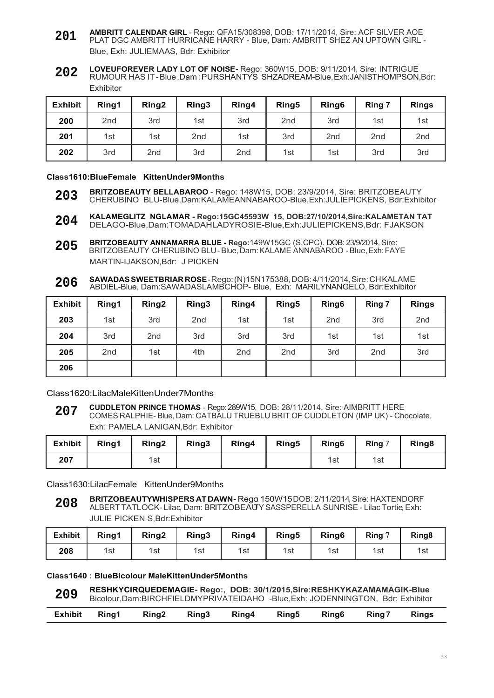- **AMBRITT CALENDAR GIRL**  Rego: QFA15/308398, DOB: 17/11/2014, Sire: ACF SILVER AOE PLAT DGC AMBRITT HURRICANE HARRY - Blue, Dam: AMBRITT SHEZ AN UPTOWN GIRL - Blue, Exh: JULIEMAAS, Bdr: Exhibitor **201**
- **LOVEUFOREVER LADY LOT OF NOISE-** Rego: 360W15, DOB: 9/11/2014, Sire: INTRIGUE RUMOUR HAS IT - Blue ,Dam : PURSHANTYS SHZADREAM-Blue, Exh:JANISTHOMPSON,Bdr: Exhibitor **202**

| <b>Exhibit</b> | Ring1           | Ring <sub>2</sub> | Ring3           | Ring4           | Ring <sub>5</sub> | Ring <sub>6</sub> | Ring 7          | <b>Rings</b>    |
|----------------|-----------------|-------------------|-----------------|-----------------|-------------------|-------------------|-----------------|-----------------|
| 200            | 2 <sub>nd</sub> | 3rd               | 1st             | 3rd             | 2 <sub>nd</sub>   | 3rd               | 1st             | 1st             |
| 201            | 1st             | 1st               | 2 <sub>nd</sub> | 1st             | 3rd               | 2 <sub>nd</sub>   | 2 <sub>nd</sub> | 2 <sub>nd</sub> |
| 202            | 3rd             | 2 <sub>nd</sub>   | 3rd             | 2 <sub>nd</sub> | 1st               | 1st               | 3rd             | 3rd             |

#### **Class1610:BlueFemale KittenUnder9Months**

- **BRITZOBEAUTY BELLABAROO**  Rego: 148W15, DOB: 23/9/2014, Sire: BRITZOBEAUTY CHERUBINO BLU-Blue,Dam:KALAMEANNABAROO-Blue,Exh:JULIEPICKENS, Bdr:Exhibitor **203**
- **KALAMEGLITZ NGLAMAR Rego:15GC45593W 15, DOB:27/10/2014,Sire:KALAMETAN TAT** DELAGO-Blue,Dam:TOMADAHLADYROSIE-Blue,Exh:JULIEPICKENS,Bdr: FJAKSON **204**
- **BRITZOBEAUTY ANNAMARRA BLUE Rego:**149W15GC (S,CPC). DOB: 23/9/2014, Sire: BRITZOBEAUTY CHERUBINO BLU - Blue, Dam: KALAME ANNABAROO - Blue, Exh: FAYE MARTIN-IJAKSON,Bdr: J PICKEN **205**
- **SAWADAS SWEETBRIAR ROSE**  Rego: (N)15N175388, DOB: 4/11/2014, Sire: CH KALAME ABDIEL-Blue, Dam:SAWADASLAMBCHOP- Blue, Exh: MARILYNANGELO, Bdr:Exhibitor **206**

| <b>Exhibit</b> | Ring1           | Ring <sub>2</sub> | Ring3           | Ring4           | Ring <sub>5</sub> | Ring <sub>6</sub> | Ring 7          | <b>Rings</b>    |
|----------------|-----------------|-------------------|-----------------|-----------------|-------------------|-------------------|-----------------|-----------------|
| 203            | 1st             | 3rd               | 2 <sub>nd</sub> | 1st             | 1st               | 2 <sub>nd</sub>   | 3rd             | 2 <sub>nd</sub> |
| 204            | 3rd             | 2 <sub>nd</sub>   | 3rd             | 3rd             | 3rd               | 1st               | 1st             | 1st             |
| 205            | 2 <sub>nd</sub> | 1st               | 4th             | 2 <sub>nd</sub> | 2 <sub>nd</sub>   | 3rd               | 2 <sub>nd</sub> | 3rd             |
| 206            |                 |                   |                 |                 |                   |                   |                 |                 |

Class1620:LilacMaleKittenUnder7Months

**CUDDLETON PRINCE THOMAS** - Rego: 289W15, DOB: 28/11/2014, Sire: AIMBRITT HERE COMES RALPHIE- Blue, Dam: CATBALU TRUEBLU BRIT OF CUDDLETON (IMP UK) - Chocolate, Exh: PAMELA LANIGAN,Bdr: Exhibitor **207**

| <b>Exhibit</b> | Ring1 | Ring <sub>2</sub> | Ring3 | Ring4 | Ring <sub>5</sub> | Ring <sub>6</sub> | Ring 7 | Ring <sub>8</sub> |
|----------------|-------|-------------------|-------|-------|-------------------|-------------------|--------|-------------------|
| 207            |       | 1st               |       |       |                   | 1st               | 1st    |                   |

Class1630:LilacFemale KittenUnder9Months

**BRITZOBEAUTYWHISPERS AT DAWN-** Rega 150W15DOB: 2/11/2014, Sire: HAXTENDORF ALBERT TATLOCK- Lilac, Dam: BRITZOBEAUTYSASSPERELLA SUNRISE - LilacTortie,Exh: JULIE PICKEN S,Bdr:Exhibitor **208**

| <b>Exhibit</b> | Ring1 | Ring <sub>2</sub> | Ring3 | Ring4 | Ring <sub>5</sub> | Ring <sub>6</sub> | Ring 7 | Ring <sub>8</sub> |
|----------------|-------|-------------------|-------|-------|-------------------|-------------------|--------|-------------------|
| 208            | 1st   | 1st               | 1st   | 1st   | 1st               | 1st               | 1st    | 1sı               |

#### **Class1640 : BlueBicolour MaleKittenUnder5Months**

**RESHKYCIRQUEDEMAGIE- Rego:, DOB: 30/1/2015,Sire:RESHKYKAZAMAMAGIK-Blue** Bicolour,Dam:BIRCHFIELDMYPRIVATEIDAHO -Blue,Exh: JODENNINGTON, Bdr: Exhibitor **209**

|  | Exhibit Ring1 Ring2 Ring3 Ring4 Ring5 Ring6 Ring7 Rings |  |  |  |  |  |  |  |  |
|--|---------------------------------------------------------|--|--|--|--|--|--|--|--|
|--|---------------------------------------------------------|--|--|--|--|--|--|--|--|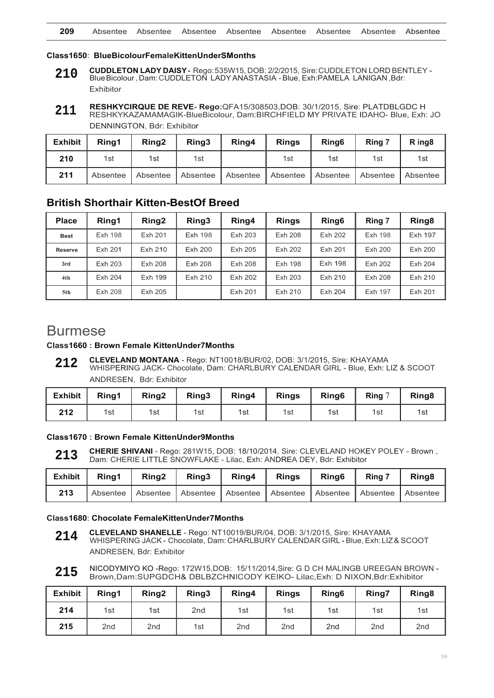#### **Class1650**: **BlueBicolourFemaleKittenUnderSMonths**

- **CUDDLETON LADY DAISY** Rego: 535W15, DOB: 2/2/2015, Sire: CUDDLETON LORD BENTLEY Blue Bicolour , Dam: CUDDLETON LADY ANASTASIA - Blue, Exh:PAMELA LANIGAN ,Bdr: Exhibitor **210**
- **RESHKYCIRQUE DE REVE- Rego:**QFA15/308503,DOB: 30/1/2015, Sire: PLATDBLGDC H RESHKYKAZAMAMAGIK-BlueBicolour, Dam:BIRCHFIELD MY PRIVATE IDAHO- Blue, Exh: JO DENNINGTON, Bdr: Exhibitor **211**

| <b>Exhibit</b> | Ring1    | Ring <sub>2</sub> | Ring3             | Ring4 | <b>Rings</b> | Ring <sub>6</sub> | Ring 7   | R ing <sub>8</sub> |
|----------------|----------|-------------------|-------------------|-------|--------------|-------------------|----------|--------------------|
| 210            | 1st      | 1st               | 1st               |       | 1st          | 1st               | 1st      | 1st                |
| 211            | Absentee | Absentee          | Absentee Absentee |       | Absentee     | Absentee          | Absentee | Absentee           |

#### **British Shorthair Kitten-BestOf Breed**

| <b>Place</b>   | Ring1          | Ring <sub>2</sub> | Ring3          | Ring4   | <b>Rings</b> | Ring <sub>6</sub> | Ring 7  | Ring <sub>8</sub> |
|----------------|----------------|-------------------|----------------|---------|--------------|-------------------|---------|-------------------|
| <b>Best</b>    | <b>Exh 198</b> | Exh 201           | <b>Exh 198</b> | Exh 203 | Exh 208      | Exh 202           | Exh 198 | <b>Exh 197</b>    |
| <b>Reserve</b> | Exh 201        | Exh 210           | Exh 200        | Exh 205 | Exh 202      | Exh 201           | Exh 200 | Exh 200           |
| 3rd            | Exh 203        | Exh 208           | Exh 208        | Exh 208 | Exh 198      | Exh 198           | Exh 202 | Exh 204           |
| 4th            | Exh 204        | Exh 199           | Exh 210        | Exh 202 | Exh 203      | Exh 210           | Exh 208 | Exh 210           |
| 5th            | Exh 208        | Exh 205           |                | Exh 201 | Exh 210      | Exh 204           | Exh 197 | Exh 201           |

## Burmese

#### **Class1660 : Brown Female KittenUnder7Months**

**CLEVELAND MONTANA** - Rego: NT10018/BUR/02, DOB: 3/1/2015, Sire: KHAYAMA WHISPERING JACK- Chocolate, Dam: CHARLBURY CALENDAR GIRL - Blue, Exh: LIZ & SCOOT ANDRESEN, Bdr: Exhibitor **212**

| المتحافظ المقابلة | <b>PULLED</b> | . 4 |
|-------------------|---------------|-----|
|                   |               |     |

| <b>Exhibit</b> | Rina1 | Ring <sub>2</sub> | Ring3 | Ring4 | <b>Rings</b> | Ring <sub>6</sub> | Ring $7$ | Ring <sub>8</sub> |
|----------------|-------|-------------------|-------|-------|--------------|-------------------|----------|-------------------|
| 212            | 1st   | 1st               | 1st   | 1st   | 1st          | 1st               | 1st      | 1st               |

**Class1670 : Brown Female KittenUnder9Months**

**CHERIE SHIVANI** - Rego: 281W15, DOB: 18/10/2014, Sire: CLEVELAND HOKEY POLEY - Brown , Dam: CHERIE LITTLE SNOWFLAKE - Lilac, Exh: ANDREA DEY, Bdr: Exhibitor **213**

| <b>Exhibit</b> | Rina1 | Ring <sub>2</sub>          | Ring3 | Ring4      | <b>Rings</b>      | Ring <sub>6</sub> | Ring 7   | Ring <sub>8</sub> |
|----------------|-------|----------------------------|-------|------------|-------------------|-------------------|----------|-------------------|
| 213            |       | Absentee Absentee Absentee |       | Absentee I | Absentee Absentee |                   | Absentee | Absentee          |

#### **Class1680**: **Chocolate FemaleKittenUnder7Months**

- **CLEVELAND SHANELLE**  Rego: NT10019/BUR/04, DOB: 3/1/2015, Sire: KHAYAMA WHISPERING JACK - Chocolate, Dam: CHARLBURY CALENDAR GIRL - Blue, Exh: LIZ & SCOOT ANDRESEN, Bdr: Exhibitor **214**
- NICODYMIYO KO -Rego: 172W15,DOB: 15/11/2014,Sire: G D CH MALINGB UREEGAN BROWN Brown, Dam:SUPGDCH& DBLBZCHNICODY KEIKO- Lilac,Exh: D NIXON,Bdr:Exhibitor **215**

| <b>Exhibit</b> | Ring1           | Ring <sub>2</sub> | Ring3           | Ring4           | <b>Rings</b>    | Ring <sub>6</sub> | Ring7           | Ring <sub>8</sub> |
|----------------|-----------------|-------------------|-----------------|-----------------|-----------------|-------------------|-----------------|-------------------|
| 214            | 1st             | 1st               | 2 <sub>nd</sub> | 1st             | 1st             | 1st               | 1st             | 1st               |
| 215            | 2 <sub>nd</sub> | 2 <sub>nd</sub>   | 1st             | 2 <sub>nd</sub> | 2 <sub>nd</sub> | 2nd               | 2 <sub>nd</sub> | 2 <sub>nd</sub>   |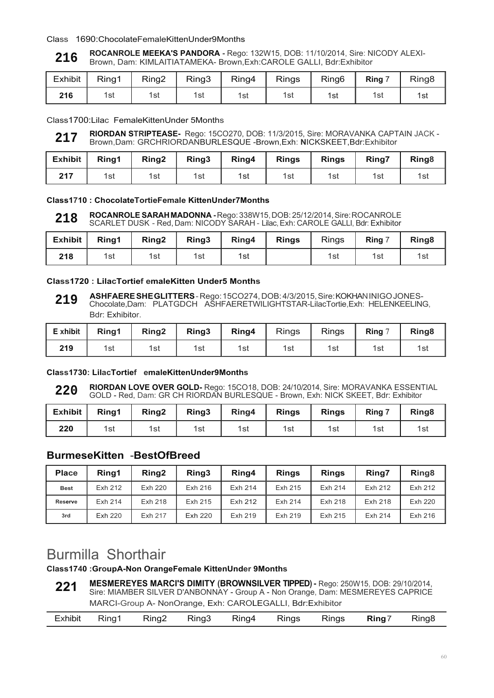#### Class 1690:ChocolateFemaleKittenUnder9Months

#### **ROCANROLE MEEKA'S PANDORA -** Rego: 132W15, DOB: 11/10/2014, Sire: NICODY ALEXI-Brown, Dam: KIMLAITIATAMEKA- Brown,Exh:CAROLE GALLI, Bdr:Exhibitor **216**

| <b>Exhibit</b> | Ring1 | Ring2 | Ring3 | Ring4 | <b>Rings</b> | Ring <sub>6</sub> | Ring 7 | Ring <sub>8</sub> |
|----------------|-------|-------|-------|-------|--------------|-------------------|--------|-------------------|
| 216            | 1st   | 1st   | 1st   | 1st   | 1st          | 1st               | 1st    | 1รเ               |

Class1700:Lilac FemaleKittenUnder 5Months

**RIORDAN STRIPTEASE-** Rego: 15CO270, DOB: 11/3/2015, Sire: MORAVANKA CAPTAIN JACK - Brown,Dam: GRCHRIORDANBURLESQUE -Brown,Exh: **N**ICKSKEET,Bdr:Exhibitor **217**

| Exhibit | Ring1 | Ring2 | $\vert$ Ring3 |     | Ring4 Rings | <b>Rings</b> | <b>Ring7</b> | Ring <sub>8</sub> |
|---------|-------|-------|---------------|-----|-------------|--------------|--------------|-------------------|
| 217     | 1st   | 1st   | 1st           | 1st | 1st         | 1st          | 1st          | 1รเ               |

#### **Class1710 : ChocolateTortieFemale KittenUnder7Months**

**ROCANROLE SARAH MADONNA -** Rego: 338W15, DOB: 25/12/2014, Sire: ROCANROLE SCARLET DUSK - Red, Dam: NICODY SARAH - Lilac, Exh: CAROLE GALLI, Bdr: Exhibitor **218**

| <b>Exhibit</b> | Rina1 | Ring <sub>2</sub> | Ring3 | Ring4 | <b>Rings</b> | <b>Rings</b> | Ring 7 | Ring <sub>8</sub> |
|----------------|-------|-------------------|-------|-------|--------------|--------------|--------|-------------------|
| 218            | 1st   | 1st               | 1st   | 1st   |              | 1st          | 1st    | 1รเ               |

#### **Class1720 : LilacTortief emaleKitten Under5 Months**

**ASHFAERE SHE GLITTERS** - Rego: 15CO274, DOB: 4/3/2015, Sire: KOKHAN INIGO JONES-Chocolate,Dam: PLATGDCH ASHFAERETWILIGHTSTAR-LilacTortie,Exh: HELENKEELING, Bdr: Exhibitor. **219**

| E xhibit | Ring1 | Ring <sub>2</sub> | Ring3 | Ring4 | <b>Rings</b> | <b>Rings</b> | Ring $7$ | Ring <sub>8</sub> |
|----------|-------|-------------------|-------|-------|--------------|--------------|----------|-------------------|
| 219      | 1st   | 1st               | 1st   | 1st   | 1st          | 1st          | 1st      | 1st               |

#### **Class1730: LilacTortief emaleKittenUnder9Months**

**RIORDAN LOVE OVER GOLD-** Rego: 15CO18, DOB: 24/10/2014, Sire: MORAVANKA ESSENTIAL GOLD - Red, Dam: GR CH RIORDAN BURLESQUE - Brown, Exh: NICK SKEET, Bdr: Exhibitor **220**

| <b>Exhibit</b> | Ring1 | Ring <sub>2</sub> | Ring3 | Ring4 | <b>Rings</b> | <b>Rings</b> | Ring 7 | Ring <sub>8</sub> |
|----------------|-------|-------------------|-------|-------|--------------|--------------|--------|-------------------|
| 220            | 1st   | 1st               | 1st   | 1st   | 1st          | 1st          | 1st    | 1st               |

### **BurmeseKitten** -**BestOfBreed**

| <b>Place</b> | Rina1   | Ring <sub>2</sub> | Ring3   | Ring4   | <b>Rings</b> | <b>Rings</b> | Ring7   | Ring <sub>8</sub> |
|--------------|---------|-------------------|---------|---------|--------------|--------------|---------|-------------------|
| <b>Best</b>  | Exh 212 | Exh 220           | Exh 216 | Exh 214 | Exh 215      | Exh 214      | Exh 212 | Exh 212           |
| Reserve      | Exh 214 | Exh 218           | Exh 215 | Exh 212 | Exh 214      | Exh 218      | Exh 218 | Exh 220           |
| 3rd          | Exh 220 | Exh 217           | Exh 220 | Exh 219 | Exh 219      | Exh 215      | Exh 214 | Exh 216           |

## Burmilla Shorthair

**Class1740 :GroupA-Non OrangeFemale KittenUnder 9Months**

**MESMEREYES MARCI'S DIMITY (BROWNSILVER TIPPED) -** Rego: 250W15, DOB: 29/10/2014, Sire: MIAMBER SILVER D'ANBONNAY - Group A - Non Orange, Dam: MESMEREYES CAPRICE MARCI-Group A- NonOrange, Exh: CAROLEGALLI, Bdr:Exhibitor **221**

| <b>Exhibit</b><br>$R$ ing $^{-}$<br>Ring8<br>Ring3<br>Rings<br>Ring <sub>2</sub><br><b>Rings</b><br>Ring <sup>1</sup><br>King4 |  |  |  |  |  |
|--------------------------------------------------------------------------------------------------------------------------------|--|--|--|--|--|
|                                                                                                                                |  |  |  |  |  |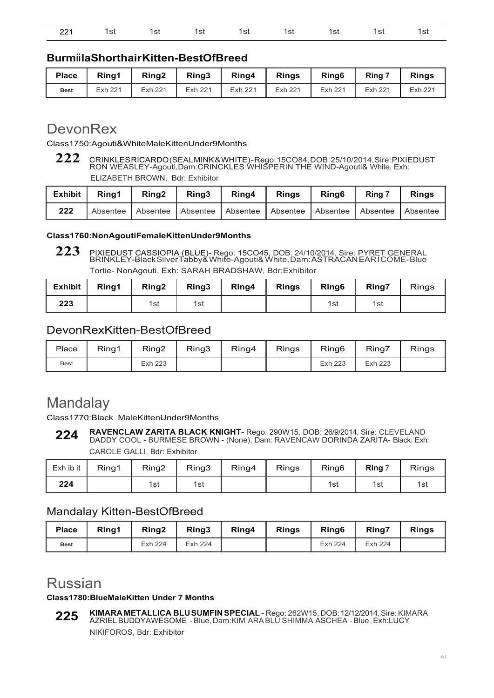|  | 221 1st 1st 1st 1st 1st 1st 1st 1st 1st |  |  |  |
|--|-----------------------------------------|--|--|--|
|  |                                         |  |  |  |

### **Burm**ii **laShorthair Kitten-BestOfBreed**

| <b>Place</b> | Rina1   | Ring <sub>2</sub> | Ring3   | Ring4   | <b>Rings</b> | Ring <sub>6</sub> | Ring 7  | <b>Rings</b> |
|--------------|---------|-------------------|---------|---------|--------------|-------------------|---------|--------------|
| <b>Best</b>  | Exh 221 | Exh 221           | Exh 221 | Exh 221 | Exh 221      | Exh 221           | Exh 221 | Exh 221      |

## DevonRex

Class1750:Agouti&WhiteMaleKittenUnder9Months

**222** CRINKLES RICARDO (SEAL MINK & WHITE) - Rego: 15CO84, DOB: 25/10/2014, Sire: PIXIEDUST RON WEASLEY-Agouti,Dam:CRINCKLES WHISPERIN THE WIND-Agouti& White, Exh:

ELIZABETH BROWN, Bdr: Exhibitor

| Exhibit | Rina1 | Ring2 $\parallel$ | Ring3 |                                                                         | Ring4   Rings   Ring6 | Ring 7 | <b>Rings</b> |
|---------|-------|-------------------|-------|-------------------------------------------------------------------------|-----------------------|--------|--------------|
| 222     |       |                   |       | Absentee Absentee Absentee Absentee Absentee Absentee Absentee Absentee |                       |        |              |

#### **Class1760:NonAgoutiFemaleKittenUnder9Months**

**223** PIXIEDUST CASSIOPIA (BLUE)- Rego: 15CO45, DOB: 24/10/2014, Sire: PYRET GENERAL BRINKLEY-Black Silver Tabby& White-Agouti& White, Dam: ASTRACAN EAR I COME- Blue Tortie- NonAgouti, Exh: SARAH BRADSHAW, Bdr:Exhibitor

| <b>Exhibit</b> | Rina1 | Ring <sub>2</sub> | Ring3 | Ring4 | <b>Rings</b> | Ring <sub>6</sub> | Ring7 | <b>Rings</b> |
|----------------|-------|-------------------|-------|-------|--------------|-------------------|-------|--------------|
| 223            |       | 1st               | 1st   |       |              | 1st               | 1st   |              |

### DevonRexKitten-BestOfBreed

| Place       | Ring1 | Ring2   | Ring3 | Ring4 | <b>Rings</b> | Ring <sub>6</sub> | Ring7   | <b>Rings</b> |
|-------------|-------|---------|-------|-------|--------------|-------------------|---------|--------------|
| <b>Best</b> |       | Exh 223 |       |       |              | Exh 223           | Exh 223 |              |

## **Mandalay**

Class1770:Black MaleKittenUnder9Months

**RAVENCLAW ZARITA BLACK KNIGHT-** Rego: 290W15, DOB: 26/9/2014, Sire: CLEVELAND DADDY COOL - BURMESE BROWN - (None), Dam: RAVENCAW DORINDA ZARITA- Black, Exh: CAROLE GALLI, Bdr: Exhibitor **224**

| Exh ib it | Ring1 | Ring <sub>2</sub> | Ring3 | Ring4 | <b>Rings</b> | Ring <sub>6</sub> | Ring $7$ | <b>Rings</b> |
|-----------|-------|-------------------|-------|-------|--------------|-------------------|----------|--------------|
| 224       |       | 1st               | 1st   |       |              | 1st               | 1st      | 1st          |

### Mandalay Kitten-BestOfBreed

| <b>Place</b> | Rina1 | Ring <sub>2</sub> | Ring3   | Ring4 | <b>Rings</b> | Ring <sub>6</sub> | <b>Ring7</b> | <b>Rings</b> |
|--------------|-------|-------------------|---------|-------|--------------|-------------------|--------------|--------------|
| <b>Best</b>  |       | Exh 224           | Exh 224 |       |              | Exh 224           | Exh 224      |              |

## Russian

#### **Class1780:BlueMaleKitten Under 7 Months**

**KIMARA METALLICA BLU SUMFIN SPECIAL** - Rego: 262W15, DOB: 12/12/2014, Sire: KIMARA AZRIEL BUDDYAWESOME - Blue, Dam:KIM ARA BLU SHIMMA ASCHEA - Blue , Exh:LUCY NIKIFOROS, Bdr: Exhibitor **225**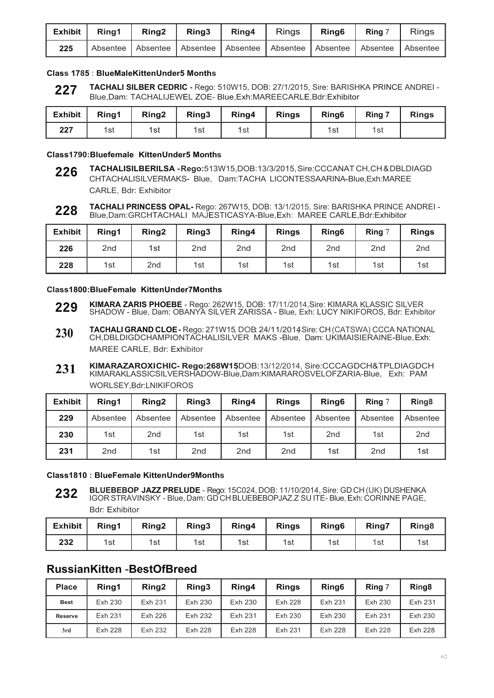| Exhibit   Ring1 | Ring <sub>2</sub>                                                       | Ring <sub>3</sub> | Ring4 | Rings Ring6 | Ring 7 | <b>Rings</b> |
|-----------------|-------------------------------------------------------------------------|-------------------|-------|-------------|--------|--------------|
| 225             | Absentee Absentee Absentee Absentee Absentee Absentee Absentee Absentee |                   |       |             |        |              |

#### **Class 1785** : **BlueMaleKittenUnder5 Months**

**TACHALI SILBER CEDRIC -** Rego: 510W15, DOB: 27/1/2015, Sire: BARISHKA PRINCE ANDREI - Blue,Dam: TACHALIJEWEL ZOE- Blue,Exh:MAREECARLE,Bdr:Exhibitor **227**

| Exhibit | Ring1 | <b>Ring2</b> | Ring3 | Ring4 $\parallel$ | <b>Rings</b> | Ring <sub>6</sub> | Ring 7 | <b>Rings</b> |
|---------|-------|--------------|-------|-------------------|--------------|-------------------|--------|--------------|
| 227     | 1st   | 1st          | 1st   | 1st               |              | 1st               | 1st    |              |

#### **Class1790:Bluefemale KittenUnder5 Months**

- **226 TACHALISILBERILSA - Rego:**513W15,DOB:13/3/2015, Sire:CCCANAT CH,CH & DBLDIAGD CHTACHALISILVERMAKS- Blue, Dam:TACHA LICONTESSAARINA-Blue,Exh:MAREE CARLE, Bdr: Exhibitor
- **228 TACHALI PRINCESS OPAL-** Rego: 267W15, DOB: 13/1/2015, Sire: BARISHKA PRINCE ANDREI - Blue,Dam:GRCHTACHALI MAJESTICASYA-Blue,Exh: MAREE CARLE,Bdr:Exhibitor

| <b>Exhibit</b> | Ring1           | Ring <sub>2</sub> | Ring3           | Ring4           | <b>Rings</b>    | Ring <sub>6</sub> | Ring $\degree$  | <b>Rings</b>    |
|----------------|-----------------|-------------------|-----------------|-----------------|-----------------|-------------------|-----------------|-----------------|
| 226            | 2 <sub>nd</sub> | 1st               | 2 <sub>nd</sub> | 2 <sub>nd</sub> | 2 <sub>nd</sub> | 2 <sub>nd</sub>   | 2 <sub>nd</sub> | 2 <sub>nd</sub> |
| 228            | 1st             | 2 <sub>nd</sub>   | 1st             | 1st             | 1st             | 1st               | 1st             | 1st             |

#### **Class1800:BlueFemale KittenUnder7Months**

- **KIMARA ZARIS PHOEBE**  Rego: 262W15, DOB: 17/11/2014,Sire: KIMARA KLASSIC SILVER SHADOW - Blue, Dam: OBANYA SILVER ZARISSA - Blue, Exh: LUCY NIKIFOROS, Bdr: Exhibitor **229**
- **TACHALI GRAND CLOE-** Rego: 271W15, DOB: 24/11/2014, Sire: CH(CATSWA) CCCA NATIONAL CH, DBLDIGDCHAMPIONTACHALISILVER MAKS -Blue, Dam: UKIMAISIERAINE-Blue, Exh: MAREE CARLE, Bdr: Exhibitor **230**
- **KIMARAZAROXICHIC- Rego:268W15,**DOB:13/12/2014, Sire:CCCAGDCH&TPLDIAGDCH KIMARAKLASSICSILVERSHADOW-Blue,Dam:KIMARAROSVELOFZARIA-Blue, Exh: PAM WORLSEY,Bdr:LNIKIFOROS **231**

| <b>Exhibit</b> | Ring1           | Ring <sub>2</sub> | Ring3           | Ring4           | <b>Rings</b>    | Ring <sub>6</sub> | Ring $7$        | Ring <sub>8</sub> |
|----------------|-----------------|-------------------|-----------------|-----------------|-----------------|-------------------|-----------------|-------------------|
| 229            | Absentee        | Absentee          | Absentee        | Absentee        | Absentee        | Absentee          | Absentee        | Absentee          |
| 230            | 1st             | 2 <sub>nd</sub>   | 1st             | 1st             | 1st             | 2 <sub>nd</sub>   | 1st             | 2 <sub>nd</sub>   |
| 231            | 2 <sub>nd</sub> | 1st               | 2 <sub>nd</sub> | 2 <sub>nd</sub> | 2 <sub>nd</sub> | 1st               | 2 <sub>nd</sub> | 1st               |

#### **Class1810 : BlueFemale KittenUnder9Months**

**BLUEBEBOP JAZZ PRELUDE** - Rego: 15C024, DOB: 11/10/2014, Sire: GD CH (UK) DUSHENKA IGOR STRAVINSKY - Blue, Dam: GD CH BLUEBEBOPJAZ.Z SU ITE- Blue, Exh: CORINNE PAGE, Bdr: Exhibitor **232**

| <b>Exhibit</b> | Ring1 | Ring <sub>2</sub> | Ring3 | Ring4 | <b>Rings</b> | Ring <sub>6</sub> | Ring7 | Ring <sub>8</sub> |
|----------------|-------|-------------------|-------|-------|--------------|-------------------|-------|-------------------|
| 232            | 1st   | 1st               | 1st   | 1st   | 1st          | 1st               | 1st   | 1si               |

### **RussianKitten** -**BestOfBreed**

| <b>Place</b>   | Ring1   | Ring <sub>2</sub> | Ring3   | Ring4   | <b>Rings</b>   | Ring <sub>6</sub> | Ring 7  | Ring <sub>8</sub> |
|----------------|---------|-------------------|---------|---------|----------------|-------------------|---------|-------------------|
| <b>Best</b>    | Exh 230 | Exh 231           | Exh 230 | Exh 230 | <b>Exh 228</b> | Exh 231           | Exh 230 | Exh 231           |
| <b>Reserve</b> | Exh 231 | Exh 226           | Exh 232 | Exh 231 | Exh 230        | Exh 230           | Exh 231 | Exh 230           |
| 3rd            | Exh 228 | Exh 232           | Exh 228 | Exh 228 | Exh 231        | Exh 228           | Exh 228 | Exh 228           |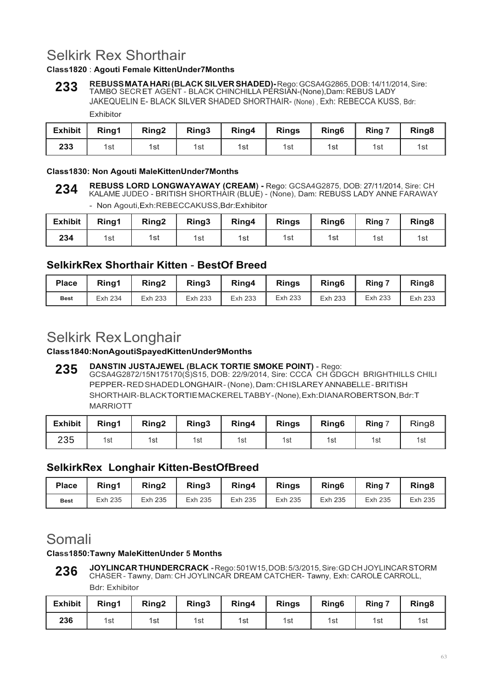## Selkirk Rex Shorthair

### **Class1820** : **Agouti Female KittenUnder7Months**

**REBUSS MATA HARi (BLACK SILVER SHADED)-** Rego: GCSA4G2865, DOB: 14/11/2014, Sire: TAMBO SECR ET AGENT - BLACK CHINCHILLA PERSIAN-(None),Dam: REBUS LADY JAKEQUELIN E- BLACK SILVER SHADED SHORTHAIR- (None) , Exh: REBECCA KUSS, Bdr: Exhibitor **233**

| <b>Exhibit</b> | Ring1 | Ring <sub>2</sub> | Ring <sub>3</sub> | Ring4 | <b>Rings</b> | Ring <sub>6</sub> | Ring 7 | Ring <sub>8</sub> |
|----------------|-------|-------------------|-------------------|-------|--------------|-------------------|--------|-------------------|
| 233            | 1st   | 1st               | 1st               | 1st   | 1st          | 1st               | 1st    | 1sì               |

#### **Class1830: Non Agouti MaleKittenUnder7Months**

- Non Agouti,Exh:REBECCAKUSS,Bdr:Exhibitor

| <b>Exhibit</b> | Ring1 | Ring <sub>2</sub> | Ring3 | Ring4 | <b>Rings</b> | Ring <sub>6</sub> | Ring 7 | Ring <sub>8</sub> |
|----------------|-------|-------------------|-------|-------|--------------|-------------------|--------|-------------------|
| 234            | 1st   | 1st               | 1st   | 1st   | 1st          | 1st               | 1st    | 1st               |

### **SelkirkRex Shorthair Kitten** - **BestOf Breed**

| <b>Place</b> | Ring1   | Ring <sub>2</sub> | Ring3   | Ring4   | <b>Rings</b> | Ring <sub>6</sub> | $Ring^-$ | Ring <sub>8</sub> |
|--------------|---------|-------------------|---------|---------|--------------|-------------------|----------|-------------------|
| <b>Best</b>  | Exh 234 | Exh 233           | Exh 233 | Exh 233 | Exh 233      | Exh 233           | Exh 233  | Exh 233           |

## Selkirk Rex Longhair

#### **Class1840:NonAgoutiSpayedKittenUnder9Months**

**DANSTIN JUSTAJEWEL (BLACK TORTIE SMOKE POINT)** - Rego: GCSA4G2872/15N175170(S)S15, DOB: 22/9/2014, Sire: CCCA CH GDGCH BRIGHTHILLS CHILI PEPPER- RED SHADED LONGHAIR - (None), Dam: CH ISLAREY ANNABELLE - BRITISH SHORTHAIR- BLACK TORTIE MACKEREL TABBY - (None), Exh: DIANA ROBERTSON, Bdr: T MARRIOTT **235**

| <b>Exhibit</b> | Ring1 | Ring <sub>2</sub> | Ring3 | Ring4 | <b>Rings</b> | Ring <sub>6</sub> | Ring 7 | Ring <sub>8</sub> |
|----------------|-------|-------------------|-------|-------|--------------|-------------------|--------|-------------------|
| 235            | 1st   | 1st               | 1st   | 1st   | 1st          | 1st               | 1st    | 1st               |

### **SelkirkRex Longhair Kitten-BestOfBreed**

| <b>Place</b> | Rina1   | Ring <sub>2</sub> | Ring3   | Ring4   | <b>Rings</b> | Ring <sub>6</sub> | Ring $7$ | Ring <sub>8</sub> |
|--------------|---------|-------------------|---------|---------|--------------|-------------------|----------|-------------------|
| <b>Best</b>  | Exh 235 | Exh 235           | Exh 235 | Exh 235 | Exh 235      | Exh 235           | Exh 235  | Exh 235           |

## Somali

#### **Class1850:Tawny MaleKittenUnder 5 Months**

**JOYLINCAR THUNDERCRACK -** Rego: 501W15, DOB: 5/3/2015, Sire: GD CH JOYLINCAR STORM CHASER - Tawny, Dam: CH JOYLINCAR DREAM CATCHER- Tawny, Exh: CAROLE CARROLL, Bdr: Exhibitor **236**

| <b>Exhibit</b> | Ring1 | Ring <sub>2</sub> | Ring3 | Ring4 | <b>Rings</b> | Ring <sub>6</sub> | Ring $\overline{z}$ | Ring <sub>8</sub> |
|----------------|-------|-------------------|-------|-------|--------------|-------------------|---------------------|-------------------|
| 236            | 1st   | 1st               | 1st   | 1st   | 1st          | 1st               | 1st                 | 1st               |

**REBUSS LORD LONGWAYAWAY (CREAM) -** Rego: GCSA4G2875, DOB: 27/11/2014, Sire: CH KALAME JUDEO - BRITISH SHORTHAIR (BLUE) - (None), Dam: REBUSS LADY ANNE FARAWAY **234**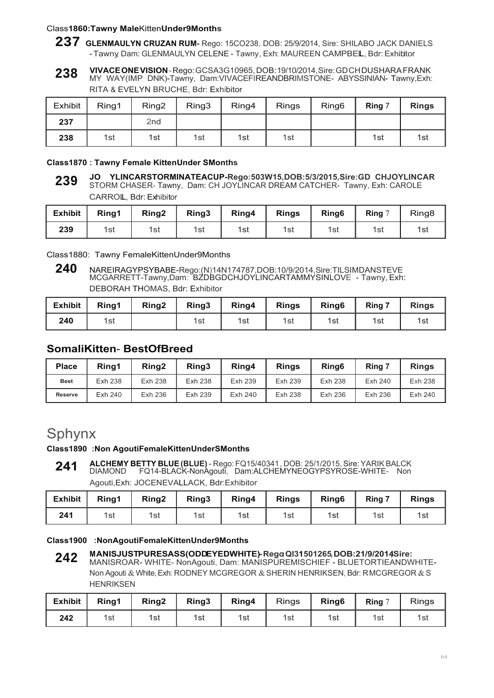#### Class**1860:Tawny Male**Kitten**Under9Months**

- **237 GLENMAULYN CRUZAN RUM-** Rego: 15CO238, DOB: 25/9/2014, Sire: SHILABO JACK DANIELS -Tawny, Dam: GLENMAULYN CELENE - Tawny, Exh: MAUREEN CAMPBELL, Bdr:Exhibitor
- **VIVACE ONE VISION**  Rego: GCSA3G10965, DOB: 19/10/2014, Sire: GD CH DUSHARA FRANK MY WAY(IMP DNK)-Tawny, Dam:VIVACEFIREANDBRIMSTONE- ABYSSINIAN- Tawny,Exh: RITA & EVELYN BRUCHE, Bdr: Exhibitor **238**

| Exhibit | Ring1 | Ring <sub>2</sub> | Ring3 | Ring4 | <b>Rings</b> | Ring <sub>6</sub> | Ring 7 | <b>Rings</b> |
|---------|-------|-------------------|-------|-------|--------------|-------------------|--------|--------------|
| 237     |       | 2nd               |       |       |              |                   |        |              |
| 238     | 1st   | 1st               | 1st   | 1st   | 1st          |                   | 1st    | 1st          |

#### **Class1870 : Tawny Female KittenUnder SMonths**

**JO YLINCARSTORMINATEACUP-Rego:503W15,DOB:5/3/2015,Sire:GD CHJOYLINCAR** STORM CHASER- Tawny, Dam: CH JOYLINCAR DREAM CATCHER- Tawny, Exh: CAROLE CARROLL, Bdr: Exhibitor **239**

| <b>Exhibit</b> | Ring1 | Ring <sub>2</sub> | Ring3 | Ring4 | <b>Rings</b> | Ring <sub>6</sub> | Ring $7$ | Ring <sub>8</sub> |
|----------------|-------|-------------------|-------|-------|--------------|-------------------|----------|-------------------|
| 239            | 1st   | 1st               | 1st   | 1st   | 1st          | 1st               | 1st      | 1si               |

Class1880: Tawny FemaleKittenUnder9Months

**<sup>240</sup>** NAREIRAGYPSYBABE-Rego:(N)14N174787,DOB:10/9/2014,Sire:TILSIMDANSTEVE MCGARRETT-Tawny,Dam: BZDBGDCHJOYLINCARTAMMYSINLOVE - Tawny, Exh: DEBORAH THOMAS, Bdr: Exhibitor

| <b>Exhibit</b> | Ring1 | Ring <sub>2</sub> | Ring3 | Ring4 | <b>Rings</b> | Ring <sub>6</sub> | Ring 7 | <b>Rings</b> |
|----------------|-------|-------------------|-------|-------|--------------|-------------------|--------|--------------|
| 240            | 1st   |                   | 1st   | 1st   | 1st          | 1st               | 1st    | 1st          |

### **SomaliKitten**- **BestOfBreed**

| <b>Place</b>   | Rina1   | Ring <sub>2</sub> | Ring3   | Ring4   | <b>Rings</b>   | Ring <sub>6</sub> | Ring 7  | <b>Rings</b> |
|----------------|---------|-------------------|---------|---------|----------------|-------------------|---------|--------------|
| <b>Best</b>    | Exh 238 | Exh 238           | Exh 238 | Exh 239 | Exh 239        | Exh 238           | Exh 240 | Exh 238      |
| <b>Reserve</b> | Exh 240 | Exh 236           | Exh 239 | Exh 240 | <b>Exh 238</b> | Exh 236           | Exh 236 | Exh 240      |

## Sphynx

### **Class1890 :Non AgoutiFemaleKittenUnderSMonths**

**ALCHEMY BETTY BLUE (BLUE)** - Rego: FQ15/40341 , DOB: 25/1/2015, Sire: YARIK BALCK DIAMOND FQ14-BLACK-NonAgouti, Dam:ALCHEMYNEOGYPSYROSE-WHITE- Non Agouti,Exh: JOCENEVALLACK, Bdr:Exhibitor **241**

| <b>Exhibit</b> | Ring1 | Ring <sub>2</sub> | Ring3 | Ring4 | <b>Rings</b> | Ring <sub>6</sub> | Ring 7 | <b>Rings</b> |
|----------------|-------|-------------------|-------|-------|--------------|-------------------|--------|--------------|
| 241            | 1st   | 1st               | 1st   | 1st   | 1st          | 1st               | 1st    | 1st          |

#### **Class1900 :NonAgoutiFemaleKittenUnder9Months**

**MANISJUSTPURESASS(ODDEYEDWHITE)-Rego:Ql31501265,DOB:21/9/2014,Sire:** MANISROAR- WHITE- NonAgouti, Dam: MANISPUREMISCHIEF - BLUETORTIEANDWHITE-Non Agouti & White, Exh: RODNEY MCGREGOR & SHERIN HENRIKSEN, Bdr: RMCGREGOR & S **HENRIKSEN 242**

| <b>Exhibit</b> | Ring1 | Ring <sub>2</sub> | Ring3 | Ring4 | <b>Rings</b> | Ring <sub>6</sub> | Ring 7 | <b>Rings</b> |
|----------------|-------|-------------------|-------|-------|--------------|-------------------|--------|--------------|
| 242            | 1st   | 1st               | 1st   | 1st   | 1st          | 1st               | 1st    | 1si          |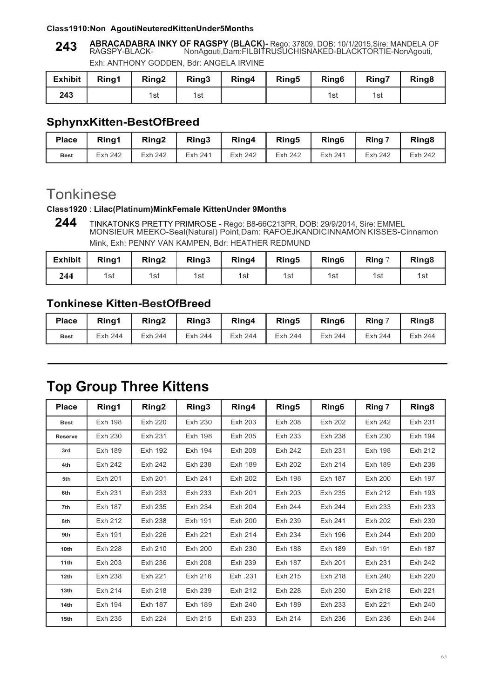#### **Class1910:Non AgoutiNeuteredKittenUnder5Months**

**ABRACADABRA INKY OF RAGSPY (BLACK)-** Rego: 37809, DOB: 10/1/2015,Sire: MANDELA OF RAGSPY-BLACK- NonAgouti,Dam:FILBITRUSUCHISNAKED-BLACKTORTIE-NonAgouti, **243**

Exh: ANTHONY GODDEN, Bdr: ANGELA IRVINE

| <b>Exhibit</b> | Rina1 | Ring <sub>2</sub> | Ring3 | Ring4 | Ring <sub>5</sub> | Ring <sub>6</sub> | Ring7 | Ring <sub>8</sub> |
|----------------|-------|-------------------|-------|-------|-------------------|-------------------|-------|-------------------|
| 243            |       | 1st               | 1st   |       |                   | 1st               | 1st   |                   |

### **SphynxKitten-BestOfBreed**

| <b>Place</b> | Rina1   | Ring2   | Ring3   | Ring4   | Rina <sub>5</sub> | Ring <sub>6</sub> | Ring 7  | Ring <sub>8</sub> |
|--------------|---------|---------|---------|---------|-------------------|-------------------|---------|-------------------|
| <b>Best</b>  | Exh 242 | Exh 242 | Exh 241 | Exh 242 | <b>Exh 242</b>    | Exh 241           | Exh 242 | Exh 242           |

## **Tonkinese**

#### **Class1920** : **Lilac(Platinum)MinkFemale KittenUnder 9Months**

**<sup>244</sup>** TINKATONKS PRETTY PRIMROSE - Rego: B8-66C213PR, DOB: 29/9/2014, Sire: EMMEL MONSIEUR MEEKO-Seal(Natural) Point,Dam: RAFOEJKANDICINNAMON KISSES-Cinnamon Mink, Exh: PENNY VAN KAMPEN, Bdr: HEATHER REDMUND

| <b>Exhibit</b> | Ring1 | Ring <sub>2</sub> | Ring3 | Ring4 | Ring <sub>5</sub> | Ring <sub>6</sub> | <b>Ring</b> $\degree$ | Ring <sub>8</sub> |
|----------------|-------|-------------------|-------|-------|-------------------|-------------------|-----------------------|-------------------|
| 244            | 1st   | 1st               | 1st   | 1st   | 1st               | 1st               | 1st                   | 1รเ               |

### **Tonkinese Kitten-BestOfBreed**

| <b>Place</b> | Ring1   | Ring <sub>2</sub> | Ring3   | Ring4   | Rina <sub>5</sub> | Ring <sub>6</sub> | Ring    | Ring <sub>8</sub> |
|--------------|---------|-------------------|---------|---------|-------------------|-------------------|---------|-------------------|
| <b>Best</b>  | Exh 244 | Exh 244           | Exh 244 | Exh 244 | Exh 244           | Exh 244           | Exh 244 | Exh 244           |

## **Top Group Three Kittens**

| <b>Place</b>     | Ring1          | Ring <sub>2</sub> | Ring3          | Ring4          | Ring5          | Ring <sub>6</sub> | Ring 7         | Ring <sub>8</sub> |
|------------------|----------------|-------------------|----------------|----------------|----------------|-------------------|----------------|-------------------|
| <b>Best</b>      | Exh 198        | Exh 220           | Exh 230        | Exh 203        | Exh 208        | Exh 202           | Exh 242        | Exh 231           |
| <b>Reserve</b>   | Exh 230        | Exh 231           | Exh 198        | Exh 205        | Exh 233        | Exh 238           | Exh 230        | Exh 194           |
| 3rd              | Exh 189        | <b>Exh 192</b>    | Exh 194        | <b>Exh 208</b> | Exh 242        | Exh 231           | <b>Exh 198</b> | Exh 212           |
| 4th              | Exh 242        | Exh 242           | Exh 238        | Exh 189        | Exh 202        | Exh 214           | Exh 189        | <b>Exh 238</b>    |
| 5th              | Exh 201        | Exh 201           | Exh 241        | Exh 202        | Exh 198        | Exh 187           | Exh 200        | Exh 197           |
| 6th              | Exh 231        | Exh 233           | Exh 233        | Exh 201        | Exh 203        | Exh 235           | Exh 212        | Exh 193           |
| 7th              | Exh 187        | Exh 235           | Exh 234        | Exh 204        | Exh 244        | Exh 244           | Exh 233        | Exh 233           |
| 8th              | Exh 212        | Exh 238           | Exh 191        | Exh 200        | Exh 239        | Exh 241           | Exh 202        | Exh 230           |
| 9th              | Exh 191        | Exh 226           | Exh 221        | Exh 214        | Exh 234        | Exh 196           | Exh 244        | Exh 200           |
| 10th             | <b>Exh 228</b> | Exh 210           | Exh 200        | Exh 230        | <b>Exh 188</b> | Exh 189           | Exh 191        | Exh 187           |
| 11th             | Exh 203        | Exh 236           | <b>Exh 208</b> | Exh 239        | Exh 187        | Exh 201           | Exh 231        | <b>Exh 242</b>    |
| 12th             | Exh 238        | Exh 221           | Exh 216        | Exh .231       | Exh 215        | Exh 218           | Exh 240        | Exh 220           |
| 13 <sub>th</sub> | Exh 214        | Exh 218           | Exh 239        | Exh 212        | <b>Exh 228</b> | Exh 230           | <b>Exh 218</b> | Exh 221           |
| 14th             | <b>Exh 194</b> | Exh 187           | <b>Exh 189</b> | Exh 240        | <b>Exh 189</b> | Exh 233           | Exh 221        | Exh 240           |
| 15th             | Exh 235        | Exh 224           | Exh 215        | Exh 233        | Exh 214        | Exh 236           | Exh 236        | <b>Exh 244</b>    |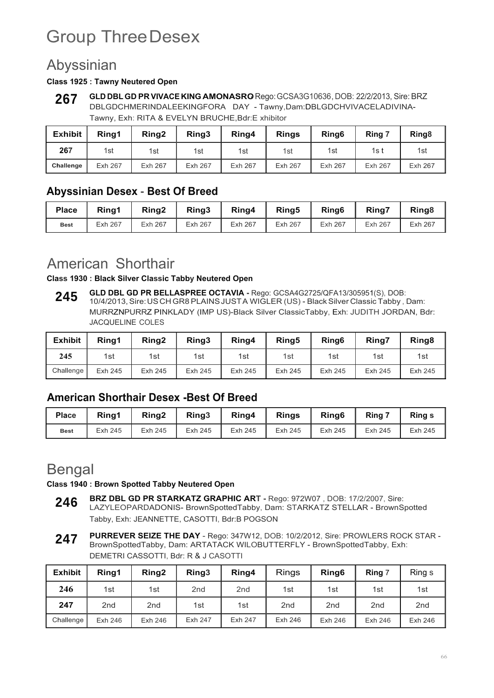# Group Three Desex

## Abyssinian

#### **Class 1925 : Tawny Neutered Open**

**GLD DBL GD PR VIVACE KING AMONASRO-** Rego:GCSA3G10636,DOB: 22/2/2013, Sire: BRZ DBLGDCHMERINDALEEKINGFORA DAY - Tawny,Dam:DBLGDCHVIVACELADIVINA-Tawny, Exh: RITA & EVELYN BRUCHE,Bdr:E xhibitor **267**

| <b>Exhibit</b> | Ring1   | Ring2   | Ring3          | Ring4          | <b>Rings</b> | Ring <sub>6</sub> | Ring 7  | Ring <sub>8</sub> |
|----------------|---------|---------|----------------|----------------|--------------|-------------------|---------|-------------------|
| 267            | 1st     | 1st     | 1st            | 1st            | 1st          | 1st               | 1s t    | 1st               |
| Challenge      | Exh 267 | Exh 267 | <b>Exh 267</b> | <b>Exh 267</b> | Exh 267      | Exh 267           | Exh 267 | Exh 267           |

### **Abyssinian Desex** - **Best Of Breed**

| <b>Place</b> | Ring1   | Ring <sub>2</sub> | Ring3   | Ring4   | Ring <sub>5</sub> | Ring <sub>6</sub> | <b>Ring7</b> | Ring <sub>8</sub> |
|--------------|---------|-------------------|---------|---------|-------------------|-------------------|--------------|-------------------|
| <b>Best</b>  | Exh 267 | Exh 267           | Exh 267 | Exh 267 | Exh 267           | Exh 267           | Exh 267      | Exh 267           |

## American Shorthair

**Class 1930 : Black Silver Classic Tabby Neutered Open**

**GLD DBL GD PR BELLASPREE OCTAVIA -** Rego: GCSA4G2725/QFA13/305951(S), DOB: 10/4/2013, Sire: US CH GR8 PLAINS JUST A WIGLER (US) - Black Silver Classic Tabby , Dam: MURRZNPURRZ PINKLADY (IMP US)-Black Silver ClassicTabby, Exh: JUDITH JORDAN, Bdr: JACQUELINE COLES **245**

| <b>Exhibit</b> | Rina1   | Rina <sub>2</sub> | Ring3   | Ring4   | Ring <sub>5</sub> | Ring <sub>6</sub> | Ring7   | Ring <sub>8</sub> |
|----------------|---------|-------------------|---------|---------|-------------------|-------------------|---------|-------------------|
| 245            | 1st     | 1st               | 1st     | 1st     | 1st               | 1st               | 1st     | 1st               |
| Challenge      | Exh 245 | Exh 245           | Exh 245 | Exh 245 | Exh 245           | Exh 245           | Exh 245 | Exh 245           |

### **American Shorthair Desex -Best Of Breed**

| <b>Place</b> | Rina1   | Ring <sub>2</sub> | Ring3   | Ring4   | <b>Rings</b> | Ring <sub>6</sub> | Rina 7  | <b>Ring s</b> |
|--------------|---------|-------------------|---------|---------|--------------|-------------------|---------|---------------|
| <b>Best</b>  | Exh 245 | Exh 245           | Exh 245 | Exh 245 | Exh 245      | Exh 245           | Exh 245 | Exh 245       |

## Bengal

**Class 1940 : Brown Spotted Tabby Neutered Open**

- **BRZ DBL GD PR STARKATZ GRAPHIC ART** Rego: 972W07 , DOB: 17/2/2007, Sire: LAZYLEOPARDADONIS- BrownSpottedTabby, Dam: STARKATZ STELLAR - BrownSpotted Tabby, Exh: JEANNETTE, CASOTTI, Bdr:B POGSON **246**
- **PURREVER SEIZE THE DAY**  Rego: 347W12, DOB: 10/2/2012, Sire: PROWLERS ROCK STAR BrownSpottedTabby, Dam: ARTATACK WILOBUTTERFLY - BrownSpottedTabby, Exh: DEMETRI CASSOTTI, Bdr: R & J CASOTTI **247**

| <b>Exhibit</b> | Ring1           | Ring <sub>2</sub> | Ring3           | Ring4           | <b>Rings</b>    | Ring <sub>6</sub> | Ring 7          | Ring s          |
|----------------|-----------------|-------------------|-----------------|-----------------|-----------------|-------------------|-----------------|-----------------|
| 246            | 1st             | 1st               | 2 <sub>nd</sub> | 2 <sub>nd</sub> | 1st             | 1st               | 1st             | 1st             |
| 247            | 2 <sub>nd</sub> | 2 <sub>nd</sub>   | 1st             | 1st             | 2 <sub>nd</sub> | 2 <sub>nd</sub>   | 2 <sub>nd</sub> | 2 <sub>nd</sub> |
| Challenge      | Exh 246         | Exh 246           | Exh 247         | Exh 247         | Exh 246         | Exh 246           | Exh 246         | Exh 246         |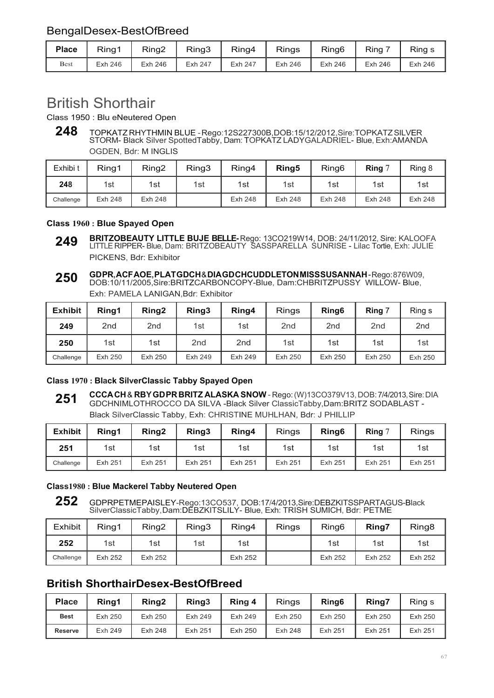### BengalDesex-BestOfBreed

| <b>Place</b> | Ring1   | Ring <sub>2</sub> | Ring3   | Ring4   | <b>Rings</b> | Ring <sub>6</sub> | Ring    | Ring s  |
|--------------|---------|-------------------|---------|---------|--------------|-------------------|---------|---------|
| <b>Best</b>  | Exh 246 | Exh 246           | Exh 247 | Exh 247 | Exh 246      | Exh 246           | Exh 246 | Exh 246 |

## British Shorthair

Class 1950 : Blu eNeutered Open

**<sup>248</sup>** TOPKATZ RHYTHMIN BLUE - Rego:12S227300B,DOB:15/12/2012,Sire:TOPKATZ SILVER STORM- Black Silver SpottedTabby, Dam: TOPKATZ LADYGALADRIEL- Blue, Exh:AMANDA OGDEN, Bdr: M INGLIS

| Exhibi t  | Ring1          | Ring <sub>2</sub> | Ring3 | Ring4          | Ring <sub>5</sub> | Ring <sub>6</sub> | Ring $7$ | Ring 8  |
|-----------|----------------|-------------------|-------|----------------|-------------------|-------------------|----------|---------|
| 248       | 1st            | 1st               | 1st   | 1st            | 1st               | 1st               | 1st      | 1st     |
| Challenge | <b>Exh 248</b> | Exh 248           |       | <b>Exh 248</b> | Exh 248           | Exh 248           | Exh 248  | Exh 248 |

#### **Class 1960 : Blue Spayed Open**

**BRITZOBEAUTY LITTLE BUJE BELLE-** Rego: 13CO219W14, DOB: 24/11/2012, Sire: KALOOFA LITTLE RIPPER- Blue, Dam: BRITZOBEAUTY SASSPARELLA SUNRISE - Lilac Tortie, Exh: JULIE PICKENS, Bdr: Exhibitor **249**

**GD PR, ACF AOE, PLAT GDCH** & **DIA GD CHCUDDLETON MISS SUSANNAH** - Rego: 876W09, DOB:10/11/2005,Sire:BRITZCARBONCOPY-Blue, Dam:CHBRITZPUSSY WILLOW- Blue, Exh: PAMELA LANIGAN,Bdr: Exhibitor **250**

| <b>Exhibit</b> | Ring1           | Ring <sub>2</sub> | Ring3           | Ring4           | <b>Rings</b>    | Ring <sub>6</sub> | Ring 7          | Ring s          |
|----------------|-----------------|-------------------|-----------------|-----------------|-----------------|-------------------|-----------------|-----------------|
| 249            | 2 <sub>nd</sub> | 2 <sub>nd</sub>   | 1st             | 1st             | 2 <sub>nd</sub> | 2 <sub>nd</sub>   | 2 <sub>nd</sub> | 2 <sub>nd</sub> |
| 250            | 1st             | 1st               | 2 <sub>nd</sub> | 2 <sub>nd</sub> | 1st             | 1st               | 1st             | 1st             |
| Challenge      | Exh 250         | Exh 250           | Exh 249         | Exh 249         | Exh 250         | Exh 250           | Exh 250         | Exh 250         |

#### **Class 1970 : Black SilverClassic Tabby Spayed Open**

**CCCA CH** & **RBY GD PR BRITZ ALASKA SNOW** - Rego: (W)13CO379V13, DOB: 7/4/2013, Sire: DIA GDCHNIMLOTHROCCO DA SILVA -Black Silver ClassicTabby,Dam:BRITZ SODABLAST - Black SilverClassic Tabby, Exh: CHRISTINE MUHLHAN, Bdr: J PHILLIP **251**

| <b>Exhibit</b> | Rina1   | Ring <sub>2</sub> | Ring3   | Ring4   | <b>Rings</b> | Ring <sub>6</sub> | Ring $7$ | Rings   |
|----------------|---------|-------------------|---------|---------|--------------|-------------------|----------|---------|
| 251            | 1st     | 1st               | 1st     | 1st     | 1st          | 1st l             | 1st      | 1st     |
| Challenge      | Exh 251 | Exh 251           | Exh 251 | Exh 251 | Exh 251      | Exh 251           | Exh 251  | Exh 251 |

#### **Class1980 : Blue Mackerel Tabby Neutered Open**

**252** GDPRPETMEPAISLEY-Rego:13CO537, DOB:17/4/2013,Sire:DEBZKITSSPARTAGUS-Black SilverClassicTabby, Dam:DEBZKITSLILY- Blue, Exh: TRISH SUMICH, Bdr: PETME

| <b>Exhibit</b> | Ring1          | Ring2   | Ring3 | Ring4   | Rings | Ring <sub>6</sub> | Ring7   | Ring <sub>8</sub> |
|----------------|----------------|---------|-------|---------|-------|-------------------|---------|-------------------|
| 252            | 1st            | 1st     | 1st   | 1st     |       | 1st               | 1st     | 1st               |
| Challenge      | <b>Exh 252</b> | Exh 252 |       | Exh 252 |       | Exh 252           | Exh 252 | Exh 252           |

### **British ShorthairDesex-BestOfBreed**

| <b>Place</b>   | Rina1   | Ring <sub>2</sub> | Ring3   | Ring 4  | <b>Rings</b> | Ring <sub>6</sub> | Ring7   | Ring s  |
|----------------|---------|-------------------|---------|---------|--------------|-------------------|---------|---------|
| <b>Best</b>    | Exh 250 | Exh 250           | Exh 249 | Exh 249 | Exh 250      | Exh 250           | Exh 250 | Exh 250 |
| <b>Reserve</b> | Exh 249 | Exh 248           | Exh 251 | Exh 250 | Exh 248      | Exh 251           | Exh 251 | Exh 251 |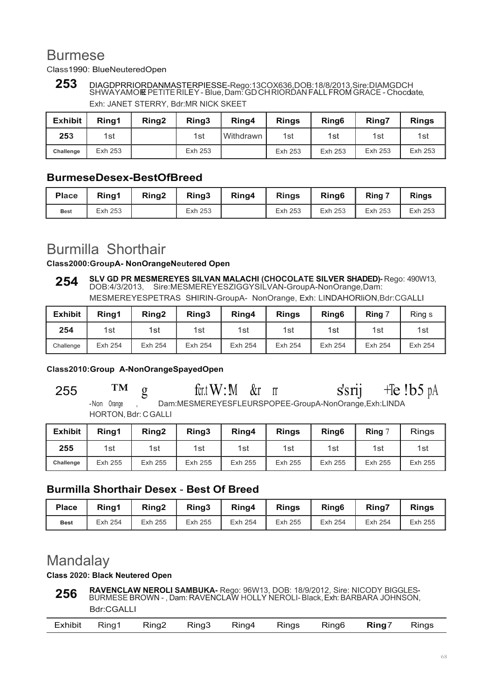## Burmese

Class1990: BlueNeuteredOpen

## **253** DIAGDPRRIORDANMASTERPIESSE-Rego:13COX636,DOB:18/8/2013,Sire:DIAMGDCH SHWAYAMORE PETITE RILEY - Blue, Dam: GD CH RIORDAN FALL FROM GRACE - Chocdate, Exh: JANET STERRY, Bdr:MR NICK SKEET

| <b>Exhibit</b> | Ring1   | Ring <sub>2</sub> | Ring3   | Ring4              | <b>Rings</b> | Ring <sub>6</sub> | <b>Ring7</b> | <b>Rings</b> |
|----------------|---------|-------------------|---------|--------------------|--------------|-------------------|--------------|--------------|
| 253            | 1st     |                   | 1st     | <b>I</b> Withdrawn | 1st          | 1st               | 1st          | 1st          |
| Challenge      | Exh 253 |                   | Exh 253 |                    | Exh 253      | Exh 253           | Exh 253      | Exh 253      |

### **BurmeseDesex-BestOfBreed**

| <b>Place</b> | Rina1   | Ring <sub>2</sub> | Ring3   | Ring4 | <b>Rings</b> | Ring <sub>6</sub> | Ring $\overline{z}$ | <b>Rings</b> |
|--------------|---------|-------------------|---------|-------|--------------|-------------------|---------------------|--------------|
| <b>Best</b>  | Exh 253 |                   | Exh 253 |       | Exh 253      | Exh 253           | Exh 253             | Exh 253      |

## Burmilla Shorthair

#### **Class2000:GroupA- NonOrangeNeutered Open**

**SLV GD PR MESMEREYES SILVAN MALACHI (CHOCOLATE SILVER SHADED)-** Rego: 490W13, DOB:4/3/2013, Sire:MESMEREYESZIGGYSILVAN-GroupA-NonOrange,Dam: MESMEREYESPETRAS SHIRIN-GroupA- NonOrange, Exh: LINDAHORliON,Bdr:CGALLI **254**

| <b>Exhibit</b> | Rina1   | Ring <sub>2</sub> | Ring3   | Ring4   | <b>Rings</b> | Ring <sub>6</sub> | Ring 7  | Ring s  |
|----------------|---------|-------------------|---------|---------|--------------|-------------------|---------|---------|
| 254            | 1st     | 1st               | 1st     | 1st     | 1st          | 1st               | 1st     | 1st     |
| Challenge      | Exh 254 | Exh 254           | Exh 254 | Exh 254 | Exh 254      | Exh 254           | Exh 254 | Exh 254 |

#### **Class2010:Group A-NonOrangeSpayedOpen**

255  $TM$  g fcr.t W: M &r rr s's rij +Te !b5 pA - Non Orange , Dam:MESMEREYESFLEURSPOPEE-GroupA-NonOrange, Exh:LINDA HORTON, Bdr: C GALLI

| <b>Exhibit</b> | Rina1   | Rina <sub>2</sub> | Ring3   | Ring4   | <b>Rings</b> | Ring <sub>6</sub> | <b>Ring</b> $\degree$ | <b>Rings</b> |
|----------------|---------|-------------------|---------|---------|--------------|-------------------|-----------------------|--------------|
| 255            | 1st     | 1st               | 1st     | 1st     | 1st          | 1st               | 1st                   | 1st          |
| Challenge      | Exh 255 | Exh 255           | Exh 255 | Exh 255 | Exh 255      | Exh 255           | Exh 255               | Exh 255      |

### **Burmilla Shorthair Desex** - **Best Of Breed**

| <b>Place</b> | Ring1   | Ring <sub>2</sub> | Ring3   | Ring4   | <b>Rings</b> | Ring <sub>6</sub> | <b>Ring7</b> | <b>Rings</b> |
|--------------|---------|-------------------|---------|---------|--------------|-------------------|--------------|--------------|
| <b>Best</b>  | Exh 254 | Exh 255           | Exh 255 | Exh 254 | Exh 255      | Exh 254           | Exh 254      | Exh 255      |

## Mandalay

#### **Class 2020: Black Neutered Open**

**RAVENCLAW NEROLI SAMBUKA-** Rego: 96W13, DOB: 18/9/2012, Sire: NICODY BIGGLES-BURMESE BROWN - , Dam: RAVENCLAW HOLLY NEROLI- Black, Exh: BARBARA JOHNSON, Bdr:CGALLI **256**

|  | Exhibit | Ring1 | Ring2 Ring3 Ring4 |  |  | $\cdot$ Rings | Ring6 | <b>Ring</b> 7 | Rings |
|--|---------|-------|-------------------|--|--|---------------|-------|---------------|-------|
|--|---------|-------|-------------------|--|--|---------------|-------|---------------|-------|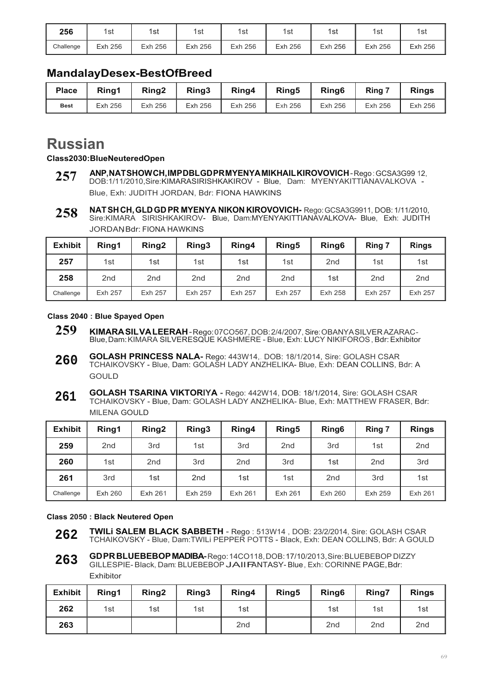| 256       | 1st     | 1st     | 1st        | 1st     | 1st     | l st    | 1st     | 1sı     |
|-----------|---------|---------|------------|---------|---------|---------|---------|---------|
| Challenge | Exh 256 | Exh 256 | 256<br>Exh | Exh 256 | Exh 256 | Exh 256 | Exh 256 | Exh 256 |

### **MandalayDesex-BestOfBreed**

| <b>Place</b> | Rina1   | Ring2   | Ring3   | Ring4   | Ring <sub>5</sub> | Ring <sub>6</sub> | <b>Ring</b> | <b>Rings</b> |
|--------------|---------|---------|---------|---------|-------------------|-------------------|-------------|--------------|
| <b>Best</b>  | Exh 256 | Exh 256 | Exh 256 | Exh 256 | Exh 256           | Exh 256           | Exh 256     | Exh 256      |

## **Russian**

**Class2030:BlueNeuteredOpen**

- **ANP, NAT SHOW CH, IMP DBL GD PR MYENYA MIKHAIL KIROVOVICH**  Rego : GCSA3G99 12, DOB:1/11/2010,Sire:KIMARASIRISHKAKIROV - Blue, Dam: MYENYAKITTIANAVALKOVA - Blue, Exh: JUDITH JORDAN, Bdr: FIONA HAWKINS **257**
- **NAT SH CH, GLD GD PR MYENYA NIKON KIROVOVICH-** Rego: GCSA3G9911, DOB: 1/11/2010, Sire:KIMARA SIRISHKAKIROV- Blue, Dam:MYENYAKITTIANAVALKOVA- Blue, Exh: JUDITH JORDAN Bdr: FIONA HAWKINS **258**

| <b>Exhibit</b> | Ring1           | Ring <sub>2</sub> | Ring3           | Ring4           | Ring <sub>5</sub> | Ring <sub>6</sub> | Ring 7          | <b>Rings</b>    |
|----------------|-----------------|-------------------|-----------------|-----------------|-------------------|-------------------|-----------------|-----------------|
| 257            | 1st             | 1st               | 1st             | 1st             | 1st               | 2nd               | 1st             | 1st             |
| 258            | 2 <sub>nd</sub> | 2 <sub>nd</sub>   | 2 <sub>nd</sub> | 2 <sub>nd</sub> | 2 <sub>nd</sub>   | 1st               | 2 <sub>nd</sub> | 2 <sub>nd</sub> |
| Challenge      | Exh 257         | Exh 257           | Exh 257         | Exh 257         | Exh 257           | Exh 258           | Exh 257         | Exh 257         |

#### **Class 2040 : Blue Spayed Open**

- **259 KIMARA SIL VA LEERAH**  Rego: 07CO567, DOB: 2/4/2007, Sire: OBANYA SILVER AZARAC Blue, Dam: KIMARA SILVERESQUE KASHMERE - Blue, Exh: LUCY NIKIFOROS , Bdr: Exhibitor
- **GOLASH PRINCESS NALA-** Rego: 443W14,. DOB: 18/1/2014, Sire: GOLASH CSAR TCHAIKOVSKY - Blue, Dam: GOLASH LADY ANZHELIKA- Blue, Exh: DEAN COLLINS, Bdr: A **GOULD 260**
- **GOLASH TSARINA VIKTORIYA** Rego: 442W14, DOB: 18/1/2014, Sire: GOLASH CSAR TCHAIKOVSKY - Blue, Dam: GOLASH LADY ANZHELIKA- Blue, Exh: MATTHEW FRASER, Bdr: MILENA GOULD **261**

| <b>Exhibit</b> | Ring1           | Ring <sub>2</sub> | Ring3           | Ring4           | Ring <sub>5</sub> | Ring <sub>6</sub> | Ring 7          | <b>Rings</b>    |
|----------------|-----------------|-------------------|-----------------|-----------------|-------------------|-------------------|-----------------|-----------------|
| 259            | 2 <sub>nd</sub> | 3rd               | 1st             | 3rd             | 2 <sub>nd</sub>   | 3rd               | 1st             | 2 <sub>nd</sub> |
| 260            | 1st             | 2 <sub>nd</sub>   | 3rd             | 2 <sub>nd</sub> | 3rd               | 1st               | 2 <sub>nd</sub> | 3rd             |
| 261            | 3rd             | 1st               | 2 <sub>nd</sub> | 1st             | 1st               | 2 <sub>nd</sub>   | 3rd             | 1st             |
| Challenge      | Exh 260         | Exh 261           | Exh 259         | Exh 261         | Exh 261           | Exh 260           | Exh 259         | Exh 261         |

#### **Class 2050 : Black Neutered Open**

- **TWILi SALEM BLACK SABBETH**  Rego : 513W14 , DOB: 23/2/2014, Sire: GOLASH CSAR TCHAIKOVSKY - Blue, Dam:TWILi PEPPER POTTS - Black, Exh: DEAN COLLINS, Bdr: A GOULD **262**
- **GD PR BLUEBEBOP MADIBA-** Rego: 14CO118, DOB: 17/10/2013, Sire: BLUEBEBOP DIZZY GILLESPIE- Black, Dam: BLUEBEBOP JAllFANTASY- Blue, Exh: CORINNE PAGE,Bdr: Exhibitor **263**

| <b>Exhibit</b> | Ring1 | Ring <sub>2</sub> | Ring3 | Ring4           | Ring <sub>5</sub> | Ring <sub>6</sub> | Ring7           | <b>Rings</b>    |
|----------------|-------|-------------------|-------|-----------------|-------------------|-------------------|-----------------|-----------------|
| 262            | 1st   | 1st               | 1st   | 1st             |                   | 1st               | 1st             | 1st             |
| 263            |       |                   |       | 2 <sub>nd</sub> |                   | 2 <sub>nd</sub>   | 2 <sub>nd</sub> | 2 <sub>nd</sub> |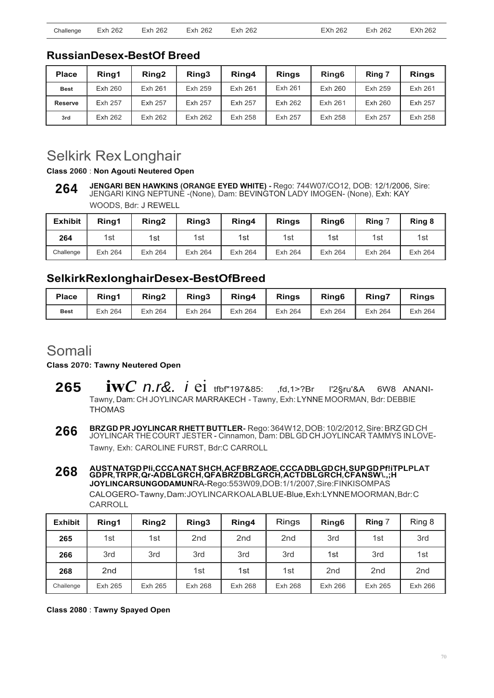### **RussianDesex-BestOf Breed**

| <b>Place</b>   | Rina1          | Ring <sub>2</sub> | Ring3   | Ring4   | <b>Rings</b> | Ring <sub>6</sub> | Ring 7  | <b>Rings</b> |
|----------------|----------------|-------------------|---------|---------|--------------|-------------------|---------|--------------|
| <b>Best</b>    | Exh 260        | Exh 261           | Exh 259 | Exh 261 | Exh 261      | Exh 260           | Exh 259 | Exh 261      |
| <b>Reserve</b> | <b>Exh 257</b> | Exh 257           | Exh 257 | Exh 257 | Exh 262      | Exh 261           | Exh 260 | Exh 257      |
| 3rd            | Exh 262        | Exh 262           | Exh 262 | Exh 258 | Exh 257      | Exh 258           | Exh 257 | Exh 258      |

## Selkirk Rex Longhair

**Class 2060** : **Non Agouti Neutered Open**

**JENGARI BEN HAWKINS (ORANGE EYED WHITE) -** Rego: 744W07/CO12, DOB: 12/1/2006, Sire: JENGARI KING NEPTUNE -(None), Dam: BEVINGTON LADY IMOGEN- (None), Exh: KAY WOODS, Bdr: J REWELL **264**

| <b>Exhibit</b> | Rina1   | Ring <sub>2</sub> | Ring3          | Ring4   | <b>Rings</b> | Ring <sub>6</sub> | Ring 7  | Ring 8  |
|----------------|---------|-------------------|----------------|---------|--------------|-------------------|---------|---------|
| 264            | 1st     | 1st               | 1st            | 1st     | 1st          | 1st               | 1st     | 1st     |
| Challenge      | Exh 264 | Exh 264           | <b>Exh 264</b> | Exh 264 | Exh 264      | Exh 264           | Exh 264 | Exh 264 |

### **SelkirkRexlonghairDesex-BestOfBreed**

| <b>Place</b> | Ring1   | Rina <sub>2</sub> | Ring3   | Ring4   | <b>Rings</b> | Ring <sub>6</sub> | <b>Ring7</b> | <b>Rings</b> |
|--------------|---------|-------------------|---------|---------|--------------|-------------------|--------------|--------------|
| <b>Best</b>  | Exh 264 | Exh 264           | Exh 264 | Exh 264 | Exh 264      | Exh 264           | Exh 264      | Exh 264      |

### Somali

**Class 2070: Tawny Neutered Open**

- **<sup>265</sup>iw***c n.r&. i* ei tfbf"197&85: ,fd,1>?Br l'2§ru'&A 6W8 ANANI-Tawny, Dam: CH JOYLINCAR MARRAKECH - Tawny, Exh: LYNNE MOORMAN, Bdr: DEBBIE THOMAS
- **266 BRZ GD PR JOYLINCAR RHETT BUTTLER-** Rego: 364W12, DOB: 10/2/2012, Sire: BRZ GD CH JOYLINCAR THE COURT JESTER - Cinnamon, Dam: DBL GD CH JOYLINCAR TAMMYS IN LOVE-Tawny, Exh: CAROLINE FURST, Bdr:C CARROLL
- **268 AUST NATGD Pli,CCCA NAT SH CH, ACF BRZ AOE, CCCA DBLGD CH, SUP GD Pf!iTPLPLAT GD PR, TR PR, Qr-A DBL GR CH, QFA BRZ DBL GR CH, ACT DBL GR CH, CFA NSW \.,;H JOYLINCARSUNGODAMUN**RA-Rego:553W09,DOB:1/1/2007,Sire:FINKISOMPAS CALOGERO- Tawny, Dam: JOYLINCAR KOALA BLUE-Blue, Exh:LYNNE MOORMAN, Bdr: C CARROLL

| <b>Exhibit</b> | Ring1           | Ring2   | Ring3           | Ring4           | <b>Rings</b>    | Ring <sub>6</sub> | Ring 7          | Ring 8          |
|----------------|-----------------|---------|-----------------|-----------------|-----------------|-------------------|-----------------|-----------------|
| 265            | 1st             | 1st     | 2 <sub>nd</sub> | 2 <sub>nd</sub> | 2 <sub>nd</sub> | 3rd               | 1st             | 3rd             |
| 266            | 3rd             | 3rd     | 3rd             | 3rd             | 3rd             | 1st               | 3rd             | 1st             |
| 268            | 2 <sub>nd</sub> |         | 1st             | 1st             | 1st             | 2 <sub>nd</sub>   | 2 <sub>nd</sub> | 2 <sub>nd</sub> |
| Chailenge      | Exh 265         | Exh 265 | <b>Exh 268</b>  | Exh 268         | Exh 268         | Exh 266           | Exh 265         | Exh 266         |

**Class 2080** : **Tawny Spayed Open**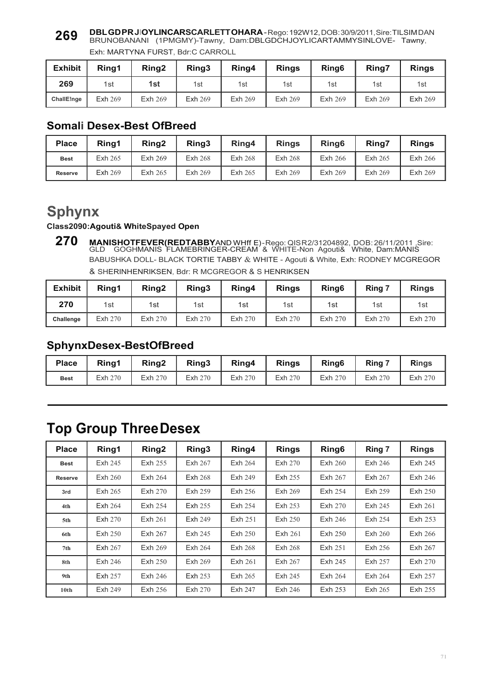#### **DBL GD PR JIOYLINCARSCARLETT OHARA** - Rego: 192W12, DOB: 30/9/2011, Sire: TILSIM DAN BRUNOBANANI (1PMGMY)-Tawny, Dam:DBLGDCHJOYLICARTAMMYSINLOVE- Tawny, Exh: MARTYNA FURST, Bdr:C CARROLL **269**

| <b>Exhibit</b> | Rina1          | Ring <sub>2</sub> | Ring3          | Ring4   | <b>Rings</b> | Ring <sub>6</sub> | Ring7   | <b>Rings</b>   |
|----------------|----------------|-------------------|----------------|---------|--------------|-------------------|---------|----------------|
| 269            | 1st            | 1st               | 1st            | 1st     | 1st          | 1st               | 1st     | 1st            |
| ChallE!nge     | <b>Exh 269</b> | Exh 269           | <b>Exh 269</b> | Exh 269 | Exh 269      | Exh 269           | Exh 269 | <b>Exh 269</b> |

### **Somali Desex-Best OfBreed**

| <b>Place</b>   | Ring1   | Ring <sub>2</sub> | Ring3          | Ring4          | <b>Rings</b>   | Ring <sub>6</sub> | <b>Ring7</b> | <b>Rings</b>   |
|----------------|---------|-------------------|----------------|----------------|----------------|-------------------|--------------|----------------|
| <b>Best</b>    | Exh 265 | Exh 269           | <b>Exh 268</b> | <b>Exh 268</b> | <b>Exh 268</b> | <b>Exh 266</b>    | Exh 265      | <b>Exh 266</b> |
| <b>Reserve</b> | Exh 269 | Exh 265           | Exh 269        | Exh 265        | Exh 269        | Exh 269           | Exh 269      | Exh 269        |

## **Sphynx**

#### **Class2090:Agouti& WhiteSpayed Open**

**270 MANISHOTFEVER(REDTABBY**AND WHff E) - Rego: QIS R 2/31204892, DOB: 26/11/2011 ,Sire: GLD GOGHMANIS FLAMEBRINGER-CREAM & WHITE-Non Agouti& White, Dam:MANIS BABUSHKA DOLL- BLACK TORTIE TABBY & WHITE - Agouti & White, Exh: RODNEY MCGREGOR & SHERINHENRIKSEN, Bdr: R MCGREGOR & S HENRIKSEN

| <b>Exhibit</b> | Ring1   | Ring <sub>2</sub> | Ring3   | Ring4   | <b>Rings</b> | Ring <sub>6</sub> | Ring 7  | <b>Rings</b> |
|----------------|---------|-------------------|---------|---------|--------------|-------------------|---------|--------------|
| 270            | 1st     | 1st               | 1st     | 1st     | 1st          | 1st               | 1st     | 1st          |
| Challenge      | Exh 270 | Exh 270           | Exh 270 | Exh 270 | Exh 270      | Exh 270           | Exh 270 | Exh 270      |

### **SphynxDesex-BestOfBreed**

| <b>Place</b> | Rina1   | Ring <sub>2</sub> | Ring3   | Ring4   | <b>Rings</b> | Ring <sub>6</sub> | Ring 7  | <b>Rings</b> |
|--------------|---------|-------------------|---------|---------|--------------|-------------------|---------|--------------|
| <b>Best</b>  | Exh 270 | Exh 270           | Exh 270 | Exh 270 | Exh 270      | Exh 270           | Exh 270 | Exh 270      |

## **Top Group Three Desex**

| <b>Place</b>     | Ring1   | Ring <sub>2</sub> | Ring <sub>3</sub> | Ring4          | <b>Rings</b>   | Ring <sub>6</sub> | Ring 7  | <b>Rings</b>   |
|------------------|---------|-------------------|-------------------|----------------|----------------|-------------------|---------|----------------|
| <b>Best</b>      | Exh 245 | Exh 255           | Exh 267           | Exh 264        | Exh 270        | Exh 260           | Exh 246 | Exh 245        |
| <b>Reserve</b>   | Exh 260 | Exh 264           | <b>Exh 268</b>    | Exh 249        | Exh 255        | Exh 267           | Exh 267 | Exh 246        |
| 3rd              | Exh 265 | Exh 270           | Exh 259           | Exh 256        | Exh 269        | Exh 254           | Exh 259 | Exh 250        |
| 4th              | Exh 264 | Exh 254           | Exh 255           | Exh 254        | Exh 253        | Exh 270           | Exh 245 | Exh 261        |
| 5th              | Exh 270 | Exh 261           | <b>Exh 249</b>    | Exh 251        | Exh 250        | Exh 246           | Exh 254 | Exh 253        |
| 6th              | Exh 250 | Exh 267           | Exh 245           | Exh 250        | <b>Exh 261</b> | Exh 250           | Exh 260 | <b>Exh 266</b> |
| 7th              | Exh 267 | Exh 269           | Exh 264           | <b>Exh 268</b> | <b>Exh 268</b> | Exh 251           | Exh 256 | Exh 267        |
| 8th              | Exh 246 | Exh 250           | Exh 269           | Exh 261        | Exh 267        | Exh 245           | Exh 257 | Exh 270        |
| 9th              | Exh 257 | Exh 246           | Exh 253           | Exh 265        | Exh 245        | Exh 264           | Exh 264 | Exh 257        |
| 10 <sub>th</sub> | Exh 249 | Exh 256           | Exh 270           | Exh 247        | Exh 246        | Exh 253           | Exh 265 | Exh 255        |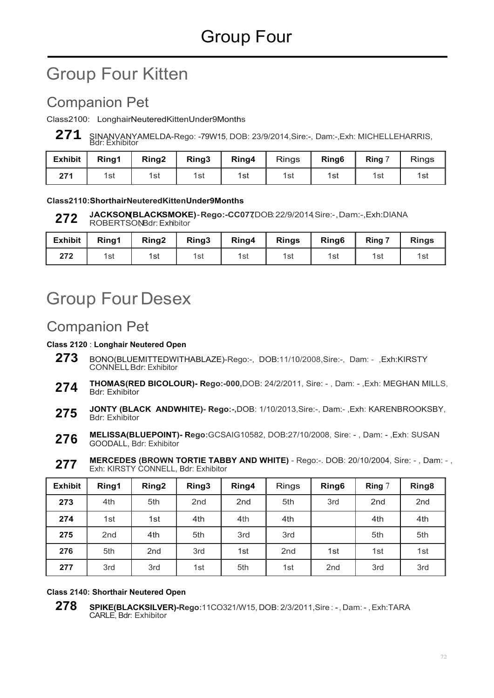# Group Four Kitten

## Companion Pet

Class2100: LonghairNeuteredKittenUnder9Months

271 SINANVANYAMELDA-Rego: -79W15, DOB: 23/9/2014,Sire:-, Dam:-,Exh: MICHELLEHARRIS,<br>Bdr: Exhibitor

| <b>Exhibit</b> | Ring1 | Ring <sub>2</sub> | Ring3 | Ring4 | <b>Rings</b> | Ring <sub>6</sub> | Ring 7 | Rings |
|----------------|-------|-------------------|-------|-------|--------------|-------------------|--------|-------|
| 274            | 1st   | 1st               | 1st   | 1st   | 1st          | 1st               | 1st    | 1st   |

#### **Class2110:ShorthairNeuteredKittenUnder9Months**

**JACKSON(BLACKSMOKE)-Rego:-CC077,**DOB:22/9/2014,Sire:-,Dam:-,Exh:DIANA ROBERTSONBdr: Exhibitor **272**

| <b>Exhibit</b> | Ring1 | Ring <sub>2</sub> | Ring3 | Ring4 | <b>Rings</b> | Ring <sub>6</sub> | Ring 7 | <b>Rings</b> |
|----------------|-------|-------------------|-------|-------|--------------|-------------------|--------|--------------|
| 272            | 1st   | 1st               | 1st   | 1st   | 1st          | 1st               | 1st    | 1รเ          |

# Group Four Desex

## Companion Pet

#### **Class 2120** : **Longhair Neutered Open**

- **273** BONO(BLUEMITTEDWITHABLAZE)-Rego:-, DOB:11/10/2008,Sire:-, Dam: ,Exh:KIRSTY CONNELL, Bdr: Exhibitor
- **THOMAS(RED BICOLOUR)- Rego:-000,**DOB: 24/2/2011, Sire: , Dam: ,Exh: MEGHAN MILLS, Bdr: Exhibitor **274**
- **JONTY (BLACK ANDWHITE)- Rego:-,**DOB: 1/10/2013,Sire:-, Dam:- ,Exh: KARENBROOKSBY, Bdr: Exhibitor **275**
- **MELISSA(BLUEPOINT)- Rego:**GCSAIG10582, DOB:27/10/2008, Sire: , Dam: ,Exh: SUSAN GOODALL, Bdr: Exhibitor **276**
- **MERCEDES (BROWN TORTIE TABBY AND WHITE)**  Rego:-. DOB: 20/10/2004, Sire: , Dam: , Exh: KIRSTY CONNELL, Bdr: Exhibitor **277**

| <b>Exhibit</b> | Ring1           | Ring <sub>2</sub> | Ring3           | Ring4           | <b>Rings</b>    | Ring <sub>6</sub> | Ring 7          | Ring <sub>8</sub> |
|----------------|-----------------|-------------------|-----------------|-----------------|-----------------|-------------------|-----------------|-------------------|
| 273            | 4th             | 5th               | 2 <sub>nd</sub> | 2 <sub>nd</sub> | 5th             | 3rd               | 2 <sub>nd</sub> | 2 <sub>nd</sub>   |
| 274            | 1st             | 1st               | 4th             | 4th             | 4th             |                   | 4th             | 4th               |
| 275            | 2 <sub>nd</sub> | 4th               | 5th             | 3rd             | 3rd             |                   | 5th             | 5th               |
| 276            | 5th             | 2 <sub>nd</sub>   | 3rd             | 1st             | 2 <sub>nd</sub> | 1st               | 1st             | 1st               |
| 277            | 3rd             | 3rd               | 1st             | 5th             | 1st             | 2 <sub>nd</sub>   | 3rd             | 3rd               |

#### **Class 2140: Shorthair Neutered Open**

**278 SPIKE(BLACKSILVER)-Rego:**11CO321/W15, DOB: 2/3/2011,Sire : - , Dam: - , Exh:TARA CARLE, Bdr: Exhibitor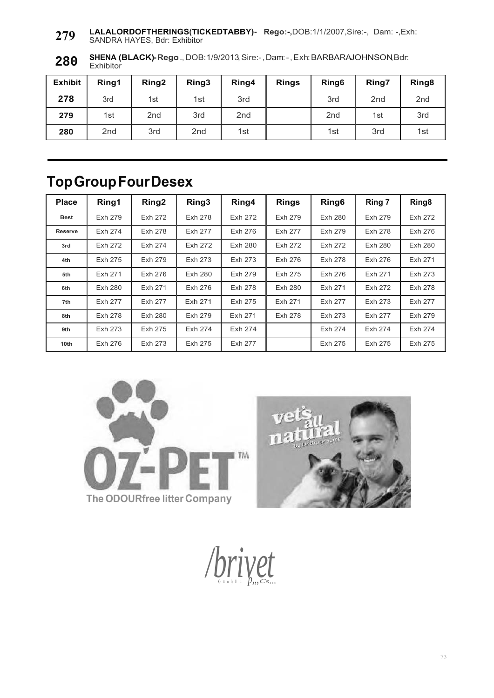**LALALORDOFTHERINGS(TICKEDTABBY)- Rego:-,**DOB:1/1/2007,Sire:-, Dam: -,Exh: SANDRA HAYES, Bdr: Exhibitor **279**

**SHENA (BLACK)-Rego:**.,DOB:1/9/2013,Sire:-,Dam:-,Exh:BARBARAJOHNSON,Bdr: **Exhibitor 280**

| <b>Exhibit</b> | Ring1           | Ring <sub>2</sub> | Ring3           | Ring4           | <b>Rings</b> | Ring <sub>6</sub> | Ring7           | Ring <sub>8</sub> |
|----------------|-----------------|-------------------|-----------------|-----------------|--------------|-------------------|-----------------|-------------------|
| 278            | 3rd             | 1st               | 1st             | 3rd             |              | 3rd               | 2 <sub>nd</sub> | 2 <sub>nd</sub>   |
| 279            | 1st             | 2 <sub>nd</sub>   | 3rd             | 2 <sub>nd</sub> |              | 2 <sub>nd</sub>   | 1st             | 3rd               |
| 280            | 2 <sub>nd</sub> | 3rd               | 2 <sub>nd</sub> | 1st             |              | 1st               | 3rd             | 1st               |

## **Top Group Four Desex**

| <b>Place</b>     | Ring1   | Ring <sub>2</sub> | Ring3   | Ring4   | <b>Rings</b>   | Ring <sub>6</sub> | Ring 7  | Ring <sub>8</sub> |
|------------------|---------|-------------------|---------|---------|----------------|-------------------|---------|-------------------|
| <b>Best</b>      | Exh 279 | Exh 272           | Exh 278 | Exh 272 | Exh 279        | Exh 280           | Exh 279 | Exh 272           |
| <b>Reserve</b>   | Exh 274 | Exh 278           | Exh 277 | Exh 276 | Exh 277        | Exh 279           | Exh 278 | Exh 276           |
| 3rd              | Exh 272 | Exh 274           | Exh 272 | Exh 280 | Exh 272        | Exh 272           | Exh 280 | Exh 280           |
| 4th              | Exh 275 | Exh 279           | Exh 273 | Exh 273 | Exh 276        | Exh 278           | Exh 276 | Exh 271           |
| 5th              | Exh 271 | Exh 276           | Exh 280 | Exh 279 | Exh 275        | Exh 276           | Exh 271 | Exh 273           |
| 6th              | Exh 280 | Exh 271           | Exh 276 | Exh 278 | <b>Exh 280</b> | Exh 271           | Exh 272 | Exh 278           |
| 7th              | Exh 277 | Exh 277           | Exh 271 | Exh 275 | Exh 271        | Exh 277           | Exh 273 | Exh 277           |
| 8th              | Exh 278 | Exh 280           | Exh 279 | Exh 271 | Exh 278        | Exh 273           | Exh 277 | Exh 279           |
| 9th              | Exh 273 | Exh 275           | Exh 274 | Exh 274 |                | Exh 274           | Exh 274 | Exh 274           |
| 10 <sub>th</sub> | Exh 276 | Exh 273           | Exh 275 | Exh 277 |                | Exh 275           | Exh 275 | Exh 275           |





/*brivep<sub>m</sub>csm*</sub>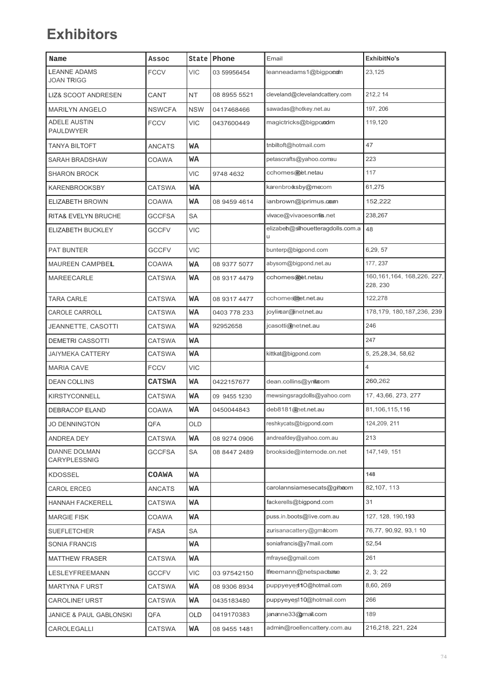## **Exhibitors**

| Name                                     | Assoc         |            | State Phone  | Email                                  | ExhibitNo's                              |
|------------------------------------------|---------------|------------|--------------|----------------------------------------|------------------------------------------|
| <b>LEANNE ADAMS</b><br><b>JOAN TRIGG</b> | <b>FCCV</b>   | <b>VIC</b> | 03 59956454  | leanneadams1@bigponam                  | 23,125                                   |
| <b>LIZ&amp; SCOOT ANDRESEN</b>           | CANT          | NT         | 08 8955 5521 | cleveland@clevelandcattery.com         | 212,2 14                                 |
| <b>MARILYN ANGELO</b>                    | <b>NSWCFA</b> | <b>NSW</b> | 0417468466   | sawadas@hotkey.net.au                  | 197, 206                                 |
| <b>ADELE AUSTIN</b><br><b>PAULDWYER</b>  | <b>FCCV</b>   | <b>VIC</b> | 0437600449   | magictricks@bigporodm                  | 119,120                                  |
| <b>TANYA BILTOFT</b>                     | ANCATS        | WA         |              | tnbiltoft@hotmail.com                  | 47                                       |
| <b>SARAH BRADSHAW</b>                    | COAWA         | WA         |              | petascrafts@yahoo.comau                | 223                                      |
| <b>SHARON BROCK</b>                      |               | <b>VIC</b> | 9748 4632    | cchomes@et.netau                       | 117                                      |
| <b>KARENBROOKSBY</b>                     | <b>CATSWA</b> | <b>WA</b>  |              | karenbrooksby@mecom                    | 61,275                                   |
| ELIZABETH BROWN                          | COAWA         | WA         | 08 9459 4614 | ianbrown@iprimus.com                   | 152,222                                  |
| RITA& EVELYN BRUCHE                      | <b>GCCFSA</b> | SA         |              | vivace@vivaoesomis.net                 | 238,267                                  |
| ELIZABETH BUCKLEY                        | <b>GCCFV</b>  | <b>VIC</b> |              | elizabeh@silhouetteragdolls.com.a<br>u | 48                                       |
| <b>PAT BUNTER</b>                        | <b>GCCFV</b>  | <b>VIC</b> |              | bunterp@bigpond.com                    | 6,29,57                                  |
| MAUREEN CAMPBEL                          | COAWA         | WA         | 08 9377 5077 | abysom@bigpond.net.au                  | 177, 237                                 |
| <b>MAREECARLE</b>                        | <b>CATSWA</b> | WA         | 08 9317 4479 | cchomes@et.netau                       | 160, 161, 164, 168, 226, 227,<br>228.230 |
| <b>TARA CARLE</b>                        | CATSWA        | WA         | 08 9317 4477 | cchomesmet.net.au                      | 122,278                                  |
| CAROLE CARROLL                           | <b>CATSWA</b> | WA         | 0403 778 233 | joylimar@inetnet.au                    | 178, 179, 180, 187, 236, 239             |
| JEANNETTE, CASOTTI                       | CATSWA        | WA         | 92952658     | jcasotti@netnet.au                     | 246                                      |
| <b>DEMETRI CASSOTTI</b>                  | CATSWA        | WA         |              |                                        | 247                                      |
| <b>JAIYMEKA CATTERY</b>                  | CATSWA        | WA         |              | kittkat@bigpond.com                    | 5, 25, 28, 34, 58, 62                    |
| <b>MARIA CAVE</b>                        | <b>FCCV</b>   | <b>VIC</b> |              |                                        | 4                                        |
| <b>DEAN COLLINS</b>                      | <b>CATSWA</b> | WA         | 0422157677   | dean.collins@yniacom                   | 260,262                                  |
| <b>KIRSTYCONNELL</b>                     | CATSWA        | WA         | 09 9455 1230 | mewsingsragdolls@yahoo.com             | 17, 43, 66, 273, 277                     |
| <b>DEBRACOP ELAND</b>                    | COAWA         | WA         | 0450044843   | deb8181@net.net.au                     | 81,106,115,116                           |
| <b>JO DENNINGTON</b>                     | QFA           | OLD        |              | reshkycats@bigpond.com                 | 124,209, 211                             |
| ANDREA DEY                               | <b>CATSWA</b> | WA         | 08 9274 0906 | andreafdey@yahoo.com.au                | 213                                      |
| <b>DIANNE DOLMAN</b><br>CARYPLESSNIG     | <b>GCCFSA</b> | SA         | 08 8447 2489 | brookside@internode.on.net             | 147, 149, 151                            |
| <b>KDOSSEL</b>                           | COAWA         | WA         |              |                                        | 148                                      |
| <b>CAROL ERCEG</b>                       | ANCATS        | WA         |              | carolannsiamesecats@githeom            | 82, 107, 113                             |
| <b>HANNAH FACKERELL</b>                  | CATSWA        | WA         |              | fackerells@bigpond.com                 | 31                                       |
| <b>MARGIE FISK</b>                       | COAWA         | WA         |              | puss.in.boots@live.com.au              | 127, 128, 190, 193                       |
| <b>SUEFLETCHER</b>                       | <b>FASA</b>   | SA         |              | zurisanacattery@gmacom                 | 76,77, 90,92, 93,1 10                    |
| SONIA FRANCIS                            |               | WA         |              | soniafrancis@y7mail.com                | 52,54                                    |
| <b>MATTHEW FRASER</b>                    | CATSWA        | WA         |              | mfrayse@gmail.com                      | 261                                      |
| LESLEYFREEMANN                           | <b>GCCFV</b>  | VIC        | 03 97542150  | Ifreemann@netspaceaue                  | 2, 3; 22                                 |
| <b>MARTYNA F URST</b>                    | <b>CATSWA</b> | WA         | 08 9306 8934 | puppyeyes 10@hotmail.com               | 8,60, 269                                |
| <b>CAROLINE URST</b>                     | <b>CATSWA</b> | WA         | 0435183480   | puppyeyes110@hotmail.com               | 266                                      |
| <b>JANICE &amp; PAUL GABLONSKI</b>       | QFA           | OLD        | 0419170383   | jananne33@mail.com                     | 189                                      |
| CAROLEGALLI                              | <b>CATSWA</b> | WA         | 08 9455 1481 | admin@roellencattery.com.au            | 216,218, 221, 224                        |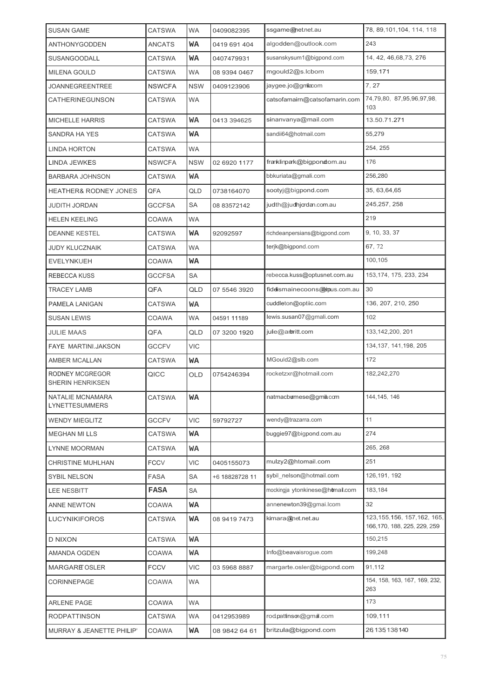| <b>SUSAN GAME</b>                          | <b>CATSWA</b> | <b>WA</b>  | 0409082395     | ssgame@net.net.au               | 78, 89, 101, 104, 114, 118                                    |
|--------------------------------------------|---------------|------------|----------------|---------------------------------|---------------------------------------------------------------|
| <b>ANTHONYGODDEN</b>                       | <b>ANCATS</b> | WA         | 0419 691 404   | algodden@outlook.com            | 243                                                           |
| <b>SUSANGOODALL</b>                        | <b>CATSWA</b> | WA         | 0407479931     | susanskysum1@bigpond.com        | 14, 42, 46, 68, 73, 276                                       |
| <b>MILENA GOULD</b>                        | <b>CATSWA</b> | <b>WA</b>  | 08 9394 0467   | mgould2@s.lcbom                 | 159.171                                                       |
| <b>JOANNEGREENTREE</b>                     | <b>NSWCFA</b> | <b>NSW</b> | 0409123906     | jaygee.jo@gmilacom              | 7.27                                                          |
| CATHERINEGUNSON                            | <b>CATSWA</b> | WA         |                | catsofamairn@catsofamarin.com   | 74,79,80, 87,95,96,97,98,<br>103                              |
| <b>MICHELLE HARRIS</b>                     | <b>CATSWA</b> | WA         | 0413 394625    | sinanvanya@mail.com             | 13.50.71.271                                                  |
| <b>SANDRA HA YES</b>                       | <b>CATSWA</b> | WA         |                | sandii64@hotmail.com            | 55,279                                                        |
| <b>LINDA HORTON</b>                        | <b>CATSWA</b> | <b>WA</b>  |                |                                 | 254, 255                                                      |
| LINDA JEWKES                               | <b>NSWCFA</b> | <b>NSW</b> | 02 6920 1177   | franklinpark@bigpondom.au       | 176                                                           |
| <b>BARBARA JOHNSON</b>                     | <b>CATSWA</b> | WA         |                | bbkuriata@gmali.com             | 256,280                                                       |
| <b>HEATHER&amp; RODNEY JONES</b>           | QFA           | QLD        | 0738164070     | sootyj@bigpond.com              | 35, 63, 64, 65                                                |
| <b>JUDITH JORDAN</b>                       | <b>GCCFSA</b> | SA         | 08 83572142    | judth@judhjordan.com.au         | 245,257, 258                                                  |
| <b>HELEN KEELING</b>                       | COAWA         | <b>WA</b>  |                |                                 | 219                                                           |
| <b>DEANNE KESTEL</b>                       | <b>CATSWA</b> | WA         | 92092597       | richdeanpersians@bigpond.com    | 9, 10, 33, 37                                                 |
| <b>JUDY KLUCZNAIK</b>                      | <b>CATSWA</b> | <b>WA</b>  |                | terjk@bigpond.com               | 67, 72                                                        |
| <b>EVELYNKUEH</b>                          | COAWA         | WA         |                |                                 | 100,105                                                       |
| <b>REBECCA KUSS</b>                        | <b>GCCFSA</b> | SA         |                | rebecca.kuss@optusnet.com.au    | 153, 174, 175, 233, 234                                       |
| <b>TRACEY LAMB</b>                         | QFA           | QLD        | 07 5546 3920   | fidelismainecoons@impus.com.au  | 30                                                            |
| PAMELA LANIGAN                             | <b>CATSWA</b> | WA         |                | cuddleton@optiic.com            | 136, 207, 210, 250                                            |
| <b>SUSAN LEWIS</b>                         | COAWA         | WA         | 04591 11189    | lewis.susan07@gmali.com         | 102                                                           |
| <b>JULIE MAAS</b>                          | QFA           | QLD        | 07 3200 1920   | jule@arbritt.com                | 133, 142, 200, 201                                            |
| <b>FAYE MARTINI.JAKSON</b>                 | <b>GCCFV</b>  | <b>VIC</b> |                |                                 | 134, 137, 141, 198, 205                                       |
| AMBER MCALLAN                              | CATSWA        | WA         |                | MGould2@slb.com                 | 172                                                           |
| RODNEY MCGREGOR<br><b>SHERIN HENRIKSEN</b> | QICC          | <b>OLD</b> | 0754246394     | rocketzxr@hotmail.com           | 182,242,270                                                   |
| NATALIE MCNAMARA<br><b>LYNETTESUMMERS</b>  | CATSWA        | WA         |                | natmacbumese@gmila.com          | 144, 145, 146                                                 |
| <b>WENDY MIEGLITZ</b>                      | <b>GCCFV</b>  | VIC        | 59792727       | wendy@trazarra.com              | 11                                                            |
| <b>MEGHAN MI LLS</b>                       | <b>CATSWA</b> | WA         |                | buggie97@bigpond.com.au         | 274                                                           |
| <b>LYNNE MOORMAN</b>                       | CATSWA        | WA         |                |                                 | 265, 268                                                      |
| CHRISTINE MUHLHAN                          | <b>FCCV</b>   | VIC        | 0405155073     | mulzy2@htomail.com              | 251                                                           |
| <b>SYBIL NELSON</b>                        | FASA          | SA         | +6 18828728 11 | sybil nelson@hotmail.com        | 126, 191, 192                                                 |
| <b>LEE NESBITT</b>                         | <b>FASA</b>   | SA         |                | mockingja ytonkinese@homail.com | 183,184                                                       |
| <b>ANNE NEWTON</b>                         | COAWA         | WA         |                | annenewton39@gmai.lcom          | 32                                                            |
| <b>LUCYNIKIFOROS</b>                       | CATSWA        | WA         | 08 9419 7473   | kimara@net.net.au               | 123, 155, 156, 157, 162, 165,<br>166, 170, 188, 225, 229, 259 |
| <b>D NIXON</b>                             | CATSWA        | WA         |                |                                 | 150,215                                                       |
| AMANDA OGDEN                               | COAWA         | WA         |                | Info@beavaisrogue.com           | 199,248                                                       |
| <b>MARGARE OSLER</b>                       | <b>FCCV</b>   | <b>VIC</b> | 03 5968 8887   | margarte.osler@bigpond.com      | 91,112                                                        |
| CORINNEPAGE                                | COAWA         | <b>WA</b>  |                |                                 | 154, 158, 163, 167, 169, 232,<br>263                          |
| <b>ARLENE PAGE</b>                         | COAWA         | WA         |                |                                 | 173                                                           |
| <b>RODPATTINSON</b>                        | <b>CATSWA</b> | WA         | 0412953989     | rodpattinson@gmail.com          | 109,111                                                       |
| MURRAY & JEANETTE PHILIP'                  | COAWA         | WA         | 08 9842 64 61  | britzula@bigpond.com            | 26 135 138 140                                                |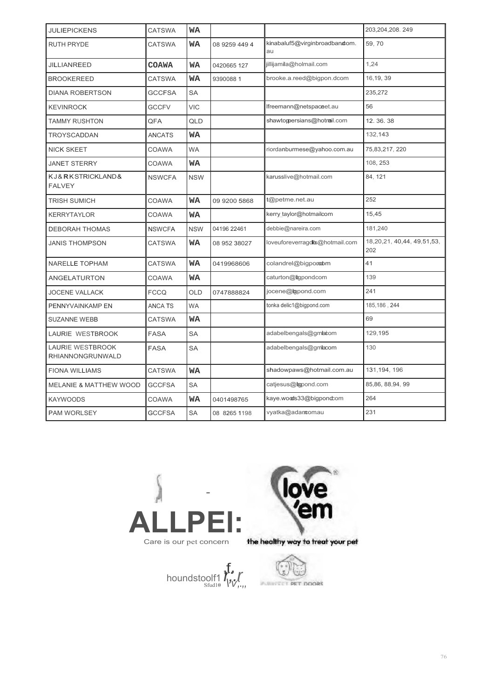| <b>JULIEPICKENS</b>                                | <b>CATSWA</b>  | WA         |               |                                     | 203,204,208.249                        |
|----------------------------------------------------|----------------|------------|---------------|-------------------------------------|----------------------------------------|
| <b>RUTH PRYDE</b>                                  | <b>CATSWA</b>  | WA         | 08 9259 449 4 | kinabaluf5@virginbroadbandom.<br>au | 59,70                                  |
| JILLIANREED                                        | COAWA          | <b>WA</b>  | 0420665 127   | jillijamila@holmail.com             | 1,24                                   |
| <b>BROOKEREED</b>                                  | <b>CATSWA</b>  | <b>WA</b>  | 9390088 1     | brooke.a.reed@bigpon.dcom           | 16, 19, 39                             |
| <b>DIANA ROBERTSON</b>                             | <b>GCCFSA</b>  | SA         |               |                                     | 235,272                                |
| <b>KEVINROCK</b>                                   | <b>GCCFV</b>   | <b>VIC</b> |               | lfreemann@netspaceet.au             | 56                                     |
| <b>TAMMY RUSHTON</b>                               | QFA            | QLD        |               | shawtoppersians@hotmail.com         | 12.36.38                               |
| <b>TROYSCADDAN</b>                                 | ANCATS         | WA         |               |                                     | 132,143                                |
| <b>NICK SKEET</b>                                  | COAWA          | <b>WA</b>  |               | riordanburmese@yahoo.com.au         | 75,83,217, 220                         |
| <b>JANET STERRY</b>                                | COAWA          | WA         |               |                                     | 108, 253                               |
| KJ&RKSTRICKLAND&<br><b>FALVEY</b>                  | <b>NSWCFA</b>  | <b>NSW</b> |               | karusslive@hotmail.com              | 84, 121                                |
| <b>TRISH SUMICH</b>                                | COAWA          | WA         | 09 9200 5868  | t@petme.net.au                      | 252                                    |
| <b>KERRYTAYLOR</b>                                 | <b>COAWA</b>   | WA         |               | kerry taylor@hotmailcom             | 15,45                                  |
| <b>DEBORAH THOMAS</b>                              | <b>NSWCFA</b>  | <b>NSW</b> | 04196 22461   | debbie@nareira.com                  | 181,240                                |
| <b>JANIS THOMPSON</b>                              | <b>CATSWA</b>  | WA         | 08 952 38027  | loveuforeverragdis@hotmail.com      | 18, 20, 21, 40, 44, 49, 51, 53,<br>202 |
| NARELLE TOPHAM                                     | <b>CATSWA</b>  | WA         | 0419968606    | colandrel@bigpondom                 | 41                                     |
| <b>ANGELATURTON</b>                                | <b>COAWA</b>   | WA         |               | caturton@ligpondcom                 | 139                                    |
| <b>JOCENE VALLACK</b>                              | <b>FCCQ</b>    | <b>OLD</b> | 0747888824    | jocene@igpond.com                   | 241                                    |
| PENNYVAINKAMP EN                                   | <b>ANCA TS</b> | <b>WA</b>  |               | tonka delic1@bigpond.com            | 185, 186, 244                          |
| <b>SUZANNE WEBB</b>                                | <b>CATSWA</b>  | WA         |               |                                     | 69                                     |
| LAURIE WESTBROOK                                   | <b>FASA</b>    | <b>SA</b>  |               | adabelbengals@gmbcom                | 129,195                                |
| <b>LAURIE WESTBROOK</b><br><b>RHIANNONGRUNWALD</b> | <b>FASA</b>    | SA         |               | adabelbengals@gmbcom                | 130                                    |
| <b>FIONA WILLIAMS</b>                              | <b>CATSWA</b>  | <b>WA</b>  |               | shadowpaws@hotmail.com.au           | 131, 194, 196                          |
| <b>MELANIE &amp; MATTHEW WOOD</b>                  | <b>GCCFSA</b>  | <b>SA</b>  |               | catjesus@topond.com                 | 85,86, 88,94, 99                       |
| <b>KAYWOODS</b>                                    | <b>COAWA</b>   | WA         | 0401498765    | kaye.woods33@bigpondcom             | 264                                    |
| <b>PAM WORLSEY</b>                                 | <b>GCCFSA</b>  | <b>SA</b>  | 08 8265 1198  | vyatka@adancomau                    | 231                                    |





houndstoolf1 *r<sub>ist</sub>*  $\int_{\mathbb{R}^{3}}$ Sfud10• *\ v;.,,*

 $\mathbb{C}$ PURITE CT PET DOORS